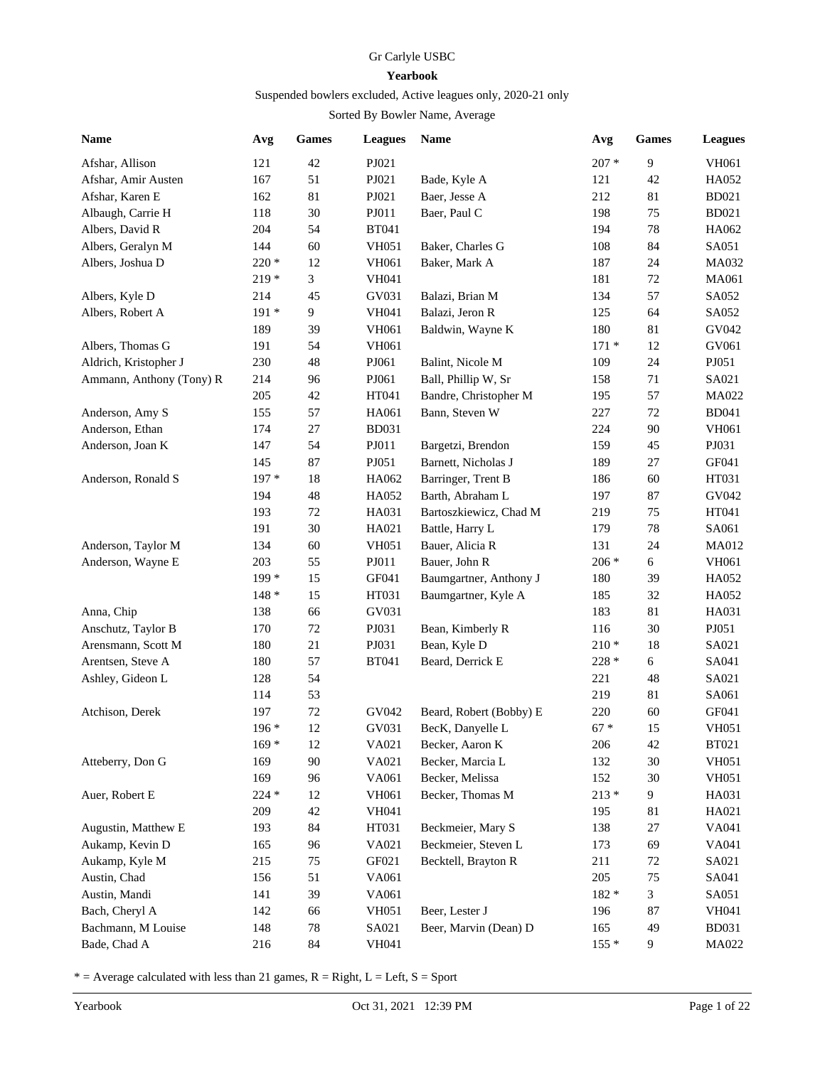## Gr Carlyle USBC

## **Yearbook**

## Suspended bowlers excluded, Active leagues only, 2020-21 only

## Sorted By Bowler Name, Average

| Name                     | Avg     | <b>Games</b> | <b>Leagues</b> | Name                    | Avg     | <b>Games</b> | <b>Leagues</b> |
|--------------------------|---------|--------------|----------------|-------------------------|---------|--------------|----------------|
| Afshar, Allison          | 121     | 42           | PJ021          |                         | $207 *$ | 9            | VH061          |
| Afshar, Amir Austen      | 167     | 51           | PJ021          | Bade, Kyle A            | 121     | 42           | HA052          |
| Afshar, Karen E          | 162     | 81           | PJ021          | Baer, Jesse A           | 212     | 81           | <b>BD021</b>   |
| Albaugh, Carrie H        | 118     | 30           | PJ011          | Baer, Paul C            | 198     | 75           | <b>BD021</b>   |
| Albers, David R          | 204     | 54           | <b>BT041</b>   |                         | 194     | $78\,$       | HA062          |
| Albers, Geralyn M        | 144     | 60           | <b>VH051</b>   | Baker, Charles G        | 108     | 84           | SA051          |
| Albers, Joshua D         | $220*$  | 12           | VH061          | Baker, Mark A           | 187     | 24           | MA032          |
|                          | $219*$  | 3            | <b>VH041</b>   |                         | 181     | $72\,$       | MA061          |
| Albers, Kyle D           | 214     | 45           | GV031          | Balazi, Brian M         | 134     | 57           | SA052          |
| Albers, Robert A         | $191*$  | 9            | <b>VH041</b>   | Balazi, Jeron R         | 125     | 64           | SA052          |
|                          | 189     | 39           | VH061          | Baldwin, Wayne K        | 180     | 81           | GV042          |
| Albers, Thomas G         | 191     | 54           | VH061          |                         | $171*$  | 12           | GV061          |
| Aldrich, Kristopher J    | 230     | 48           | PJ061          | Balint, Nicole M        | 109     | 24           | PJ051          |
| Ammann, Anthony (Tony) R | 214     | 96           | PJ061          | Ball, Phillip W, Sr     | 158     | 71           | SA021          |
|                          | 205     | $42\,$       | HT041          | Bandre, Christopher M   | 195     | 57           | MA022          |
| Anderson, Amy S          | 155     | 57           | HA061          | Bann, Steven W          | 227     | 72           | <b>BD041</b>   |
| Anderson, Ethan          | 174     | $27\,$       | <b>BD031</b>   |                         | 224     | 90           | VH061          |
| Anderson, Joan K         | 147     | 54           | PJ011          | Bargetzi, Brendon       | 159     | 45           | PJ031          |
|                          | 145     | 87           | PJ051          | Barnett, Nicholas J     | 189     | 27           | GF041          |
| Anderson, Ronald S       | 197 *   | 18           | HA062          | Barringer, Trent B      | 186     | 60           | HT031          |
|                          | 194     | 48           | HA052          | Barth, Abraham L        | 197     | 87           | GV042          |
|                          | 193     | $72\,$       | HA031          | Bartoszkiewicz, Chad M  | 219     | 75           | HT041          |
|                          | 191     | 30           | HA021          | Battle, Harry L         | 179     | $78\,$       | SA061          |
| Anderson, Taylor M       | 134     | 60           | <b>VH051</b>   | Bauer, Alicia R         | 131     | 24           | MA012          |
| Anderson, Wayne E        | 203     | 55           | PJ011          | Bauer, John R           | $206 *$ | 6            | VH061          |
|                          | 199 *   | 15           | GF041          | Baumgartner, Anthony J  | 180     | 39           | HA052          |
|                          | $148*$  | 15           | HT031          | Baumgartner, Kyle A     | 185     | 32           | HA052          |
| Anna, Chip               | 138     | 66           | GV031          |                         | 183     | 81           | HA031          |
| Anschutz, Taylor B       | 170     | 72           | PJ031          | Bean, Kimberly R        | 116     | 30           | PJ051          |
| Arensmann, Scott M       | 180     | 21           | PJ031          | Bean, Kyle D            | $210 *$ | 18           | SA021          |
| Arentsen, Steve A        | 180     | 57           | <b>BT041</b>   | Beard, Derrick E        | 228 *   | $\sqrt{6}$   | SA041          |
| Ashley, Gideon L         | 128     | 54           |                |                         | 221     | 48           | SA021          |
|                          | 114     | 53           |                |                         | 219     | 81           | SA061          |
| Atchison, Derek          | 197     | $72\,$       | GV042          | Beard, Robert (Bobby) E | 220     | 60           | GF041          |
|                          | 196 *   | 12           | GV031          | BecK, Danyelle L        | $67 *$  | 15           | <b>VH051</b>   |
|                          | $169*$  | 12           | VA021          | Becker, Aaron K         | 206     | 42           | <b>BT021</b>   |
|                          | 169     |              | VA021          | Becker, Marcia L        | 132     | 30           |                |
| Atteberry, Don G         |         | 90           |                |                         |         |              | <b>VH051</b>   |
|                          | 169     | 96           | VA061          | Becker, Melissa         | 152     | 30           | <b>VH051</b>   |
| Auer, Robert E           | $224 *$ | 12           | VH061          | Becker, Thomas M        | $213 *$ | 9            | HA031          |
|                          | 209     | $42\,$       | VH041          |                         | 195     | 81           | HA021          |
| Augustin, Matthew E      | 193     | 84           | HT031          | Beckmeier, Mary S       | 138     | 27           | VA041          |
| Aukamp, Kevin D          | 165     | 96           | VA021          | Beckmeier, Steven L     | 173     | 69           | VA041          |
| Aukamp, Kyle M           | 215     | 75           | GF021          | Becktell, Brayton R     | 211     | $72\,$       | SA021          |
| Austin, Chad             | 156     | 51           | VA061          |                         | 205     | 75           | SA041          |
| Austin, Mandi            | 141     | 39           | VA061          |                         | $182 *$ | 3            | SA051          |
| Bach, Cheryl A           | 142     | 66           | <b>VH051</b>   | Beer, Lester J          | 196     | 87           | VH041          |
| Bachmann, M Louise       | 148     | 78           | SA021          | Beer, Marvin (Dean) D   | 165     | 49           | <b>BD031</b>   |
| Bade, Chad A             | 216     | 84           | VH041          |                         | $155*$  | 9            | MA022          |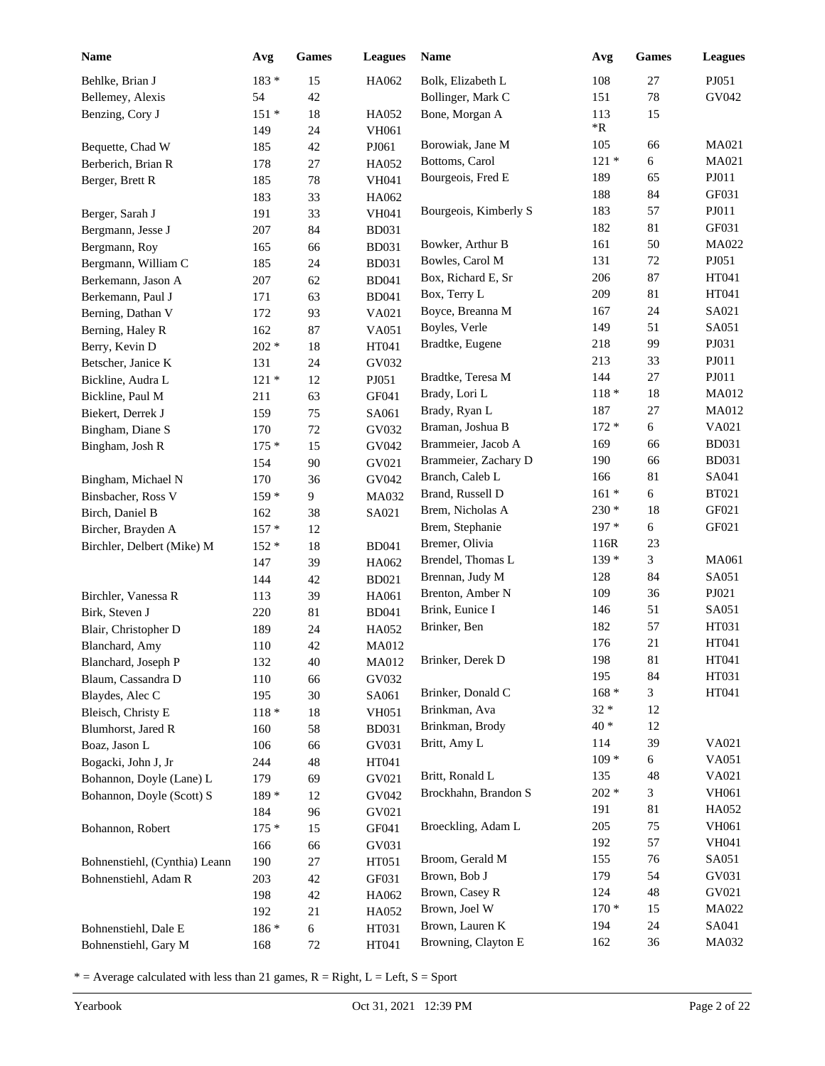| <b>Name</b>                               | Avg        | Games        | <b>Leagues</b> | <b>Name</b>                       | Avg               | <b>Games</b> | <b>Leagues</b> |
|-------------------------------------------|------------|--------------|----------------|-----------------------------------|-------------------|--------------|----------------|
| Behlke, Brian J                           | 183 *      | 15           | HA062          | Bolk, Elizabeth L                 | 108               | 27           | PJ051          |
| Bellemey, Alexis                          | 54         | 42           |                | Bollinger, Mark C                 | 151               | 78           | GV042          |
| Benzing, Cory J                           | $151*$     | 18           | HA052          | Bone, Morgan A                    | 113               | 15           |                |
|                                           | 149        | 24           | <b>VH061</b>   |                                   | $\rm ^{*}R$       |              |                |
| Bequette, Chad W                          | 185        | 42           | PJ061          | Borowiak, Jane M                  | 105               | 66           | MA021          |
| Berberich, Brian R                        | 178        | 27           | HA052          | Bottoms, Carol                    | $121 *$           | 6            | MA021          |
| Berger, Brett R                           | 185        | 78           | <b>VH041</b>   | Bourgeois, Fred E                 | 189               | 65           | PJ011          |
|                                           | 183        | 33           | HA062          |                                   | 188               | 84           | GF031          |
| Berger, Sarah J                           | 191        | 33           | VH041          | Bourgeois, Kimberly S             | 183               | 57           | PJ011          |
| Bergmann, Jesse J                         | 207        | 84           | <b>BD031</b>   |                                   | 182               | 81           | GF031          |
| Bergmann, Roy                             | 165        | 66           | <b>BD031</b>   | Bowker, Arthur B                  | 161               | 50           | MA022          |
| Bergmann, William C                       | 185        | 24           | <b>BD031</b>   | Bowles, Carol M                   | 131               | $72\,$       | PJ051          |
| Berkemann, Jason A                        | 207        | 62           | <b>BD041</b>   | Box, Richard E, Sr                | 206               | 87           | HT041          |
| Berkemann, Paul J                         | 171        | 63           | <b>BD041</b>   | Box, Terry L                      | 209               | 81           | HT041          |
| Berning, Dathan V                         | 172        | 93           | VA021          | Boyce, Breanna M                  | 167               | 24           | SA021          |
| Berning, Haley R                          | 162        | 87           | VA051          | Boyles, Verle                     | 149               | 51           | SA051          |
| Berry, Kevin D                            | $202 *$    | 18           | HT041          | Bradtke, Eugene                   | 218               | 99           | PJ031          |
| Betscher, Janice K                        | 131        | 24           | GV032          |                                   | 213               | 33           | PJ011          |
| Bickline, Audra L                         | $121 *$    | 12           | PJ051          | Bradtke, Teresa M                 | 144               | 27           | PJ011          |
| Bickline, Paul M                          | 211        | 63           | GF041          | Brady, Lori L                     | $118 *$           | $18\,$       | MA012          |
| Biekert, Derrek J                         | 159        | 75           | SA061          | Brady, Ryan L                     | 187               | $27\,$       | MA012          |
| Bingham, Diane S                          | 170        | 72           | GV032          | Braman, Joshua B                  | $172*$            | 6            | VA021          |
| Bingham, Josh R                           | $175*$     | 15           | GV042          | Brammeier, Jacob A                | 169               | 66           | <b>BD031</b>   |
|                                           | 154        | 90           | GV021          | Brammeier, Zachary D              | 190               | 66           | <b>BD031</b>   |
| Bingham, Michael N                        | 170        | 36           | GV042          | Branch, Caleb L                   | 166               | 81           | SA041          |
| Binsbacher, Ross V                        | $159*$     | 9            | MA032          | Brand, Russell D                  | $161*$            | 6            | <b>BT021</b>   |
| Birch, Daniel B                           | 162        | 38           | SA021          | Brem, Nicholas A                  | $230 *$<br>$197*$ | 18           | GF021<br>GF021 |
| Bircher, Brayden A                        | $157*$     | 12           |                | Brem, Stephanie<br>Bremer, Olivia |                   | 6            |                |
| Birchler, Delbert (Mike) M                | $152 *$    | 18           | <b>BD041</b>   | Brendel, Thomas L                 | 116R<br>$139*$    | 23<br>3      | MA061          |
|                                           | 147        | 39           | HA062          | Brennan, Judy M                   | 128               | 84           | SA051          |
|                                           | 144        | 42           | <b>BD021</b>   | Brenton, Amber N                  | 109               | 36           | PJ021          |
| Birchler, Vanessa R                       | 113        | 39           | HA061          | Brink, Eunice I                   | 146               | 51           | SA051          |
| Birk, Steven J                            | 220        | 81           | <b>BD041</b>   | Brinker, Ben                      | 182               | 57           | HT031          |
| Blair, Christopher D                      | 189        | 24           | HA052          |                                   | 176               | 21           | HT041          |
| Blanchard, Amy                            | 110        | 42           | <b>MA012</b>   | Brinker, Derek D                  | 198               | 81           | HT041          |
| Blanchard, Joseph P<br>Blaum, Cassandra D | 132        | 40           | MA012<br>GV032 |                                   | 195               | 84           | HT031          |
| Blaydes, Alec C                           | 110<br>195 | 66<br>$30\,$ | SA061          | Brinker, Donald C                 | $168 *$           | 3            | HT041          |
| Bleisch, Christy E                        | $118 *$    | 18           | <b>VH051</b>   | Brinkman, Ava                     | $32 *$            | 12           |                |
| Blumhorst, Jared R                        | 160        | 58           | <b>BD031</b>   | Brinkman, Brody                   | $40*$             | 12           |                |
| Boaz, Jason L                             | 106        | 66           | GV031          | Britt, Amy L                      | 114               | 39           | VA021          |
| Bogacki, John J, Jr                       | 244        | 48           | HT041          |                                   | $109*$            | 6            | VA051          |
| Bohannon, Doyle (Lane) L                  | 179        | 69           | GV021          | Britt, Ronald L                   | 135               | 48           | VA021          |
| Bohannon, Doyle (Scott) S                 | 189 *      | 12           | GV042          | Brockhahn, Brandon S              | $202 *$           | 3            | VH061          |
|                                           | 184        | 96           | GV021          |                                   | 191               | 81           | HA052          |
| Bohannon, Robert                          | $175*$     | 15           | GF041          | Broeckling, Adam L                | 205               | 75           | VH061          |
|                                           | 166        | 66           | GV031          |                                   | 192               | 57           | <b>VH041</b>   |
| Bohnenstiehl, (Cynthia) Leann             | 190        | $27\,$       | HT051          | Broom, Gerald M                   | 155               | 76           | SA051          |
| Bohnenstiehl, Adam R                      | 203        | 42           | GF031          | Brown, Bob J                      | 179               | 54           | GV031          |
|                                           | 198        | 42           | HA062          | Brown, Casey R                    | 124               | 48           | GV021          |
|                                           | 192        | 21           | HA052          | Brown, Joel W                     | $170*$            | 15           | MA022          |
| Bohnenstiehl, Dale E                      | 186 *      | $\epsilon$   | HT031          | Brown, Lauren K                   | 194               | 24           | SA041          |
| Bohnenstiehl, Gary M                      | 168        | $72\,$       | HT041          | Browning, Clayton E               | 162               | 36           | MA032          |
|                                           |            |              |                |                                   |                   |              |                |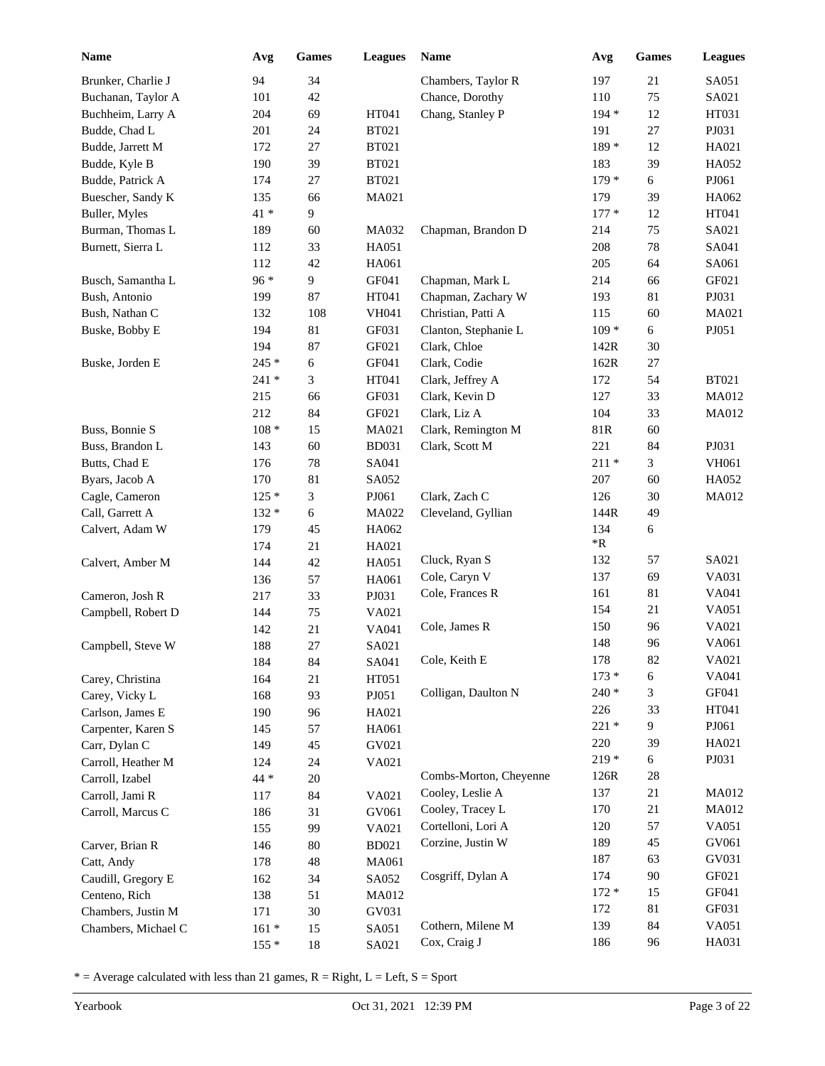| Name                | Avg     | <b>Games</b> | <b>Leagues</b> | Name                   | Avg        | <b>Games</b> | <b>Leagues</b> |
|---------------------|---------|--------------|----------------|------------------------|------------|--------------|----------------|
| Brunker, Charlie J  | 94      | 34           |                | Chambers, Taylor R     | 197        | 21           | SA051          |
| Buchanan, Taylor A  | 101     | 42           |                | Chance, Dorothy        | 110        | 75           | SA021          |
| Buchheim, Larry A   | 204     | 69           | HT041          | Chang, Stanley P       | 194 *      | 12           | HT031          |
| Budde, Chad L       | 201     | 24           | <b>BT021</b>   |                        | 191        | $27\,$       | PJ031          |
| Budde, Jarrett M    | 172     | 27           | <b>BT021</b>   |                        | 189 *      | 12           | HA021          |
| Budde, Kyle B       | 190     | 39           | <b>BT021</b>   |                        | 183        | 39           | HA052          |
| Budde, Patrick A    | 174     | 27           | <b>BT021</b>   |                        | $179*$     | 6            | PJ061          |
| Buescher, Sandy K   | 135     | 66           | MA021          |                        | 179        | 39           | HA062          |
| Buller, Myles       | $41*$   | 9            |                |                        | $177*$     | 12           | HT041          |
| Burman, Thomas L    | 189     | 60           | MA032          | Chapman, Brandon D     | 214        | 75           | SA021          |
| Burnett, Sierra L   | 112     | 33           | HA051          |                        | 208        | $78\,$       | SA041          |
|                     | 112     | 42           | HA061          |                        | 205        | 64           | SA061          |
| Busch, Samantha L   | 96 *    | 9            | GF041          | Chapman, Mark L        | 214        | 66           | GF021          |
| Bush, Antonio       | 199     | 87           | HT041          | Chapman, Zachary W     | 193        | 81           | PJ031          |
| Bush, Nathan C      | 132     | 108          | <b>VH041</b>   | Christian, Patti A     | 115        | 60           | MA021          |
| Buske, Bobby E      | 194     | 81           | GF031          | Clanton, Stephanie L   | $109 *$    | 6            | PJ051          |
|                     | 194     | 87           | GF021          | Clark, Chloe           | 142R       | 30           |                |
| Buske, Jorden E     | 245 *   | 6            | GF041          | Clark, Codie           | 162R       | 27           |                |
|                     | $241*$  | 3            | HT041          | Clark, Jeffrey A       | 172        | 54           | <b>BT021</b>   |
|                     | 215     | 66           | GF031          | Clark, Kevin D         | 127        | 33           | MA012          |
|                     | 212     | 84           | GF021          | Clark, Liz A           | 104        | 33           | MA012          |
| Buss, Bonnie S      | $108 *$ | 15           | MA021          | Clark, Remington M     | 81R        | 60           |                |
| Buss, Brandon L     | 143     | 60           | <b>BD031</b>   | Clark, Scott M         | 221        | 84           | PJ031          |
| Butts, Chad E       | 176     | 78           | SA041          |                        | $211 *$    | 3            | VH061          |
| Byars, Jacob A      | 170     | 81           | SA052          |                        | 207        | 60           | HA052          |
| Cagle, Cameron      | $125*$  | 3            | PJ061          | Clark, Zach C          | 126        | 30           | MA012          |
| Call, Garrett A     | $132 *$ | 6            | MA022          | Cleveland, Gyllian     | 144R       | 49           |                |
| Calvert, Adam W     | 179     | 45           | HA062          |                        | 134        | 6            |                |
|                     | 174     | $21\,$       | HA021          |                        | $*{\bf R}$ |              |                |
| Calvert, Amber M    | 144     | 42           | HA051          | Cluck, Ryan S          | 132        | 57           | SA021          |
|                     | 136     | 57           | HA061          | Cole, Caryn V          | 137        | 69           | VA031          |
| Cameron, Josh R     | 217     | 33           | PJ031          | Cole, Frances R        | 161        | 81           | VA041          |
| Campbell, Robert D  | 144     | 75           | VA021          |                        | 154        | 21           | VA051          |
|                     | 142     | $21\,$       | VA041          | Cole, James R          | 150        | 96           | VA021          |
| Campbell, Steve W   | 188     | 27           | SA021          |                        | 148        | 96           | VA061          |
|                     | 184     | 84           | SA041          | Cole, Keith E          | 178        | 82           | VA021          |
| Carey, Christina    | 164     | $21\,$       | HT051          |                        | $173*$     | 6            | VA041          |
| Carey, Vicky L      | 168     | 93           | PJ051          | Colligan, Daulton N    | $240*$     | 3            | GF041          |
| Carlson, James E    | 190     | 96           | HA021          |                        | 226        | 33           | HT041          |
| Carpenter, Karen S  | 145     | 57           | HA061          |                        | $221*$     | 9            | PJ061          |
| Carr, Dylan C       | 149     | 45           | GV021          |                        | 220        | 39           | HA021          |
| Carroll, Heather M  | 124     | 24           | VA021          |                        | $219*$     | 6            | PJ031          |
| Carroll, Izabel     | 44 *    | 20           |                | Combs-Morton, Cheyenne | 126R       | $28\,$       |                |
| Carroll, Jami R     | 117     | 84           | VA021          | Cooley, Leslie A       | 137        | 21           | MA012          |
| Carroll, Marcus C   | 186     | 31           | GV061          | Cooley, Tracey L       | 170        | 21           | MA012          |
|                     | 155     | 99           | VA021          | Cortelloni, Lori A     | 120        | 57           | VA051          |
| Carver, Brian R     | 146     | 80           | <b>BD021</b>   | Corzine, Justin W      | 189        | 45           | GV061          |
| Catt, Andy          | 178     | 48           | MA061          |                        | 187        | 63           | GV031          |
| Caudill, Gregory E  | 162     | 34           | SA052          | Cosgriff, Dylan A      | 174        | 90           | GF021          |
| Centeno, Rich       | 138     | 51           | MA012          |                        | $172 *$    | 15           | GF041          |
| Chambers, Justin M  | 171     | 30           | GV031          |                        | 172        | 81           | GF031          |
| Chambers, Michael C | $161 *$ | 15           | SA051          | Cothern, Milene M      | 139        | 84           | VA051          |
|                     | $155*$  | 18           | SA021          | Cox, Craig J           | 186        | 96           | HA031          |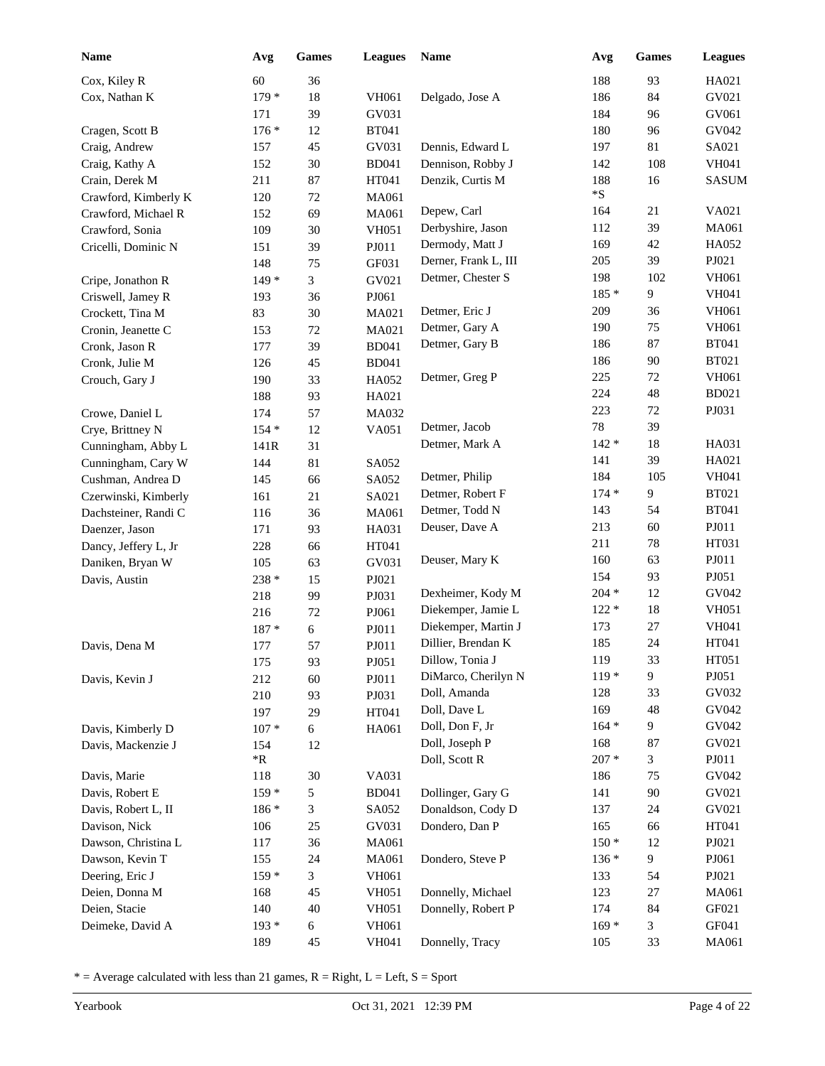| <b>Name</b>          | Avg        | Games            | <b>Leagues</b> | <b>Name</b>          | Avg       | <b>Games</b> | <b>Leagues</b> |
|----------------------|------------|------------------|----------------|----------------------|-----------|--------------|----------------|
| Cox, Kiley R         | 60         | 36               |                |                      | 188       | 93           | HA021          |
| Cox, Nathan K        | $179*$     | 18               | VH061          | Delgado, Jose A      | 186       | 84           | GV021          |
|                      | 171        | 39               | GV031          |                      | 184       | 96           | GV061          |
| Cragen, Scott B      | $176*$     | 12               | <b>BT041</b>   |                      | 180       | 96           | GV042          |
| Craig, Andrew        | 157        | 45               | GV031          | Dennis, Edward L     | 197       | 81           | SA021          |
| Craig, Kathy A       | 152        | 30               | <b>BD041</b>   | Dennison, Robby J    | 142       | 108          | <b>VH041</b>   |
| Crain, Derek M       | 211        | 87               | HT041          | Denzik, Curtis M     | 188       | 16           | <b>SASUM</b>   |
| Crawford, Kimberly K | 120        | $72\,$           | MA061          |                      | ${}^*\!S$ |              |                |
| Crawford, Michael R  | 152        | 69               | MA061          | Depew, Carl          | 164       | 21           | VA021          |
| Crawford, Sonia      | 109        | 30               | <b>VH051</b>   | Derbyshire, Jason    | 112       | 39           | MA061          |
| Cricelli, Dominic N  | 151        | 39               | PJ011          | Dermody, Matt J      | 169       | 42           | HA052          |
|                      | 148        | 75               | GF031          | Derner, Frank L, III | 205       | 39           | PJ021          |
| Cripe, Jonathon R    | $149*$     | 3                | GV021          | Detmer, Chester S    | 198       | 102          | VH061          |
| Criswell, Jamey R    | 193        | 36               | PJ061          |                      | $185*$    | 9            | <b>VH041</b>   |
| Crockett, Tina M     | 83         | 30               | MA021          | Detmer, Eric J       | 209       | 36           | VH061          |
| Cronin, Jeanette C   | 153        | $72\,$           | MA021          | Detmer, Gary A       | 190       | 75           | VH061          |
| Cronk, Jason R       | 177        | 39               | <b>BD041</b>   | Detmer, Gary B       | 186       | 87           | <b>BT041</b>   |
| Cronk, Julie M       | 126        | 45               | <b>BD041</b>   |                      | 186       | 90           | <b>BT021</b>   |
| Crouch, Gary J       | 190        | 33               | HA052          | Detmer, Greg P       | 225       | 72           | VH061          |
|                      | 188        | 93               | HA021          |                      | 224       | 48           | <b>BD021</b>   |
| Crowe, Daniel L      | 174        | 57               | MA032          |                      | 223       | 72           | PJ031          |
| Crye, Brittney N     | $154*$     | 12               | VA051          | Detmer, Jacob        | $78\,$    | 39           |                |
| Cunningham, Abby L   | 141R       | 31               |                | Detmer, Mark A       | $142*$    | 18           | HA031          |
| Cunningham, Cary W   | 144        | 81               | SA052          |                      | 141       | 39           | HA021          |
| Cushman, Andrea D    | 145        | 66               | SA052          | Detmer, Philip       | 184       | 105          | VH041          |
| Czerwinski, Kimberly | 161        | 21               | SA021          | Detmer, Robert F     | $174*$    | 9            | <b>BT021</b>   |
| Dachsteiner, Randi C | 116        | 36               | MA061          | Detmer, Todd N       | 143       | 54           | <b>BT041</b>   |
| Daenzer, Jason       | 171        | 93               | HA031          | Deuser, Dave A       | 213       | 60           | PJ011          |
| Dancy, Jeffery L, Jr | 228        | 66               | HT041          |                      | 211       | 78           | HT031          |
| Daniken, Bryan W     | 105        | 63               | GV031          | Deuser, Mary K       | 160       | 63           | PJ011          |
| Davis, Austin        | 238 *      | 15               | PJ021          |                      | 154       | 93           | PJ051          |
|                      | 218        | 99               | PJ031          | Dexheimer, Kody M    | $204 *$   | 12           | GV042          |
|                      | 216        | 72               | PJ061          | Diekemper, Jamie L   | $122*$    | 18           | <b>VH051</b>   |
|                      | 187 *      | 6                | PJ011          | Diekemper, Martin J  | 173       | 27           | VH041          |
| Davis, Dena M        | 177        | 57               | PJ011          | Dillier, Brendan K   | 185       | 24           | HT041          |
|                      | 175        | 93               | PJ051          | Dillow, Tonia J      | 119       | 33           | HT051          |
| Davis, Kevin J       | 212        | 60               | PJ011          | DiMarco, Cherilyn N  | $119*$    | 9            | PJ051          |
|                      | 210        | 93               | PJ031          | Doll, Amanda         | 128       | 33           | GV032          |
|                      | 197        | 29               | HT041          | Doll, Dave L         | 169       | 48           | GV042          |
| Davis, Kimberly D    | $107 *$    | 6                | HA061          | Doll, Don F, Jr      | $164 *$   | 9            | GV042          |
| Davis, Mackenzie J   | 154        | 12               |                | Doll, Joseph P       | 168       | 87           | GV021          |
|                      | $*{\bf R}$ |                  |                | Doll, Scott R        | $207 *$   | 3            | PJ011          |
| Davis, Marie         | 118        | $30\,$           | VA031          |                      | 186       | 75           | GV042          |
| Davis, Robert E      | $159*$     | 5                | <b>BD041</b>   | Dollinger, Gary G    | 141       | 90           | GV021          |
| Davis, Robert L, II  | 186 *      | 3                | SA052          | Donaldson, Cody D    | 137       | 24           | GV021          |
| Davison, Nick        | 106        | 25               | GV031          | Dondero, Dan P       | 165       | 66           | HT041          |
| Dawson, Christina L  | 117        | 36               | MA061          |                      | $150*$    | 12           | PJ021          |
| Dawson, Kevin T      | 155        | 24               | MA061          | Dondero, Steve P     | $136*$    | 9            | PJ061          |
| Deering, Eric J      | $159*$     | 3                | VH061          |                      | 133       | 54           | PJ021          |
| Deien, Donna M       | 168        | 45               | VH051          | Donnelly, Michael    | 123       | 27           | MA061          |
| Deien, Stacie        | 140        | 40               | <b>VH051</b>   | Donnelly, Robert P   | 174       | 84           | GF021          |
| Deimeke, David A     | 193 *      | $\boldsymbol{6}$ | VH061          |                      | $169*$    | 3            | GF041          |
|                      | 189        | 45               | VH041          | Donnelly, Tracy      | 105       | 33           | MA061          |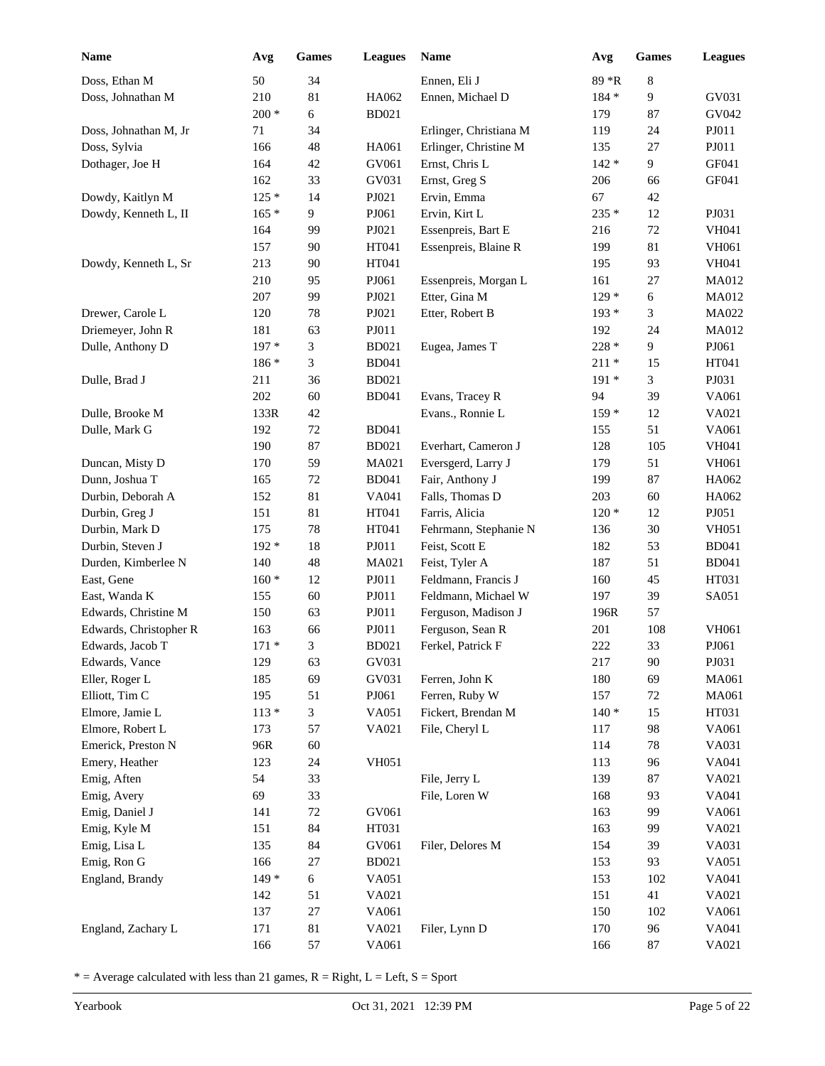| Name                   | Avg     | Games  | <b>Leagues</b> | Name                   | Avg     | Games  | <b>Leagues</b> |
|------------------------|---------|--------|----------------|------------------------|---------|--------|----------------|
| Doss, Ethan M          | 50      | 34     |                | Ennen, Eli J           | 89 *R   | 8      |                |
| Doss, Johnathan M      | 210     | 81     | HA062          | Ennen, Michael D       | $184 *$ | 9      | GV031          |
|                        | $200 *$ | 6      | <b>BD021</b>   |                        | 179     | 87     | GV042          |
| Doss, Johnathan M, Jr  | 71      | 34     |                | Erlinger, Christiana M | 119     | 24     | PJ011          |
| Doss, Sylvia           | 166     | 48     | HA061          | Erlinger, Christine M  | 135     | 27     | PJ011          |
| Dothager, Joe H        | 164     | 42     | GV061          | Ernst, Chris L         | $142 *$ | 9      | GF041          |
|                        | 162     | 33     | GV031          | Ernst, Greg S          | 206     | 66     | GF041          |
| Dowdy, Kaitlyn M       | $125*$  | 14     | PJ021          | Ervin, Emma            | 67      | 42     |                |
| Dowdy, Kenneth L, II   | $165*$  | 9      | PJ061          | Ervin, Kirt L          | 235 *   | 12     | PJ031          |
|                        | 164     | 99     | PJ021          | Essenpreis, Bart E     | 216     | $72\,$ | VH041          |
|                        | 157     | 90     | HT041          | Essenpreis, Blaine R   | 199     | 81     | VH061          |
| Dowdy, Kenneth L, Sr   | 213     | 90     | HT041          |                        | 195     | 93     | VH041          |
|                        | 210     | 95     | PJ061          | Essenpreis, Morgan L   | 161     | 27     | MA012          |
|                        | 207     | 99     | PJ021          | Etter, Gina M          | $129*$  | 6      | MA012          |
| Drewer, Carole L       | 120     | $78\,$ | PJ021          | Etter, Robert B        | $193*$  | 3      | MA022          |
| Driemeyer, John R      | 181     | 63     | PJ011          |                        | 192     | 24     | MA012          |
| Dulle, Anthony D       | 197 *   | 3      | <b>BD021</b>   | Eugea, James T         | 228 *   | 9      | PJ061          |
|                        | $186 *$ | 3      | <b>BD041</b>   |                        | $211 *$ | 15     | HT041          |
| Dulle, Brad J          | 211     | 36     | <b>BD021</b>   |                        | $191*$  | 3      | PJ031          |
|                        | 202     | 60     | <b>BD041</b>   | Evans, Tracey R        | 94      | 39     | VA061          |
| Dulle, Brooke M        | 133R    | 42     |                | Evans., Ronnie L       | $159*$  | 12     | VA021          |
| Dulle, Mark G          | 192     | 72     | <b>BD041</b>   |                        | 155     | 51     | VA061          |
|                        | 190     | 87     | <b>BD021</b>   | Everhart, Cameron J    | 128     | 105    | <b>VH041</b>   |
| Duncan, Misty D        | 170     | 59     | MA021          | Eversgerd, Larry J     | 179     | 51     | VH061          |
| Dunn, Joshua T         | 165     | 72     | <b>BD041</b>   | Fair, Anthony J        | 199     | 87     | HA062          |
| Durbin, Deborah A      | 152     | 81     | VA041          | Falls, Thomas D        | 203     | 60     | HA062          |
| Durbin, Greg J         | 151     | 81     | HT041          | Farris, Alicia         | $120*$  | 12     | PJ051          |
| Durbin, Mark D         | 175     | $78\,$ | HT041          | Fehrmann, Stephanie N  | 136     | 30     | <b>VH051</b>   |
| Durbin, Steven J       | 192 *   | 18     | PJ011          | Feist, Scott E         | 182     | 53     | <b>BD041</b>   |
| Durden, Kimberlee N    | 140     | 48     | MA021          | Feist, Tyler A         | 187     | 51     | <b>BD041</b>   |
| East, Gene             | $160 *$ | 12     | PJ011          | Feldmann, Francis J    | 160     | 45     | HT031          |
| East, Wanda K          | 155     | 60     | PJ011          | Feldmann, Michael W    | 197     | 39     | SA051          |
| Edwards, Christine M   | 150     | 63     | PJ011          | Ferguson, Madison J    | 196R    | 57     |                |
| Edwards, Christopher R | 163     | 66     | PJ011          | Ferguson, Sean R       | 201     | 108    | VH061          |
| Edwards, Jacob T       | $171*$  | 3      | <b>BD021</b>   | Ferkel, Patrick F      | $222\,$ | 33     | PJ061          |
| Edwards, Vance         | 129     | 63     | GV031          |                        | 217     | $90\,$ | PJ031          |
| Eller, Roger L         | 185     | 69     | GV031          | Ferren, John K         | 180     | 69     | MA061          |
| Elliott, Tim C         | 195     | 51     | PJ061          | Ferren, Ruby W         | 157     | 72     | MA061          |
| Elmore, Jamie L        | $113*$  | 3      | VA051          | Fickert, Brendan M     | $140*$  | 15     | HT031          |
| Elmore, Robert L       | 173     | 57     | VA021          | File, Cheryl L         | 117     | 98     | VA061          |
| Emerick, Preston N     | 96R     | 60     |                |                        | 114     | $78\,$ | VA031          |
| Emery, Heather         | 123     | 24     | <b>VH051</b>   |                        | 113     | 96     | VA041          |
| Emig, Aften            | 54      | 33     |                | File, Jerry L          | 139     | 87     | VA021          |
| Emig, Avery            | 69      | 33     |                | File, Loren W          | 168     | 93     | VA041          |
| Emig, Daniel J         | 141     | $72\,$ | GV061          |                        | 163     | 99     | VA061          |
| Emig, Kyle M           | 151     | 84     | HT031          |                        | 163     | 99     | VA021          |
| Emig, Lisa L           | 135     | 84     | GV061          | Filer, Delores M       | 154     | 39     | VA031          |
| Emig, Ron G            | 166     | $27\,$ | <b>BD021</b>   |                        | 153     | 93     | VA051          |
| England, Brandy        | $149*$  | 6      | VA051          |                        | 153     | 102    | VA041          |
|                        | 142     | 51     | VA021          |                        | 151     | 41     | VA021          |
|                        | 137     | 27     | VA061          |                        | 150     | 102    | VA061          |
| England, Zachary L     | 171     | 81     | VA021          | Filer, Lynn D          | 170     | 96     | VA041          |
|                        | 166     | 57     | VA061          |                        | 166     | 87     | VA021          |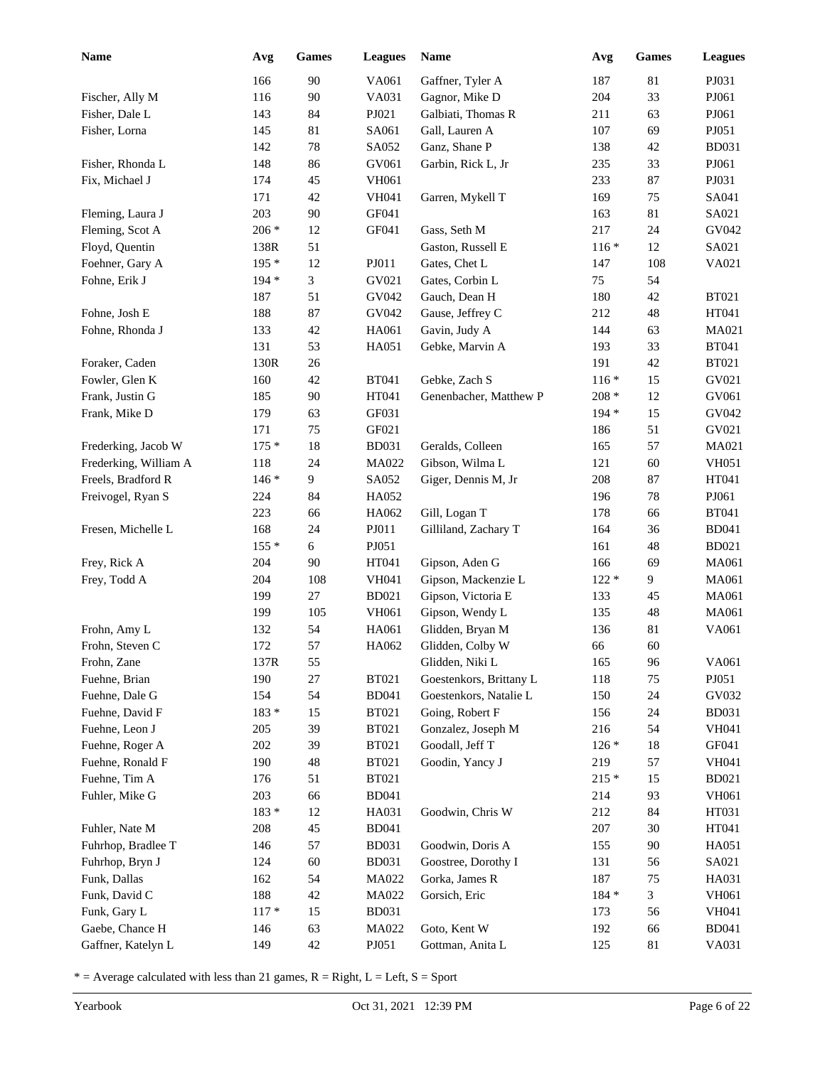| Name                  | Avg     | <b>Games</b> | <b>Leagues</b> | <b>Name</b>             | Avg     | <b>Games</b> | <b>Leagues</b> |
|-----------------------|---------|--------------|----------------|-------------------------|---------|--------------|----------------|
|                       | 166     | 90           | VA061          | Gaffner, Tyler A        | 187     | 81           | PJ031          |
| Fischer, Ally M       | 116     | 90           | VA031          | Gagnor, Mike D          | 204     | 33           | PJ061          |
| Fisher, Dale L        | 143     | 84           | PJ021          | Galbiati, Thomas R      | 211     | 63           | PJ061          |
| Fisher, Lorna         | 145     | 81           | SA061          | Gall, Lauren A          | 107     | 69           | PJ051          |
|                       | 142     | 78           | SA052          | Ganz, Shane P           | 138     | 42           | <b>BD031</b>   |
| Fisher, Rhonda L      | 148     | 86           | GV061          | Garbin, Rick L, Jr      | 235     | 33           | PJ061          |
| Fix, Michael J        | 174     | 45           | VH061          |                         | 233     | 87           | PJ031          |
|                       | 171     | 42           | <b>VH041</b>   | Garren, Mykell T        | 169     | 75           | SA041          |
| Fleming, Laura J      | 203     | 90           | GF041          |                         | 163     | 81           | SA021          |
| Fleming, Scot A       | 206 *   | 12           | GF041          | Gass, Seth M            | 217     | 24           | GV042          |
| Floyd, Quentin        | 138R    | 51           |                | Gaston, Russell E       | $116*$  | 12           | SA021          |
| Foehner, Gary A       | 195 *   | 12           | PJ011          | Gates, Chet L           | 147     | 108          | VA021          |
| Fohne, Erik J         | 194 *   | 3            | GV021          | Gates, Corbin L         | 75      | 54           |                |
|                       | 187     | 51           | GV042          | Gauch, Dean H           | 180     | 42           | <b>BT021</b>   |
| Fohne, Josh E         | 188     | 87           | GV042          | Gause, Jeffrey C        | 212     | 48           | HT041          |
| Fohne, Rhonda J       | 133     | 42           | HA061          | Gavin, Judy A           | 144     | 63           | MA021          |
|                       | 131     | 53           | HA051          | Gebke, Marvin A         | 193     | 33           | <b>BT041</b>   |
| Foraker, Caden        | 130R    | 26           |                |                         | 191     | 42           | <b>BT021</b>   |
| Fowler, Glen K        | 160     | 42           | <b>BT041</b>   | Gebke, Zach S           | $116*$  | 15           | GV021          |
| Frank, Justin G       | 185     | 90           | HT041          | Genenbacher, Matthew P  | $208 *$ | 12           | GV061          |
| Frank, Mike D         | 179     | 63           | GF031          |                         | $194 *$ | 15           | GV042          |
|                       | 171     | 75           | GF021          |                         | 186     | 51           | GV021          |
| Frederking, Jacob W   | $175*$  | 18           | <b>BD031</b>   | Geralds, Colleen        | 165     | 57           | MA021          |
| Frederking, William A | 118     | 24           | MA022          | Gibson, Wilma L         | 121     | 60           | <b>VH051</b>   |
| Freels, Bradford R    | $146*$  | 9            | SA052          | Giger, Dennis M, Jr     | 208     | 87           | HT041          |
| Freivogel, Ryan S     | 224     | 84           | HA052          |                         | 196     | 78           | PJ061          |
|                       | 223     | 66           | HA062          | Gill, Logan T           | 178     | 66           | <b>BT041</b>   |
| Fresen, Michelle L    | 168     | 24           | PJ011          | Gilliland, Zachary T    | 164     | 36           | <b>BD041</b>   |
|                       | $155*$  | 6            | PJ051          |                         | 161     | 48           | <b>BD021</b>   |
| Frey, Rick A          | 204     | 90           | HT041          | Gipson, Aden G          | 166     | 69           | MA061          |
| Frey, Todd A          | 204     | 108          | VH041          | Gipson, Mackenzie L     | $122 *$ | 9            | MA061          |
|                       | 199     | 27           | <b>BD021</b>   | Gipson, Victoria E      | 133     | 45           | MA061          |
|                       | 199     | 105          | <b>VH061</b>   | Gipson, Wendy L         | 135     | 48           | MA061          |
| Frohn, Amy L          | 132     | 54           | HA061          | Glidden, Bryan M        | 136     | 81           | VA061          |
| Frohn, Steven C       | 172     | 57           | HA062          | Glidden, Colby W        | 66      | 60           |                |
| Frohn, Zane           | 137R    | 55           |                | Glidden, Niki L         | 165     | 96           | VA061          |
| Fuehne, Brian         | 190     | $27\,$       | <b>BT021</b>   | Goestenkors, Brittany L | 118     | 75           | PJ051          |
| Fuehne, Dale G        | 154     | 54           | <b>BD041</b>   | Goestenkors, Natalie L  | 150     | 24           | GV032          |
| Fuehne, David F       | $183 *$ | 15           | <b>BT021</b>   | Going, Robert F         | 156     | 24           | <b>BD031</b>   |
| Fuehne, Leon J        | 205     | 39           | <b>BT021</b>   | Gonzalez, Joseph M      | 216     | 54           | VH041          |
| Fuehne, Roger A       | 202     | 39           | <b>BT021</b>   | Goodall, Jeff T         | $126*$  | 18           | GF041          |
| Fuehne, Ronald F      | 190     | 48           | <b>BT021</b>   | Goodin, Yancy J         | 219     | 57           | VH041          |
| Fuehne, Tim A         | 176     | 51           | <b>BT021</b>   |                         | $215*$  | 15           | <b>BD021</b>   |
| Fuhler, Mike G        | 203     | 66           | <b>BD041</b>   |                         | 214     | 93           | VH061          |
|                       | 183 *   | 12           | HA031          | Goodwin, Chris W        | 212     | 84           | HT031          |
| Fuhler, Nate M        | 208     | 45           | <b>BD041</b>   |                         | 207     | 30           | HT041          |
| Fuhrhop, Bradlee T    | 146     | 57           | <b>BD031</b>   | Goodwin, Doris A        | 155     | 90           | HA051          |
| Fuhrhop, Bryn J       | 124     | 60           | <b>BD031</b>   | Goostree, Dorothy I     | 131     | 56           | SA021          |
| Funk, Dallas          | 162     | 54           | MA022          | Gorka, James R          | 187     | 75           | HA031          |
| Funk, David C         | 188     | 42           | MA022          | Gorsich, Eric           | $184 *$ | 3            | VH061          |
| Funk, Gary L          | $117 *$ | 15           | <b>BD031</b>   |                         | 173     | 56           | VH041          |
| Gaebe, Chance H       | 146     | 63           | MA022          | Goto, Kent W            | 192     | 66           | <b>BD041</b>   |
| Gaffner, Katelyn L    | 149     | 42           | PJ051          | Gottman, Anita L        | 125     | 81           | VA031          |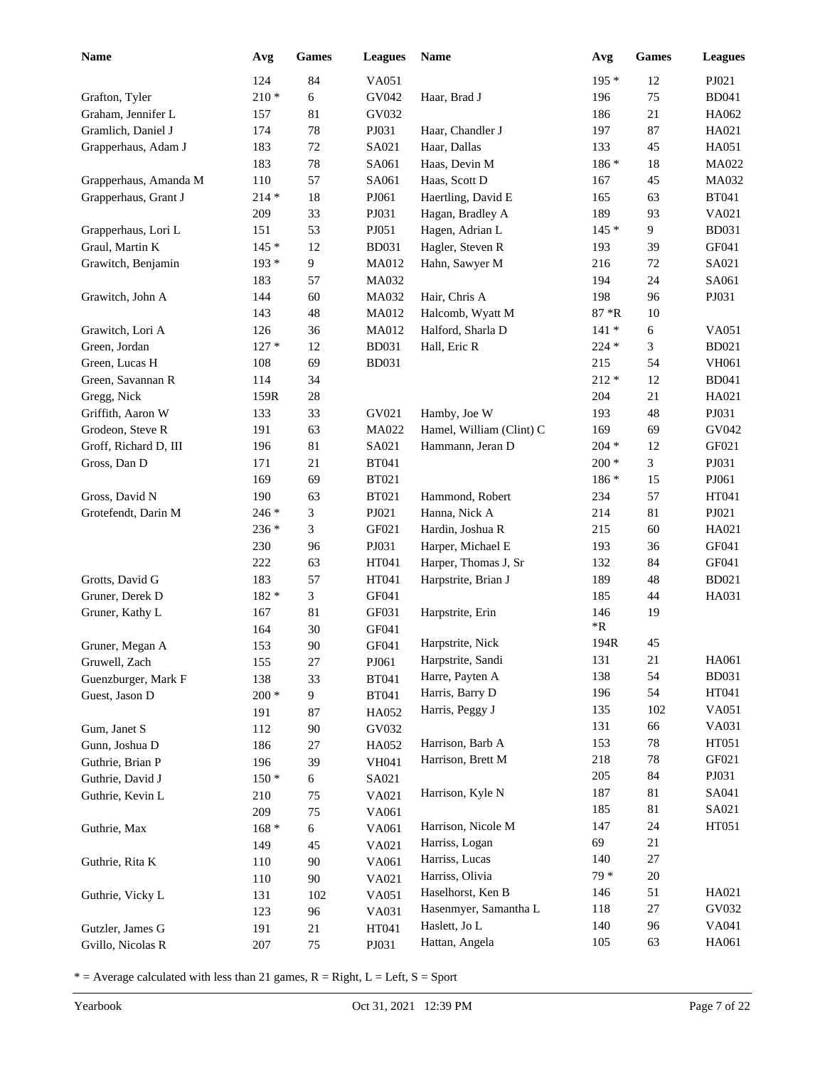| Name                                  | Avg            | Games                | <b>Leagues</b>               | Name                     | Avg                | <b>Games</b> | <b>Leagues</b> |
|---------------------------------------|----------------|----------------------|------------------------------|--------------------------|--------------------|--------------|----------------|
|                                       | 124            | 84                   | VA051                        |                          | $195*$             | 12           | PJ021          |
| Grafton, Tyler                        | $210*$         | 6                    | GV042                        | Haar, Brad J             | 196                | 75           | <b>BD041</b>   |
| Graham, Jennifer L                    | 157            | 81                   | GV032                        |                          | 186                | 21           | HA062          |
| Gramlich, Daniel J                    | 174            | 78                   | PJ031                        | Haar, Chandler J         | 197                | 87           | HA021          |
| Grapperhaus, Adam J                   | 183            | $72\,$               | SA021                        | Haar, Dallas             | 133                | 45           | HA051          |
|                                       | 183            | 78                   | SA061                        | Haas, Devin M            | 186 *              | $18\,$       | MA022          |
| Grapperhaus, Amanda M                 | 110            | 57                   | SA061                        | Haas, Scott D            | 167                | 45           | MA032          |
| Grapperhaus, Grant J                  | $214 *$        | 18                   | PJ061                        | Haertling, David E       | 165                | 63           | <b>BT041</b>   |
|                                       | 209            | 33                   | PJ031                        | Hagan, Bradley A         | 189                | 93           | VA021          |
| Grapperhaus, Lori L                   | 151            | 53                   | PJ051                        | Hagen, Adrian L          | $145*$             | 9            | <b>BD031</b>   |
| Graul, Martin K                       | $145*$         | 12                   | <b>BD031</b>                 | Hagler, Steven R         | 193                | 39           | GF041          |
| Grawitch, Benjamin                    | $193*$         | 9                    | <b>MA012</b>                 | Hahn, Sawyer M           | 216                | $72\,$       | SA021          |
|                                       | 183            | 57                   | MA032                        |                          | 194                | 24           | SA061          |
| Grawitch, John A                      | 144            | 60                   | MA032                        | Hair, Chris A            | 198                | 96           | PJ031          |
|                                       | 143            | 48                   | MA012                        | Halcomb, Wyatt M         | $87 * R$           | $10\,$       |                |
| Grawitch, Lori A                      | 126            | 36                   | MA012                        | Halford, Sharla D        | $141*$             | 6            | VA051          |
| Green, Jordan                         | $127*$         | 12                   | <b>BD031</b>                 | Hall, Eric R             | $224 *$            | 3            | <b>BD021</b>   |
| Green, Lucas H                        | 108            | 69                   | <b>BD031</b>                 |                          | 215                | 54           | VH061          |
| Green, Savannan R                     | 114            | 34                   |                              |                          | $212 *$            | 12           | <b>BD041</b>   |
| Gregg, Nick                           | 159R           | 28                   |                              |                          | 204                | 21           | HA021          |
| Griffith, Aaron W                     | 133            | 33                   | GV021                        | Hamby, Joe W             | 193                | 48           | PJ031          |
| Grodeon, Steve R                      | 191            | 63                   | MA022                        | Hamel, William (Clint) C | 169                | 69           | GV042          |
| Groff, Richard D, III                 | 196            | 81                   | SA021                        | Hammann, Jeran D         | $204 *$            | 12           | GF021          |
| Gross, Dan D                          | 171            | 21                   | <b>BT041</b>                 |                          | $200 *$            | 3            | PJ031          |
|                                       | 169            | 69                   | <b>BT021</b>                 |                          | 186 *              | 15           | PJ061          |
| Gross, David N                        | 190            | 63                   | <b>BT021</b>                 | Hammond, Robert          | 234                | 57           | HT041          |
| Grotefendt, Darin M                   | 246 *          | 3                    | PJ021                        | Hanna, Nick A            | 214                | 81           | PJ021          |
|                                       | 236 *          | 3                    | GF021                        | Hardin, Joshua R         | 215                | 60           | HA021          |
|                                       | 230            | 96                   | PJ031                        | Harper, Michael E        | 193                | 36           | GF041          |
|                                       | 222            | 63                   | HT041                        | Harper, Thomas J, Sr     | 132                | 84           | GF041          |
| Grotts, David G                       | 183            | 57                   | HT041                        | Harpstrite, Brian J      | 189                | 48           | <b>BD021</b>   |
| Gruner, Derek D                       | 182 *          | 3                    | GF041                        |                          | 185                | 44           | HA031          |
| Gruner, Kathy L                       | 167            | 81                   | GF031                        | Harpstrite, Erin         | 146<br>$\rm ^{*}R$ | 19           |                |
|                                       | 164            | 30                   | GF041                        | Harpstrite, Nick         | 194R               | 45           |                |
| Gruner, Megan A                       | 153            | 90                   | GF041                        | Harpstrite, Sandi        | 131                | 21           | HA061          |
| Gruwell, Zach                         | 155            | 27                   | PJ061                        | Harre, Payten A          | 138                | 54           | <b>BD031</b>   |
| Guenzburger, Mark F<br>Guest, Jason D | 138<br>$200 *$ | 33<br>$\overline{9}$ | <b>BT041</b><br><b>BT041</b> | Harris, Barry D          | 196                | 54           | HT041          |
|                                       | 191            | 87                   | HA052                        | Harris, Peggy J          | 135                | 102          | VA051          |
| Gum, Janet S                          | 112            | 90                   | GV032                        |                          | 131                | 66           | VA031          |
| Gunn, Joshua D                        | 186            | 27                   | HA052                        | Harrison, Barb A         | 153                | 78           | HT051          |
| Guthrie, Brian P                      | 196            | 39                   | VH041                        | Harrison, Brett M        | 218                | 78           | GF021          |
| Guthrie, David J                      | $150 *$        | $\sqrt{6}$           | SA021                        |                          | 205                | 84           | PJ031          |
| Guthrie, Kevin L                      | 210            | 75                   | VA021                        | Harrison, Kyle N         | 187                | 81           | SA041          |
|                                       | 209            | 75                   | VA061                        |                          | 185                | 81           | SA021          |
| Guthrie, Max                          | $168 *$        | 6                    | VA061                        | Harrison, Nicole M       | 147                | 24           | HT051          |
|                                       | 149            | 45                   | VA021                        | Harriss, Logan           | 69                 | 21           |                |
| Guthrie, Rita K                       | 110            | 90                   | VA061                        | Harriss, Lucas           | 140                | 27           |                |
|                                       | 110            | 90                   | VA021                        | Harriss, Olivia          | 79 *               | $20\,$       |                |
| Guthrie, Vicky L                      | 131            | 102                  | VA051                        | Haselhorst, Ken B        | 146                | 51           | HA021          |
|                                       | 123            | 96                   | VA031                        | Hasenmyer, Samantha L    | 118                | 27           | GV032          |
| Gutzler, James G                      | 191            | 21                   | HT041                        | Haslett, Jo L            | 140                | 96           | VA041          |
| Gvillo, Nicolas R                     | 207            | 75                   | PJ031                        | Hattan, Angela           | 105                | 63           | HA061          |
|                                       |                |                      |                              |                          |                    |              |                |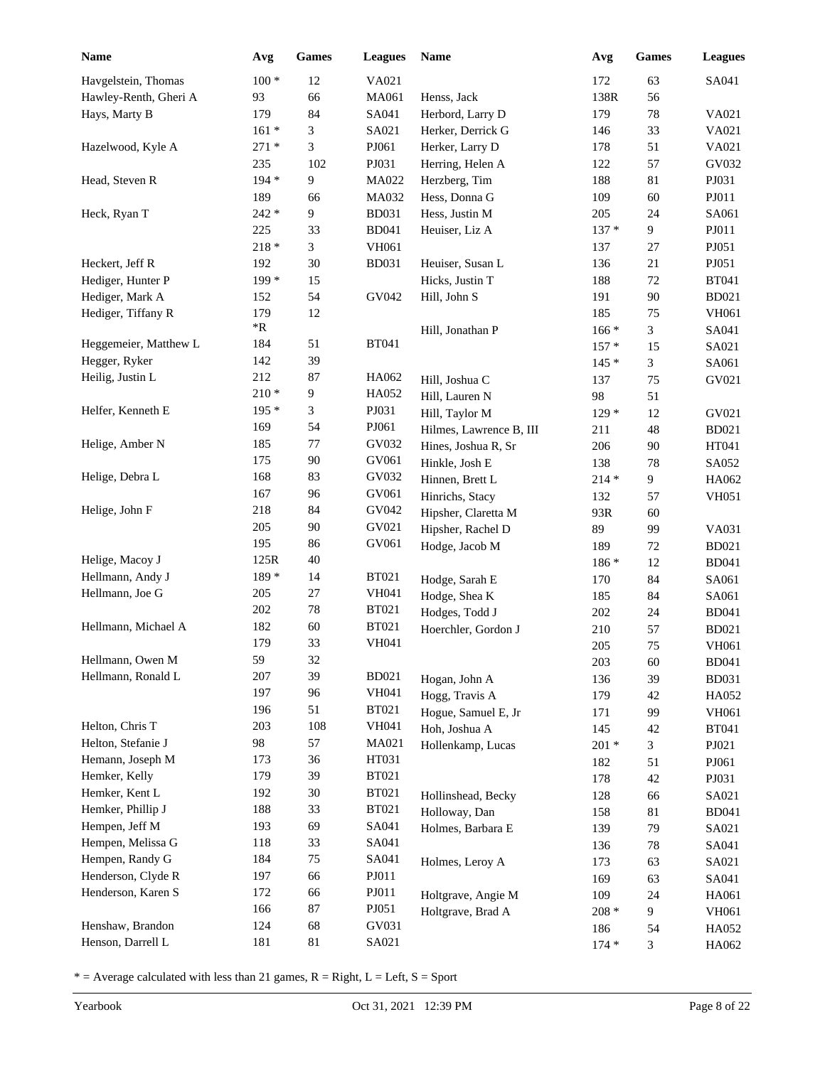| <b>Name</b>           | Avg        | Games            | <b>Leagues</b>               | Name                                | Avg        | <b>Games</b> | <b>Leagues</b>        |
|-----------------------|------------|------------------|------------------------------|-------------------------------------|------------|--------------|-----------------------|
| Havgelstein, Thomas   | $100 *$    | 12               | VA021                        |                                     | 172        | 63           | SA041                 |
| Hawley-Renth, Gheri A | 93         | 66               | MA061                        | Henss, Jack                         | 138R       | 56           |                       |
| Hays, Marty B         | 179        | 84               | SA041                        | Herbord, Larry D                    | 179        | $78\,$       | VA021                 |
|                       | $161 *$    | 3                | SA021                        | Herker, Derrick G                   | 146        | 33           | VA021                 |
| Hazelwood, Kyle A     | $271*$     | 3                | PJ061                        | Herker, Larry D                     | 178        | 51           | VA021                 |
|                       | 235        | 102              | PJ031                        | Herring, Helen A                    | 122        | 57           | GV032                 |
| Head, Steven R        | 194 *      | 9                | MA022                        | Herzberg, Tim                       | 188        | 81           | PJ031                 |
|                       | 189        | 66               | MA032                        | Hess, Donna G                       | 109        | 60           | PJ011                 |
| Heck, Ryan T          | 242 *      | 9                | <b>BD031</b>                 | Hess, Justin M                      | 205        | 24           | SA061                 |
|                       | 225        | 33               | <b>BD041</b>                 | Heuiser, Liz A                      | $137 *$    | 9            | PJ011                 |
|                       | $218 *$    | 3                | VH061                        |                                     | 137        | 27           | PJ051                 |
| Heckert, Jeff R       | 192        | 30               | <b>BD031</b>                 | Heuiser, Susan L                    | 136        | 21           | PJ051                 |
| Hediger, Hunter P     | 199 *      | 15               |                              | Hicks, Justin T                     | 188        | $72\,$       | <b>BT041</b>          |
| Hediger, Mark A       | 152        | 54               | GV042                        | Hill, John S                        | 191        | 90           | <b>BD021</b>          |
| Hediger, Tiffany R    | 179        | 12               |                              |                                     | 185        | 75           | VH061                 |
|                       | *R         |                  |                              | Hill, Jonathan P                    | $166*$     | 3            | SA041                 |
| Heggemeier, Matthew L | 184        | 51               | <b>BT041</b>                 |                                     | $157*$     | 15           | SA021                 |
| Hegger, Ryker         | 142        | 39               |                              |                                     | $145*$     | 3            | SA061                 |
| Heilig, Justin L      | 212        | 87               | HA062                        | Hill, Joshua C                      | 137        | 75           | GV021                 |
|                       | $210*$     | $\boldsymbol{9}$ | HA052                        | Hill, Lauren N                      | 98         | 51           |                       |
| Helfer, Kenneth E     | 195 *      | 3                | PJ031                        | Hill, Taylor M                      | $129*$     | 12           | GV021                 |
|                       | 169        | 54               | PJ061                        | Hilmes, Lawrence B, III             | 211        | 48           | <b>BD021</b>          |
| Helige, Amber N       | 185        | 77               | GV032                        | Hines, Joshua R, Sr                 | 206        | 90           | HT041                 |
|                       | 175        | 90               | GV061                        | Hinkle, Josh E                      | 138        | 78           | SA052                 |
| Helige, Debra L       | 168        | 83               | GV032                        | Hinnen, Brett L                     | $214 *$    | 9            | HA062                 |
|                       | 167        | 96               | GV061                        | Hinrichs, Stacy                     | 132        | 57           | <b>VH051</b>          |
| Helige, John F        | 218        | 84               | GV042                        | Hipsher, Claretta M                 | 93R        | 60           |                       |
|                       | 205        | 90               | GV021                        | Hipsher, Rachel D                   | 89         | 99           | VA031                 |
|                       | 195        | 86               | GV061                        | Hodge, Jacob M                      | 189        | $72\,$       | <b>BD021</b>          |
| Helige, Macoy J       | 125R       | 40               |                              |                                     | $186*$     | 12           | <b>BD041</b>          |
| Hellmann, Andy J      | 189 *      | 14               | <b>BT021</b>                 | Hodge, Sarah E                      | 170        | 84           | SA061                 |
| Hellmann, Joe G       | 205        | 27               | <b>VH041</b>                 | Hodge, Shea K                       | 185        | 84           | SA061                 |
| Hellmann, Michael A   | 202        | 78               | <b>BT021</b><br><b>BT021</b> | Hodges, Todd J                      | $202\,$    | 24           | <b>BD041</b>          |
|                       | 182<br>179 | 60<br>33         | <b>VH041</b>                 | Hoerchler, Gordon J                 | 210        | 57           | <b>BD021</b>          |
| Hellmann, Owen M      | 59         | 32               |                              |                                     | 205        | 75           | VH061                 |
| Hellmann, Ronald L    | 207        | 39               | <b>BD021</b>                 |                                     | 203        | 60           | <b>BD041</b>          |
|                       | 197        | 96               | VH041                        | Hogan, John A                       | 136        | 39           | <b>BD031</b>          |
|                       | 196        | 51               | <b>BT021</b>                 | Hogg, Travis A                      | 179        | 42           | HA052                 |
| Helton, Chris T       | 203        | 108              | <b>VH041</b>                 | Hogue, Samuel E, Jr                 | 171        | 99           | VH061                 |
| Helton, Stefanie J    | 98         | 57               | MA021                        | Hoh, Joshua A                       | 145        | 42           | <b>BT041</b>          |
| Hemann, Joseph M      | 173        | 36               | HT031                        | Hollenkamp, Lucas                   | $201 *$    | 3            | PJ021                 |
| Hemker, Kelly         | 179        | 39               | <b>BT021</b>                 |                                     | 182        | 51           | PJ061                 |
| Hemker, Kent L        | 192        | 30               | <b>BT021</b>                 |                                     | 178        | 42           | PJ031                 |
| Hemker, Phillip J     | 188        | 33               | <b>BT021</b>                 | Hollinshead, Becky<br>Holloway, Dan | 128        | 66           | SA021                 |
| Hempen, Jeff M        | 193        | 69               | SA041                        | Holmes, Barbara E                   | 158<br>139 | 81<br>79     | <b>BD041</b><br>SA021 |
| Hempen, Melissa G     | 118        | 33               | SA041                        |                                     | 136        | $78\,$       | SA041                 |
| Hempen, Randy G       | 184        | 75               | SA041                        |                                     |            |              |                       |
| Henderson, Clyde R    | 197        | 66               | PJO11                        | Holmes, Leroy A                     | 173<br>169 | 63<br>63     | SA021<br>SA041        |
| Henderson, Karen S    | 172        | 66               | PJ011                        | Holtgrave, Angie M                  | 109        | 24           | HA061                 |
|                       | 166        | 87               | PJ051                        | Holtgrave, Brad A                   | $208 *$    | 9            | VH061                 |
| Henshaw, Brandon      | 124        | 68               | GV031                        |                                     | 186        | 54           | HA052                 |
| Henson, Darrell L     | 181        | $81\,$           | SA021                        |                                     | $174*$     | 3            | HA062                 |
|                       |            |                  |                              |                                     |            |              |                       |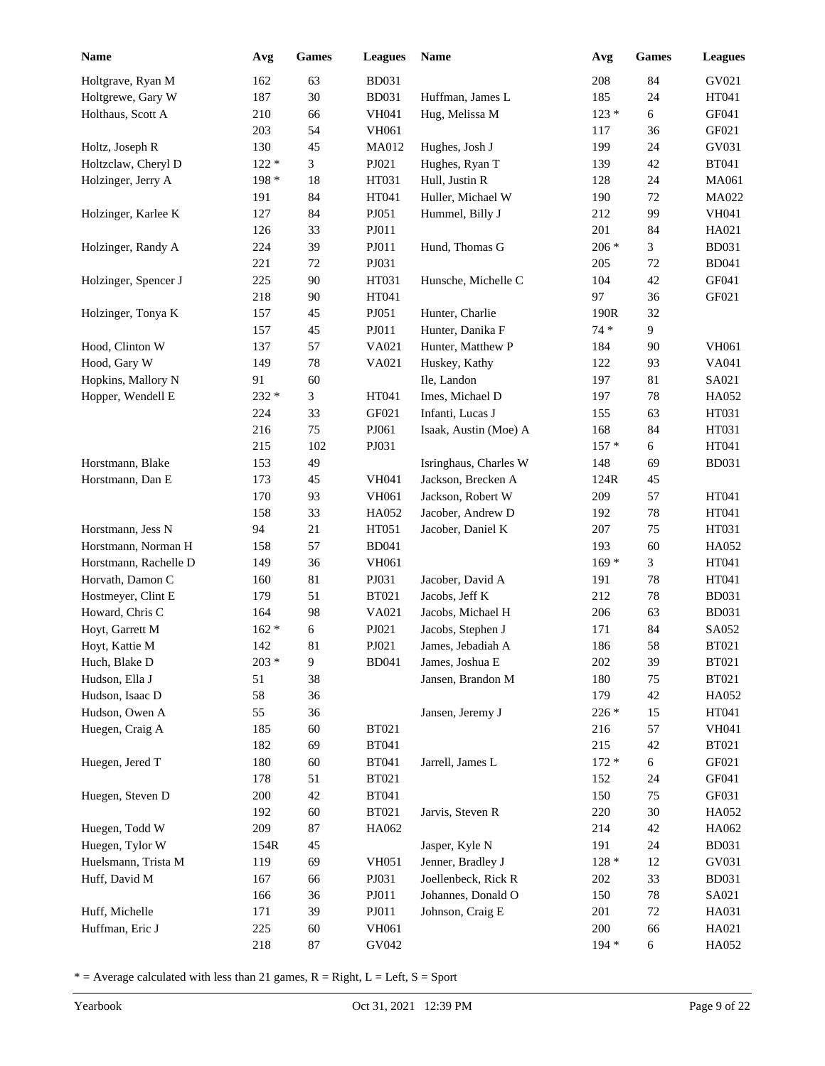| <b>Name</b>           | Avg     | <b>Games</b> | <b>Leagues</b> | Name                  | Avg     | <b>Games</b> | <b>Leagues</b> |
|-----------------------|---------|--------------|----------------|-----------------------|---------|--------------|----------------|
| Holtgrave, Ryan M     | 162     | 63           | <b>BD031</b>   |                       | 208     | 84           | GV021          |
| Holtgrewe, Gary W     | 187     | 30           | <b>BD031</b>   | Huffman, James L      | 185     | 24           | HT041          |
| Holthaus, Scott A     | 210     | 66           | <b>VH041</b>   | Hug, Melissa M        | $123*$  | $\epsilon$   | GF041          |
|                       | 203     | 54           | VH061          |                       | 117     | 36           | GF021          |
| Holtz, Joseph R       | 130     | 45           | MA012          | Hughes, Josh J        | 199     | 24           | GV031          |
| Holtzclaw, Cheryl D   | $122 *$ | 3            | PJ021          | Hughes, Ryan T        | 139     | 42           | <b>BT041</b>   |
| Holzinger, Jerry A    | 198 *   | 18           | HT031          | Hull, Justin R        | 128     | 24           | MA061          |
|                       | 191     | 84           | HT041          | Huller, Michael W     | 190     | 72           | MA022          |
| Holzinger, Karlee K   | 127     | 84           | PJ051          | Hummel, Billy J       | 212     | 99           | <b>VH041</b>   |
|                       | 126     | 33           | PJ011          |                       | 201     | 84           | HA021          |
| Holzinger, Randy A    | 224     | 39           | PJ011          | Hund, Thomas G        | $206 *$ | 3            | <b>BD031</b>   |
|                       | 221     | 72           | PJ031          |                       | 205     | 72           | <b>BD041</b>   |
| Holzinger, Spencer J  | 225     | $90\,$       | HT031          | Hunsche, Michelle C   | 104     | 42           | GF041          |
|                       | 218     | 90           | HT041          |                       | 97      | 36           | GF021          |
| Holzinger, Tonya K    | 157     | 45           | PJ051          | Hunter, Charlie       | 190R    | 32           |                |
|                       | 157     | 45           | PJ011          | Hunter, Danika F      | $74*$   | 9            |                |
| Hood, Clinton W       | 137     | 57           | VA021          | Hunter, Matthew P     | 184     | 90           | <b>VH061</b>   |
| Hood, Gary W          | 149     | 78           | VA021          | Huskey, Kathy         | 122     | 93           | VA041          |
| Hopkins, Mallory N    | 91      | 60           |                | Ile, Landon           | 197     | 81           | SA021          |
| Hopper, Wendell E     | 232 *   | 3            | HT041          | Imes, Michael D       | 197     | 78           | HA052          |
|                       | 224     | 33           | GF021          | Infanti, Lucas J      | 155     | 63           | HT031          |
|                       | 216     | 75           | PJ061          | Isaak, Austin (Moe) A | 168     | 84           | HT031          |
|                       | 215     | 102          | PJ031          |                       | $157*$  | 6            | HT041          |
| Horstmann, Blake      | 153     | 49           |                | Isringhaus, Charles W | 148     | 69           | <b>BD031</b>   |
| Horstmann, Dan E      | 173     | 45           | <b>VH041</b>   | Jackson, Brecken A    | 124R    | 45           |                |
|                       | 170     | 93           | VH061          | Jackson, Robert W     | 209     | 57           | HT041          |
|                       | 158     | 33           | HA052          | Jacober, Andrew D     | 192     | 78           | HT041          |
| Horstmann, Jess N     | 94      | 21           | HT051          | Jacober, Daniel K     | 207     | 75           | HT031          |
| Horstmann, Norman H   | 158     | 57           | <b>BD041</b>   |                       | 193     | 60           | HA052          |
| Horstmann, Rachelle D | 149     | 36           | <b>VH061</b>   |                       | $169*$  | 3            | HT041          |
| Horvath, Damon C      | 160     | 81           | PJ031          | Jacober, David A      | 191     | 78           | HT041          |
| Hostmeyer, Clint E    | 179     | 51           | <b>BT021</b>   | Jacobs, Jeff K        | 212     | 78           | <b>BD031</b>   |
| Howard, Chris C       | 164     | 98           | VA021          | Jacobs, Michael H     | 206     | 63           | <b>BD031</b>   |
| Hoyt, Garrett M       | $162 *$ | 6            | PJ021          | Jacobs, Stephen J     | 171     | 84           | SA052          |
| Hoyt, Kattie M        | 142     | 81           | PJ021          | James, Jebadiah A     | 186     | 58           | <b>BT021</b>   |
| Huch, Blake D         | $203 *$ | 9            | <b>BD041</b>   | James, Joshua E       | 202     | 39           | <b>BT021</b>   |
| Hudson, Ella J        | 51      | 38           |                | Jansen, Brandon M     | 180     | $75\,$       | <b>BT021</b>   |
| Hudson, Isaac D       | 58      | 36           |                |                       | 179     | 42           | HA052          |
| Hudson, Owen A        | 55      | 36           |                | Jansen, Jeremy J      | $226*$  | 15           | HT041          |
| Huegen, Craig A       | 185     | $60\,$       | <b>BT021</b>   |                       | 216     | 57           | VH041          |
|                       | 182     | 69           | <b>BT041</b>   |                       | 215     | 42           | <b>BT021</b>   |
| Huegen, Jered T       | 180     | 60           | <b>BT041</b>   | Jarrell, James L      | $172 *$ | 6            | GF021          |
|                       | 178     | 51           | <b>BT021</b>   |                       | 152     | 24           | GF041          |
| Huegen, Steven D      | 200     | 42           | <b>BT041</b>   |                       | 150     | 75           | GF031          |
|                       | 192     | $60\,$       | <b>BT021</b>   | Jarvis, Steven R      | 220     | 30           | HA052          |
| Huegen, Todd W        | 209     | $87\,$       | HA062          |                       | 214     | 42           | HA062          |
| Huegen, Tylor W       | 154R    | 45           |                | Jasper, Kyle N        | 191     | 24           | <b>BD031</b>   |
| Huelsmann, Trista M   | 119     | 69           | <b>VH051</b>   | Jenner, Bradley J     | $128*$  | 12           | GV031          |
| Huff, David M         | 167     | 66           | PJ031          | Joellenbeck, Rick R   | 202     | 33           | <b>BD031</b>   |
|                       | 166     | 36           | ${\bf P}J011$  | Johannes, Donald O    | 150     | 78           | SA021          |
| Huff, Michelle        | 171     | 39           | ${\bf P}J011$  | Johnson, Craig E      | 201     | $72\,$       | HA031          |
| Huffman, Eric J       | 225     | $60\,$       | VH061          |                       | 200     | 66           | HA021          |
|                       | 218     | $87\,$       | GV042          |                       | $194 *$ | $\epsilon$   | HA052          |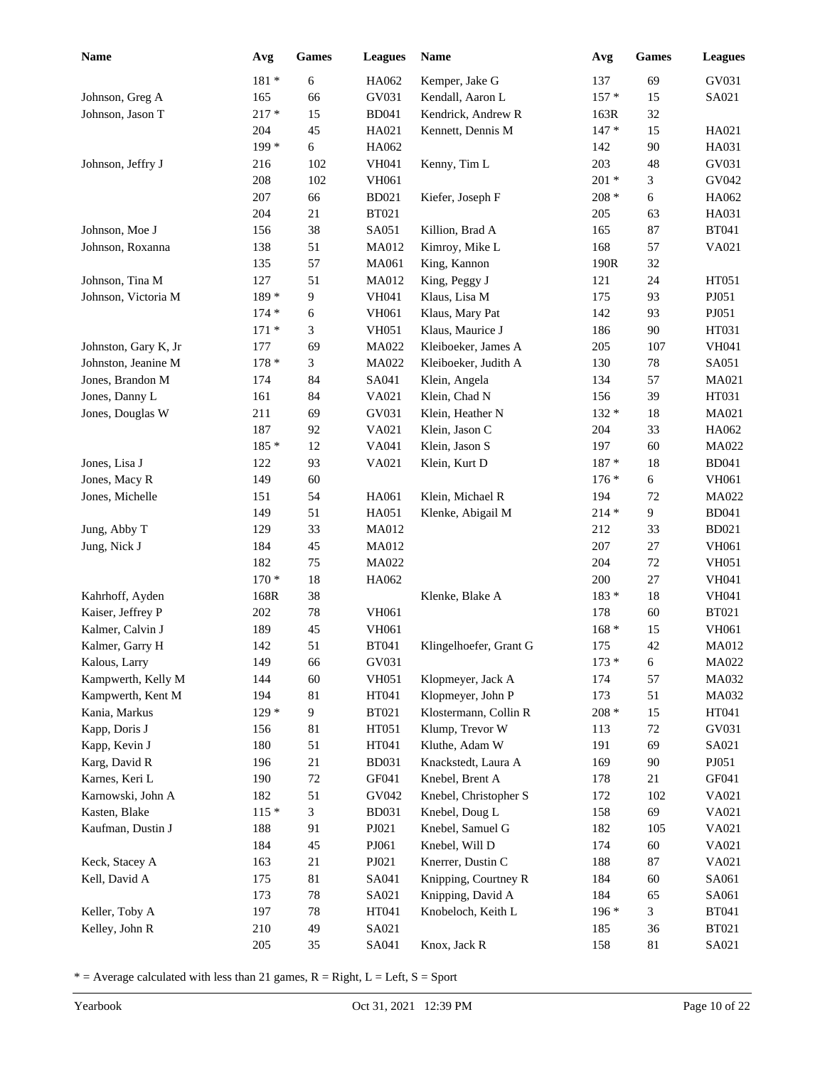| <b>Name</b>          | Avg     | <b>Games</b>     | <b>Leagues</b> | Name                   | Avg     | <b>Games</b> | <b>Leagues</b> |
|----------------------|---------|------------------|----------------|------------------------|---------|--------------|----------------|
|                      | $181 *$ | $\boldsymbol{6}$ | HA062          | Kemper, Jake G         | 137     | 69           | GV031          |
| Johnson, Greg A      | 165     | 66               | GV031          | Kendall, Aaron L       | $157*$  | 15           | SA021          |
| Johnson, Jason T     | $217 *$ | 15               | <b>BD041</b>   | Kendrick, Andrew R     | 163R    | 32           |                |
|                      | 204     | 45               | HA021          | Kennett, Dennis M      | $147*$  | 15           | HA021          |
|                      | 199 *   | 6                | HA062          |                        | 142     | 90           | HA031          |
| Johnson, Jeffry J    | 216     | 102              | <b>VH041</b>   | Kenny, Tim L           | 203     | 48           | GV031          |
|                      | 208     | 102              | VH061          |                        | $201 *$ | 3            | GV042          |
|                      | 207     | 66               | <b>BD021</b>   | Kiefer, Joseph F       | $208 *$ | 6            | HA062          |
|                      | 204     | $21\,$           | <b>BT021</b>   |                        | 205     | 63           | HA031          |
| Johnson, Moe J       | 156     | 38               | SA051          | Killion, Brad A        | 165     | 87           | <b>BT041</b>   |
| Johnson, Roxanna     | 138     | 51               | MA012          | Kimroy, Mike L         | 168     | 57           | VA021          |
|                      | 135     | 57               | MA061          | King, Kannon           | 190R    | 32           |                |
| Johnson, Tina M      | 127     | 51               | MA012          | King, Peggy J          | 121     | 24           | HT051          |
| Johnson, Victoria M  | 189 *   | $\boldsymbol{9}$ | <b>VH041</b>   | Klaus, Lisa M          | 175     | 93           | PJ051          |
|                      | $174*$  | 6                | VH061          | Klaus, Mary Pat        | 142     | 93           | PJ051          |
|                      | $171*$  | 3                | <b>VH051</b>   | Klaus, Maurice J       | 186     | 90           | HT031          |
| Johnston, Gary K, Jr | 177     | 69               | MA022          | Kleiboeker, James A    | 205     | 107          | <b>VH041</b>   |
| Johnston, Jeanine M  | 178 *   | 3                | MA022          | Kleiboeker, Judith A   | 130     | $78\,$       | SA051          |
| Jones, Brandon M     | 174     | 84               | SA041          | Klein, Angela          | 134     | 57           | MA021          |
| Jones, Danny L       | 161     | 84               | VA021          | Klein, Chad N          | 156     | 39           | HT031          |
| Jones, Douglas W     | 211     | 69               | GV031          | Klein, Heather N       | $132 *$ | 18           | MA021          |
|                      | 187     | 92               | VA021          | Klein, Jason C         | 204     | 33           | HA062          |
|                      | 185 *   | 12               | VA041          | Klein, Jason S         | 197     | 60           | MA022          |
| Jones, Lisa J        | 122     | 93               | VA021          | Klein, Kurt D          | 187 *   | 18           | <b>BD041</b>   |
| Jones, Macy R        | 149     | 60               |                |                        | $176*$  | 6            | VH061          |
| Jones, Michelle      | 151     | 54               | HA061          | Klein, Michael R       | 194     | 72           | MA022          |
|                      | 149     | 51               | HA051          | Klenke, Abigail M      | $214 *$ | 9            | <b>BD041</b>   |
| Jung, Abby T         | 129     | 33               | MA012          |                        | 212     | 33           | <b>BD021</b>   |
| Jung, Nick J         | 184     | 45               | <b>MA012</b>   |                        | 207     | $27\,$       | <b>VH061</b>   |
|                      | 182     | 75               | MA022          |                        | 204     | $72\,$       | <b>VH051</b>   |
|                      | $170*$  | 18               | HA062          |                        | 200     | $27\,$       | VH041          |
| Kahrhoff, Ayden      | 168R    | 38               |                | Klenke, Blake A        | 183 *   | $18\,$       | VH041          |
| Kaiser, Jeffrey P    | 202     | 78               | VH061          |                        | 178     | 60           | <b>BT021</b>   |
| Kalmer, Calvin J     | 189     | 45               | VH061          |                        | $168 *$ | 15           | VH061          |
| Kalmer, Garry H      | 142     | 51               | <b>BT041</b>   | Klingelhoefer, Grant G | 175     | 42           | MA012          |
| Kalous, Larry        | 149     | 66               | GV031          |                        | $173*$  | $\sqrt{6}$   | MA022          |
| Kampwerth, Kelly M   | 144     | 60               | <b>VH051</b>   | Klopmeyer, Jack A      | 174     | 57           | MA032          |
| Kampwerth, Kent M    | 194     | 81               | HT041          | Klopmeyer, John P      | 173     | 51           | MA032          |
| Kania, Markus        | $129*$  | 9                | <b>BT021</b>   | Klostermann, Collin R  | $208 *$ | 15           | HT041          |
| Kapp, Doris J        | 156     | 81               | HT051          | Klump, Trevor W        | 113     | $72\,$       | GV031          |
| Kapp, Kevin J        | 180     | 51               | HT041          | Kluthe, Adam W         | 191     | 69           | SA021          |
| Karg, David R        | 196     | $21\,$           | <b>BD031</b>   | Knackstedt, Laura A    | 169     | 90           | PJ051          |
| Karnes, Keri L       | 190     | $72\,$           | GF041          | Knebel, Brent A        | 178     | 21           | GF041          |
| Karnowski, John A    | 182     | 51               | GV042          | Knebel, Christopher S  | 172     | 102          | VA021          |
| Kasten, Blake        | $115*$  | $\mathfrak{Z}$   | <b>BD031</b>   | Knebel, Doug L         | 158     | 69           | VA021          |
| Kaufman, Dustin J    | 188     | 91               | PJ021          | Knebel, Samuel G       | 182     | 105          | VA021          |
|                      | 184     | 45               | PJ061          | Knebel, Will D         | 174     | 60           | VA021          |
| Keck, Stacey A       | 163     | 21               | PJ021          | Knerrer, Dustin C      | 188     | 87           | VA021          |
| Kell, David A        | 175     | 81               | SA041          | Knipping, Courtney R   | 184     | 60           | SA061          |
|                      | 173     | 78               | SA021          | Knipping, David A      | 184     | 65           | SA061          |
| Keller, Toby A       | 197     | 78               | HT041          | Knobeloch, Keith L     | $196*$  | 3            | <b>BT041</b>   |
| Kelley, John R       | 210     | 49               | SA021          |                        | 185     | 36           | <b>BT021</b>   |
|                      | 205     | 35               | SA041          | Knox, Jack R           | 158     | 81           | SA021          |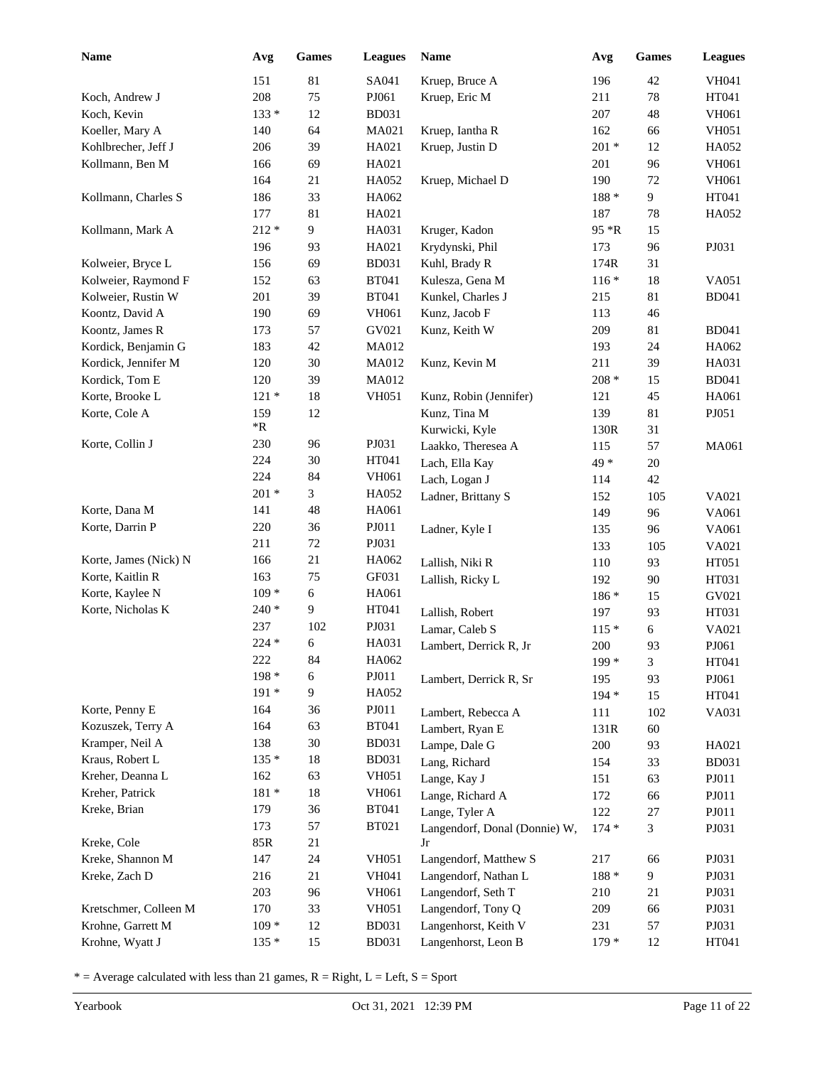| Name                  | Avg     | <b>Games</b>   | <b>Leagues</b> | Name                          | Avg     | <b>Games</b>   | <b>Leagues</b> |
|-----------------------|---------|----------------|----------------|-------------------------------|---------|----------------|----------------|
|                       | 151     | 81             | SA041          | Kruep, Bruce A                | 196     | 42             | VH041          |
| Koch, Andrew J        | 208     | 75             | PJ061          | Kruep, Eric M                 | 211     | 78             | HT041          |
| Koch, Kevin           | $133*$  | 12             | <b>BD031</b>   |                               | 207     | 48             | VH061          |
| Koeller, Mary A       | 140     | 64             | MA021          | Kruep, Iantha R               | 162     | 66             | <b>VH051</b>   |
| Kohlbrecher, Jeff J   | 206     | 39             | HA021          | Kruep, Justin D               | $201 *$ | 12             | HA052          |
| Kollmann, Ben M       | 166     | 69             | HA021          |                               | 201     | 96             | VH061          |
|                       | 164     | 21             | HA052          | Kruep, Michael D              | 190     | 72             | VH061          |
| Kollmann, Charles S   | 186     | 33             | HA062          |                               | 188 *   | 9              | HT041          |
|                       | 177     | 81             | HA021          |                               | 187     | 78             | HA052          |
| Kollmann, Mark A      | $212 *$ | 9              | HA031          | Kruger, Kadon                 | 95 *R   | 15             |                |
|                       | 196     | 93             | HA021          | Krydynski, Phil               | 173     | 96             | PJ031          |
| Kolweier, Bryce L     | 156     | 69             | <b>BD031</b>   | Kuhl, Brady R                 | 174R    | 31             |                |
| Kolweier, Raymond F   | 152     | 63             | <b>BT041</b>   | Kulesza, Gena M               | $116*$  | 18             | VA051          |
| Kolweier, Rustin W    | 201     | 39             | <b>BT041</b>   | Kunkel, Charles J             | 215     | $81\,$         | <b>BD041</b>   |
| Koontz, David A       | 190     | 69             | VH061          | Kunz, Jacob F                 | 113     | 46             |                |
| Koontz, James R       | 173     | 57             | GV021          | Kunz, Keith W                 | 209     | 81             | <b>BD041</b>   |
| Kordick, Benjamin G   | 183     | 42             | MA012          |                               | 193     | 24             | HA062          |
| Kordick, Jennifer M   | 120     | 30             | MA012          | Kunz, Kevin M                 | 211     | 39             | HA031          |
| Kordick, Tom E        | 120     | 39             | MA012          |                               | $208 *$ | 15             | <b>BD041</b>   |
| Korte, Brooke L       | $121 *$ | 18             | <b>VH051</b>   | Kunz, Robin (Jennifer)        | 121     | 45             | HA061          |
| Korte, Cole A         | 159     | 12             |                | Kunz, Tina M                  | 139     | 81             | PJ051          |
|                       | *R      |                |                | Kurwicki, Kyle                | 130R    | 31             |                |
| Korte, Collin J       | 230     | 96             | PJ031          | Laakko, Theresea A            | 115     | 57             | MA061          |
|                       | 224     | 30             | HT041          | Lach, Ella Kay                | 49 *    | $20\,$         |                |
|                       | 224     | 84             | VH061          | Lach, Logan J                 | 114     | 42             |                |
|                       | $201 *$ | 3              | HA052          | Ladner, Brittany S            | 152     | 105            | VA021          |
| Korte, Dana M         | 141     | 48             | HA061          |                               | 149     | 96             | VA061          |
| Korte, Darrin P       | 220     | 36             | PJO11          | Ladner, Kyle I                | 135     | 96             | VA061          |
|                       | 211     | $72\,$         | PJ031          |                               | 133     | 105            | VA021          |
| Korte, James (Nick) N | 166     | 21             | HA062          | Lallish, Niki R               | 110     | 93             | HT051          |
| Korte, Kaitlin R      | 163     | 75             | GF031          | Lallish, Ricky L              | 192     | 90             | HT031          |
| Korte, Kaylee N       | $109*$  | 6              | HA061          |                               | $186*$  | 15             | GV021          |
| Korte, Nicholas K     | $240*$  | 9              | HT041          | Lallish, Robert               | 197     | 93             | HT031          |
|                       | 237     | 102            | PJ031          | Lamar, Caleb S                | $115*$  | $\sqrt{6}$     | VA021          |
|                       | 224 *   | 6              | HA031          | Lambert, Derrick R, Jr        | 200     | 93             | PJ061          |
|                       | 222     | 84             | HA062          |                               | $199*$  | 3              | HT041          |
|                       | 198 *   | 6              | PJO11          | Lambert, Derrick R, Sr        | 195     | 93             | PJ061          |
|                       | 191 *   | $\overline{9}$ | HA052          |                               | 194 *   | 15             | HT041          |
| Korte, Penny E        | 164     | 36             | PJO11          | Lambert, Rebecca A            | 111     | 102            | VA031          |
| Kozuszek, Terry A     | 164     | 63             | <b>BT041</b>   | Lambert, Ryan E               | 131R    | 60             |                |
| Kramper, Neil A       | 138     | 30             | <b>BD031</b>   | Lampe, Dale G                 | 200     | 93             | HA021          |
| Kraus, Robert L       | $135 *$ | 18             | <b>BD031</b>   | Lang, Richard                 | 154     | 33             | <b>BD031</b>   |
| Kreher, Deanna L      | 162     | 63             | <b>VH051</b>   | Lange, Kay J                  | 151     | 63             | PJ011          |
| Kreher, Patrick       | $181 *$ | 18             | <b>VH061</b>   | Lange, Richard A              | 172     | 66             | PJ011          |
| Kreke, Brian          | 179     | 36             | <b>BT041</b>   | Lange, Tyler A                | 122     | $27\,$         | PJ011          |
|                       | 173     | 57             | <b>BT021</b>   | Langendorf, Donal (Donnie) W, | $174*$  | $\mathfrak{Z}$ | PJ031          |
| Kreke, Cole           | 85R     | 21             |                | Jr                            |         |                |                |
| Kreke, Shannon M      | 147     | 24             | <b>VH051</b>   | Langendorf, Matthew S         | 217     | 66             | PJ031          |
| Kreke, Zach D         | 216     | 21             | VH041          | Langendorf, Nathan L          | 188 *   | 9              | PJ031          |
|                       | 203     | 96             | <b>VH061</b>   | Langendorf, Seth T            | 210     | 21             | PJ031          |
| Kretschmer, Colleen M | 170     | 33             | <b>VH051</b>   | Langendorf, Tony Q            | 209     | 66             | PJ031          |
| Krohne, Garrett M     | $109 *$ | 12             | <b>BD031</b>   | Langenhorst, Keith V          | 231     | 57             | PJ031          |
| Krohne, Wyatt J       | $135*$  | 15             | <b>BD031</b>   | Langenhorst, Leon B           | $179*$  | 12             | HT041          |
|                       |         |                |                |                               |         |                |                |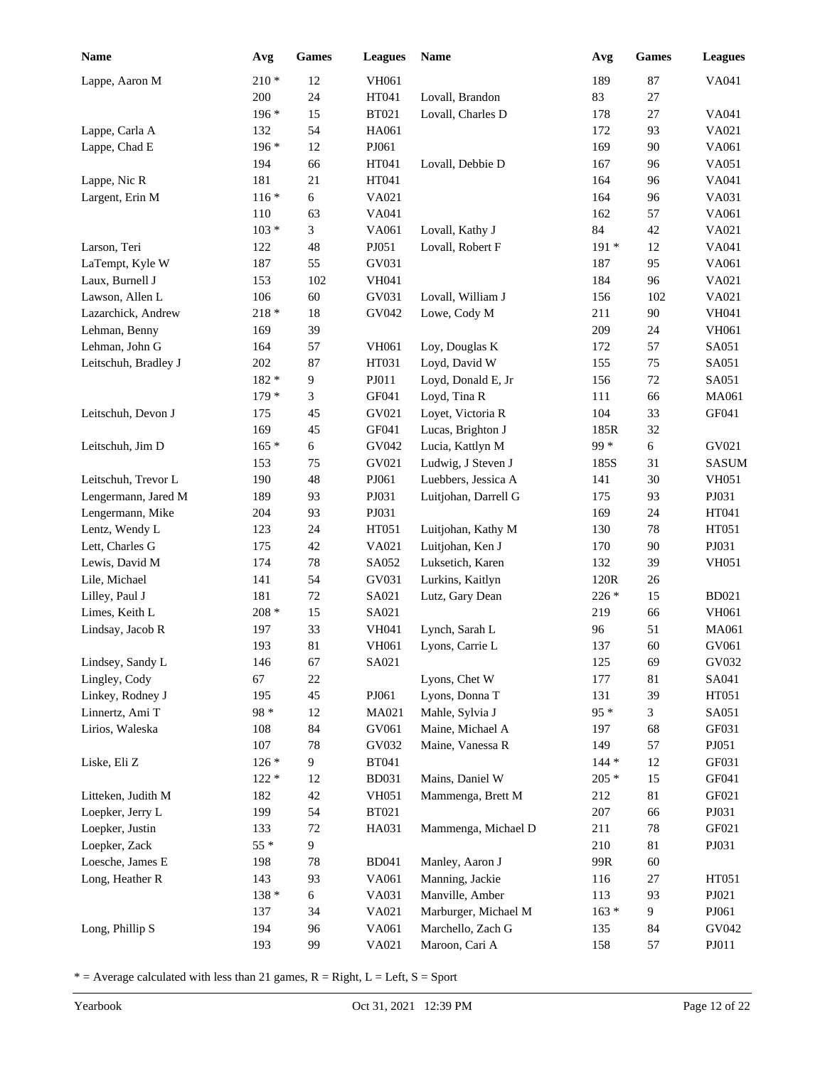| Name                 | Avg     | <b>Games</b> | <b>Leagues</b> | <b>Name</b>          | Avg     | <b>Games</b> | <b>Leagues</b> |
|----------------------|---------|--------------|----------------|----------------------|---------|--------------|----------------|
| Lappe, Aaron M       | $210 *$ | 12           | <b>VH061</b>   |                      | 189     | 87           | VA041          |
|                      | 200     | 24           | HT041          | Lovall, Brandon      | 83      | 27           |                |
|                      | $196*$  | 15           | <b>BT021</b>   | Lovall, Charles D    | 178     | 27           | VA041          |
| Lappe, Carla A       | 132     | 54           | HA061          |                      | 172     | 93           | VA021          |
| Lappe, Chad E        | 196 *   | 12           | PJ061          |                      | 169     | 90           | VA061          |
|                      | 194     | 66           | HT041          | Lovall, Debbie D     | 167     | 96           | VA051          |
| Lappe, Nic R         | 181     | 21           | HT041          |                      | 164     | 96           | VA041          |
| Largent, Erin M      | $116*$  | 6            | VA021          |                      | 164     | 96           | VA031          |
|                      | 110     | 63           | VA041          |                      | 162     | 57           | VA061          |
|                      | $103 *$ | 3            | VA061          | Lovall, Kathy J      | 84      | 42           | VA021          |
| Larson, Teri         | 122     | 48           | PJ051          | Lovall, Robert F     | 191 *   | 12           | VA041          |
| LaTempt, Kyle W      | 187     | 55           | GV031          |                      | 187     | 95           | VA061          |
| Laux, Burnell J      | 153     | 102          | <b>VH041</b>   |                      | 184     | 96           | VA021          |
| Lawson, Allen L      | 106     | 60           | GV031          | Lovall, William J    | 156     | 102          | VA021          |
| Lazarchick, Andrew   | $218 *$ | $18\,$       | GV042          | Lowe, Cody M         | 211     | 90           | <b>VH041</b>   |
| Lehman, Benny        | 169     | 39           |                |                      | 209     | 24           | <b>VH061</b>   |
| Lehman, John G       | 164     | 57           | <b>VH061</b>   | Loy, Douglas K       | 172     | 57           | SA051          |
| Leitschuh, Bradley J | 202     | 87           | HT031          | Loyd, David W        | 155     | 75           | SA051          |
|                      | 182 *   | 9            | PJ011          | Loyd, Donald E, Jr   | 156     | 72           | SA051          |
|                      | $179*$  | 3            | GF041          | Loyd, Tina R         | 111     | 66           | MA061          |
| Leitschuh, Devon J   | 175     | 45           | GV021          | Loyet, Victoria R    | 104     | 33           | GF041          |
|                      | 169     | 45           | GF041          | Lucas, Brighton J    | 185R    | 32           |                |
| Leitschuh, Jim D     | $165*$  | 6            | GV042          | Lucia, Kattlyn M     | $99*$   | $\epsilon$   | GV021          |
|                      | 153     | 75           | GV021          | Ludwig, J Steven J   | 185S    | 31           | <b>SASUM</b>   |
| Leitschuh, Trevor L  | 190     | 48           | PJ061          | Luebbers, Jessica A  | 141     | 30           | <b>VH051</b>   |
| Lengermann, Jared M  | 189     | 93           | PJ031          | Luitjohan, Darrell G | 175     | 93           | PJ031          |
| Lengermann, Mike     | 204     | 93           | PJ031          |                      | 169     | 24           | HT041          |
| Lentz, Wendy L       | 123     | 24           | HT051          | Luitjohan, Kathy M   | 130     | 78           | HT051          |
| Lett, Charles G      | 175     | 42           | VA021          | Luitjohan, Ken J     | 170     | 90           | PJ031          |
| Lewis, David M       | 174     | $78\,$       | SA052          | Luksetich, Karen     | 132     | 39           | <b>VH051</b>   |
| Lile, Michael        | 141     | 54           | GV031          | Lurkins, Kaitlyn     | 120R    | 26           |                |
| Lilley, Paul J       | 181     | $72\,$       | SA021          | Lutz, Gary Dean      | $226*$  | 15           | <b>BD021</b>   |
| Limes, Keith L       | $208 *$ | 15           | SA021          |                      | 219     | 66           | <b>VH061</b>   |
| Lindsay, Jacob R     | 197     | 33           | VH041          | Lynch, Sarah L       | 96      | 51           | MA061          |
|                      | 193     | 81           | VH061          | Lyons, Carrie L      | 137     | 60           | GV061          |
| Lindsey, Sandy L     | 146     | 67           | SA021          |                      | 125     | 69           | GV032          |
| Lingley, Cody        | 67      | $22\,$       |                | Lyons, Chet W        | 177     | 81           | SA041          |
| Linkey, Rodney J     | 195     | 45           | PJ061          | Lyons, Donna T       | 131     | 39           | HT051          |
| Linnertz, Ami T      | $98 *$  | 12           | MA021          | Mahle, Sylvia J      | $95 *$  | 3            | SA051          |
| Lirios, Waleska      | 108     | 84           | GV061          | Maine, Michael A     | 197     | 68           | GF031          |
|                      | 107     | $78\,$       | GV032          | Maine, Vanessa R     | 149     | 57           | PJ051          |
| Liske, Eli Z         | $126 *$ | 9            | <b>BT041</b>   |                      | $144 *$ | 12           | GF031          |
|                      | $122 *$ | 12           | <b>BD031</b>   | Mains, Daniel W      | $205 *$ | 15           | GF041          |
| Litteken, Judith M   | 182     | 42           | <b>VH051</b>   | Mammenga, Brett M    | 212     | $81\,$       | GF021          |
| Loepker, Jerry L     | 199     | 54           | <b>BT021</b>   |                      | 207     | 66           | PJ031          |
| Loepker, Justin      | 133     | 72           | HA031          | Mammenga, Michael D  | 211     | 78           | GF021          |
| Loepker, Zack        | $55*$   | 9            |                |                      | 210     | 81           | PJ031          |
| Loesche, James E     | 198     | 78           | <b>BD041</b>   | Manley, Aaron J      | 99R     | 60           |                |
| Long, Heather R      | 143     | 93           | VA061          | Manning, Jackie      | 116     | $27\,$       | HT051          |
|                      | $138 *$ | 6            | VA031          | Manville, Amber      | 113     | 93           | PJ021          |
|                      | 137     | 34           | VA021          | Marburger, Michael M | $163 *$ | 9            | PJ061          |
| Long, Phillip S      | 194     | 96           | VA061          | Marchello, Zach G    | 135     | 84           | GV042          |
|                      | 193     | 99           | VA021          | Maroon, Cari A       | 158     | 57           | ${\bf P}J011$  |
|                      |         |              |                |                      |         |              |                |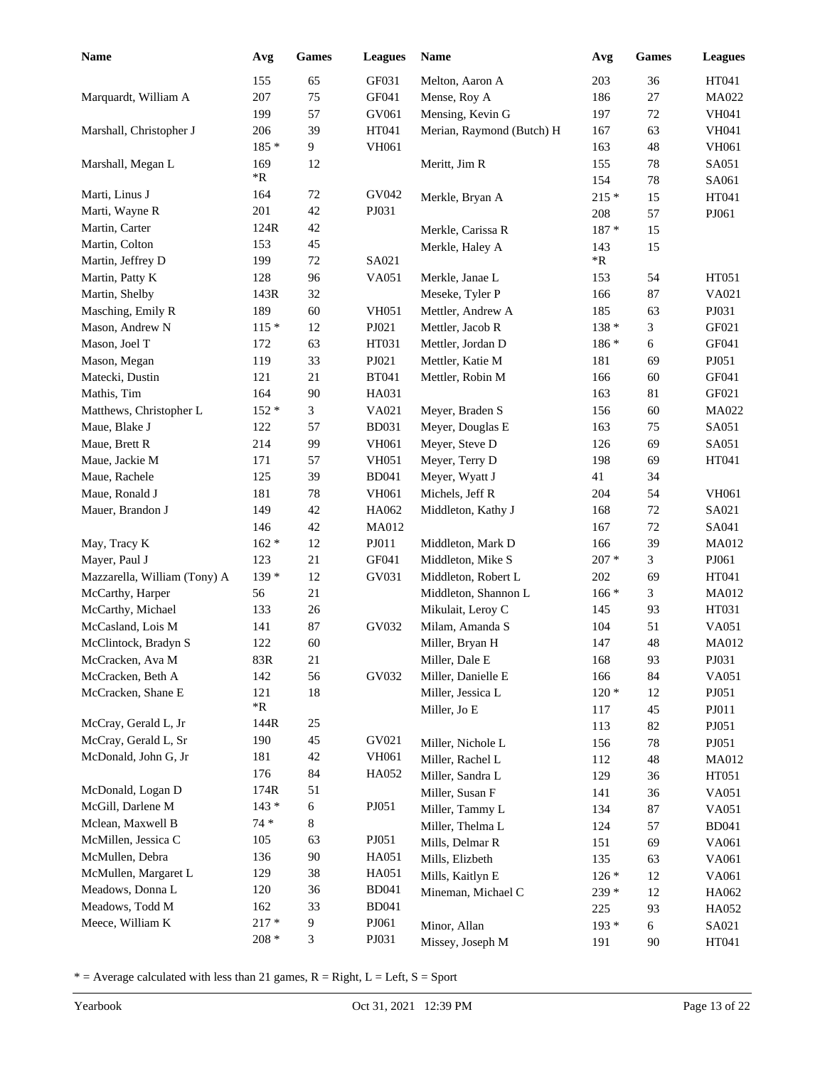| Name                         | Avg        | Games      | <b>Leagues</b> | Name                      | Avg     | <b>Games</b> | <b>Leagues</b> |
|------------------------------|------------|------------|----------------|---------------------------|---------|--------------|----------------|
|                              | 155        | 65         | GF031          | Melton, Aaron A           | 203     | 36           | HT041          |
| Marquardt, William A         | 207        | 75         | GF041          | Mense, Roy A              | 186     | 27           | <b>MA022</b>   |
|                              | 199        | 57         | GV061          | Mensing, Kevin G          | 197     | 72           | VH041          |
| Marshall, Christopher J      | 206        | 39         | HT041          | Merian, Raymond (Butch) H | 167     | 63           | <b>VH041</b>   |
|                              | 185 *      | 9          | VH061          |                           | 163     | 48           | VH061          |
| Marshall, Megan L            | 169        | 12         |                | Meritt, Jim R             | 155     | $78\,$       | SA051          |
|                              | $*{\bf R}$ |            | GV042          |                           | 154     | $78\,$       | SA061          |
| Marti, Linus J               | 164        | 72         |                | Merkle, Bryan A           | $215 *$ | 15           | HT041          |
| Marti, Wayne R               | 201        | 42         | PJ031          |                           | 208     | 57           | PJ061          |
| Martin, Carter               | 124R       | 42         |                | Merkle, Carissa R         | 187 *   | 15           |                |
| Martin, Colton               | 153        | 45         |                | Merkle, Haley A           | 143     | 15           |                |
| Martin, Jeffrey D            | 199        | 72         | SA021          |                           | *R      |              |                |
| Martin, Patty K              | 128        | 96         | VA051          | Merkle, Janae L           | 153     | 54           | HT051          |
| Martin, Shelby               | 143R       | 32         |                | Meseke, Tyler P           | 166     | 87           | VA021          |
| Masching, Emily R            | 189        | 60         | <b>VH051</b>   | Mettler, Andrew A         | 185     | 63           | PJ031          |
| Mason, Andrew N              | $115*$     | 12         | PJ021          | Mettler, Jacob R          | $138*$  | 3            | GF021          |
| Mason, Joel T                | 172        | 63         | HT031          | Mettler, Jordan D         | $186*$  | 6            | GF041          |
| Mason, Megan                 | 119        | 33         | PJ021          | Mettler, Katie M          | 181     | 69           | PJ051          |
| Matecki, Dustin              | 121        | 21         | <b>BT041</b>   | Mettler, Robin M          | 166     | 60           | GF041          |
| Mathis, Tim                  | 164        | 90         | HA031          |                           | 163     | 81           | GF021          |
| Matthews, Christopher L      | $152*$     | 3          | VA021          | Meyer, Braden S           | 156     | 60           | MA022          |
| Maue, Blake J                | 122        | 57         | <b>BD031</b>   | Meyer, Douglas E          | 163     | 75           | SA051          |
| Maue, Brett R                | 214        | 99         | VH061          | Meyer, Steve D            | 126     | 69           | SA051          |
| Maue, Jackie M               | 171        | 57         | <b>VH051</b>   | Meyer, Terry D            | 198     | 69           | HT041          |
| Maue, Rachele                | 125        | 39         | <b>BD041</b>   | Meyer, Wyatt J            | 41      | 34           |                |
| Maue, Ronald J               | 181        | 78         | VH061          | Michels, Jeff R           | 204     | 54           | <b>VH061</b>   |
| Mauer, Brandon J             | 149        | 42         | HA062          | Middleton, Kathy J        | 168     | 72           | SA021          |
|                              | 146        | 42         | <b>MA012</b>   |                           | 167     | 72           | SA041          |
| May, Tracy K                 | $162 *$    | 12         | PJ011          | Middleton, Mark D         | 166     | 39           | MA012          |
| Mayer, Paul J                | 123        | 21         | GF041          | Middleton, Mike S         | $207 *$ | 3            | PJ061          |
| Mazzarella, William (Tony) A | 139 *      | 12         | GV031          | Middleton, Robert L       | 202     | 69           | HT041          |
| McCarthy, Harper             | 56         | 21         |                | Middleton, Shannon L      | $166*$  | 3            | MA012          |
| McCarthy, Michael            | 133        | 26         |                | Mikulait, Leroy C         | 145     | 93           | HT031          |
| McCasland, Lois M            | 141        | 87         | GV032          | Milam, Amanda S           | 104     | 51           | VA051          |
| McClintock, Bradyn S         | 122        | 60         |                | Miller, Bryan H           | 147     | 48           | <b>MA012</b>   |
| McCracken, Ava M             | 83R        | 21         |                | Miller, Dale E            | 168     | 93           | PJ031          |
| McCracken, Beth A            | 142        | 56         | GV032          | Miller, Danielle E        | 166     | 84           | VA051          |
| McCracken, Shane E           | 121        | 18         |                | Miller, Jessica L         | $120*$  | 12           | PJ051          |
|                              | $*{\bf R}$ |            |                | Miller, Jo E              | 117     | 45           | PJ011          |
| McCray, Gerald L, Jr         | 144R       | 25         |                |                           | 113     | 82           | PJ051          |
| McCray, Gerald L, Sr         | 190        | 45         | GV021          | Miller, Nichole L         | 156     | 78           | PJ051          |
| McDonald, John G, Jr         | 181        | 42         | VH061          | Miller, Rachel L          | 112     | 48           | MA012          |
|                              | 176        | 84         | HA052          | Miller, Sandra L          | 129     | 36           | HT051          |
| McDonald, Logan D            | 174R       | 51         |                | Miller, Susan F           | 141     | 36           | VA051          |
| McGill, Darlene M            | $143 *$    | $\sqrt{6}$ | PJ051          | Miller, Tammy L           | 134     | $87\,$       | VA051          |
| Mclean, Maxwell B            | $74*$      | 8          |                | Miller, Thelma L          | 124     | 57           | <b>BD041</b>   |
| McMillen, Jessica C          | 105        | 63         | PJ051          | Mills, Delmar R           | 151     | 69           | VA061          |
| McMullen, Debra              | 136        | 90         | HA051          | Mills, Elizbeth           | 135     | 63           | VA061          |
| McMullen, Margaret L         | 129        | 38         | HA051          | Mills, Kaitlyn E          | $126*$  | 12           | VA061          |
| Meadows, Donna L             | 120        | 36         | <b>BD041</b>   | Mineman, Michael C        | 239 *   | 12           | HA062          |
| Meadows, Todd M              | 162        | 33         | <b>BD041</b>   |                           | 225     | 93           | HA052          |
| Meece, William K             | $217 *$    | 9          | PJ061          | Minor, Allan              | $193*$  | 6            | SA021          |
|                              | $208 *$    | 3          | PJ031          | Missey, Joseph M          | 191     | 90           | HT041          |
|                              |            |            |                |                           |         |              |                |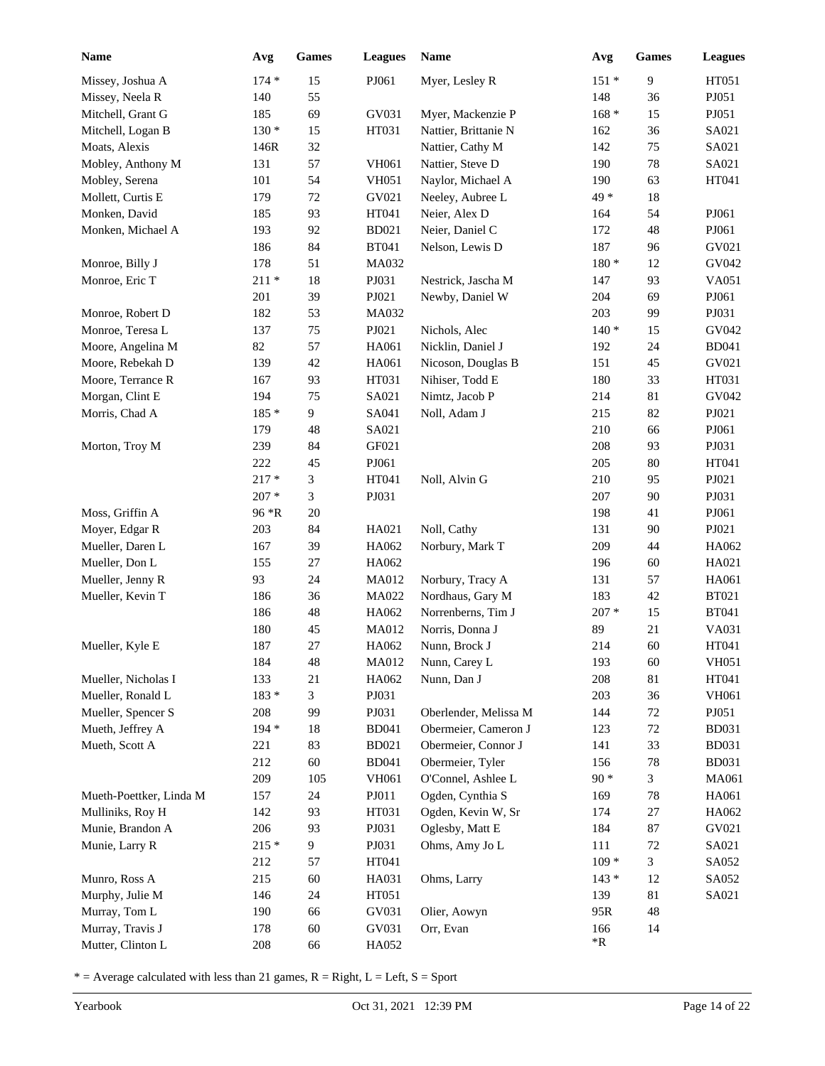| <b>Name</b>             | Avg     | <b>Games</b> | <b>Leagues</b> | Name                  | Avg        | Games  | <b>Leagues</b> |
|-------------------------|---------|--------------|----------------|-----------------------|------------|--------|----------------|
| Missey, Joshua A        | $174*$  | 15           | PJ061          | Myer, Lesley R        | $151*$     | 9      | HT051          |
| Missey, Neela R         | 140     | 55           |                |                       | 148        | 36     | PJ051          |
| Mitchell, Grant G       | 185     | 69           | GV031          | Myer, Mackenzie P     | $168 *$    | 15     | PJ051          |
| Mitchell, Logan B       | $130 *$ | 15           | HT031          | Nattier, Brittanie N  | 162        | 36     | SA021          |
| Moats, Alexis           | 146R    | 32           |                | Nattier, Cathy M      | 142        | 75     | SA021          |
| Mobley, Anthony M       | 131     | 57           | VH061          | Nattier, Steve D      | 190        | $78\,$ | SA021          |
| Mobley, Serena          | 101     | 54           | <b>VH051</b>   | Naylor, Michael A     | 190        | 63     | HT041          |
| Mollett, Curtis E       | 179     | $72\,$       | GV021          | Neeley, Aubree L      | 49 *       | $18\,$ |                |
| Monken, David           | 185     | 93           | HT041          | Neier, Alex D         | 164        | 54     | PJ061          |
| Monken, Michael A       | 193     | 92           | <b>BD021</b>   | Neier, Daniel C       | 172        | 48     | PJ061          |
|                         | 186     | 84           | <b>BT041</b>   | Nelson, Lewis D       | 187        | 96     | GV021          |
| Monroe, Billy J         | 178     | 51           | MA032          |                       | $180 *$    | 12     | GV042          |
| Monroe, Eric T          | $211*$  | 18           | PJ031          | Nestrick, Jascha M    | 147        | 93     | VA051          |
|                         | 201     | 39           | PJ021          | Newby, Daniel W       | 204        | 69     | PJ061          |
| Monroe, Robert D        | 182     | 53           | MA032          |                       | 203        | 99     | PJ031          |
| Monroe, Teresa L        | 137     | 75           | PJ021          | Nichols, Alec         | $140*$     | 15     | GV042          |
| Moore, Angelina M       | 82      | 57           | HA061          | Nicklin, Daniel J     | 192        | 24     | <b>BD041</b>   |
| Moore, Rebekah D        | 139     | 42           | HA061          | Nicoson, Douglas B    | 151        | 45     | GV021          |
| Moore, Terrance R       | 167     | 93           | HT031          | Nihiser, Todd E       | 180        | 33     | HT031          |
| Morgan, Clint E         | 194     | 75           | SA021          | Nimtz, Jacob P        | 214        | 81     | GV042          |
| Morris, Chad A          | 185 *   | 9            | SA041          | Noll, Adam J          | 215        | 82     | PJ021          |
|                         | 179     | 48           | SA021          |                       | 210        | 66     | PJ061          |
| Morton, Troy M          | 239     | 84           | GF021          |                       | 208        | 93     | PJ031          |
|                         | 222     | 45           | PJ061          |                       | 205        | $80\,$ | HT041          |
|                         | $217 *$ | 3            | HT041          | Noll, Alvin G         | 210        | 95     | PJ021          |
|                         | $207 *$ | 3            | PJ031          |                       | 207        | 90     | PJ031          |
| Moss, Griffin A         | 96 *R   | 20           |                |                       | 198        | 41     | PJ061          |
| Moyer, Edgar R          | 203     | 84           | HA021          | Noll, Cathy           | 131        | 90     | PJ021          |
| Mueller, Daren L        | 167     | 39           | HA062          | Norbury, Mark T       | 209        | 44     | HA062          |
| Mueller, Don L          | 155     | 27           | HA062          |                       | 196        | 60     | HA021          |
| Mueller, Jenny R        | 93      | 24           | MA012          | Norbury, Tracy A      | 131        | 57     | HA061          |
| Mueller, Kevin T        | 186     | 36           | MA022          | Nordhaus, Gary M      | 183        | 42     | <b>BT021</b>   |
|                         | 186     | 48           | HA062          | Norrenberns, Tim J    | $207 *$    | 15     | <b>BT041</b>   |
|                         | 180     | 45           | MA012          | Norris, Donna J       | 89         | 21     | VA031          |
| Mueller, Kyle E         | 187     | 27           | HA062          | Nunn, Brock J         | 214        | 60     | HT041          |
|                         | 184     | 48           | MA012          | Nunn, Carey L         | 193        | 60     | <b>VH051</b>   |
| Mueller, Nicholas I     | 133     | 21           | HA062          | Nunn, Dan J           | 208        | 81     | HT041          |
| Mueller, Ronald L       | $183 *$ | 3            | PJ031          |                       | 203        | 36     | VH061          |
| Mueller, Spencer S      | 208     | 99           | PJ031          | Oberlender, Melissa M | 144        | 72     | PJ051          |
| Mueth, Jeffrey A        | $194 *$ | 18           | <b>BD041</b>   | Obermeier, Cameron J  | 123        | $72\,$ | <b>BD031</b>   |
| Mueth, Scott A          | 221     | 83           | <b>BD021</b>   | Obermeier, Connor J   | 141        | 33     | <b>BD031</b>   |
|                         | 212     | 60           | <b>BD041</b>   | Obermeier, Tyler      | 156        | $78\,$ | <b>BD031</b>   |
|                         | 209     | 105          | VH061          | O'Connel, Ashlee L    | $90 *$     | 3      | MA061          |
| Mueth-Poettker, Linda M | 157     | 24           | PJ011          | Ogden, Cynthia S      | 169        | 78     | HA061          |
| Mulliniks, Roy H        | 142     | 93           | HT031          | Ogden, Kevin W, Sr    | 174        | $27\,$ | HA062          |
| Munie, Brandon A        | 206     | 93           | PJ031          | Oglesby, Matt E       | 184        | 87     | GV021          |
| Munie, Larry R          | $215 *$ | 9            | PJ031          | Ohms, Amy Jo L        | 111        | $72\,$ | SA021          |
|                         | 212     | 57           | HT041          |                       | $109 *$    | 3      | SA052          |
| Munro, Ross A           | 215     | $60\,$       | HA031          | Ohms, Larry           | $143*$     | 12     | SA052          |
| Murphy, Julie M         | 146     | 24           | HT051          |                       | 139        | 81     | SA021          |
| Murray, Tom L           | 190     | 66           | GV031          | Olier, Aowyn          | 95R        | 48     |                |
| Murray, Travis J        | 178     | 60           | GV031          | Orr, Evan             | 166        | 14     |                |
| Mutter, Clinton L       | 208     | 66           | HA052          |                       | $*{\bf R}$ |        |                |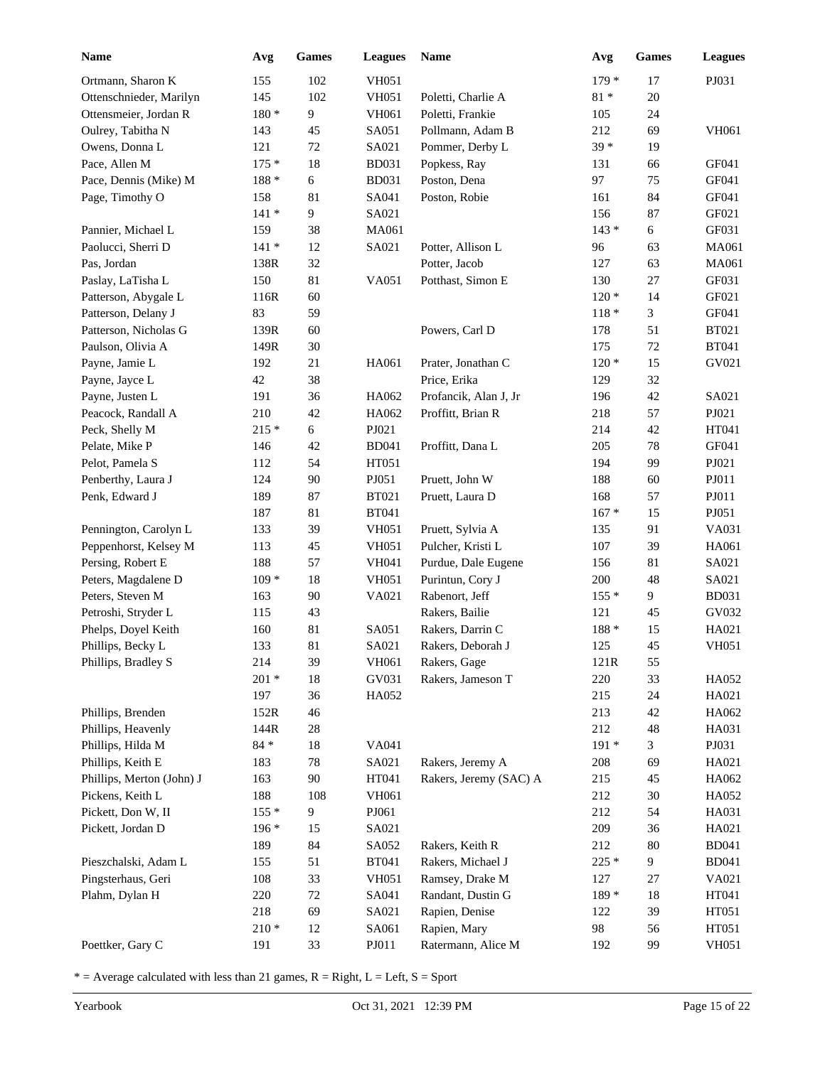| <b>Name</b>               | Avg           | Games          | <b>Leagues</b> | Name                   | Avg     | <b>Games</b> | <b>Leagues</b> |
|---------------------------|---------------|----------------|----------------|------------------------|---------|--------------|----------------|
| Ortmann, Sharon K         | 155           | 102            | <b>VH051</b>   |                        | $179 *$ | 17           | PJ031          |
| Ottenschnieder, Marilyn   | 145           | 102            | <b>VH051</b>   | Poletti, Charlie A     | $81*$   | 20           |                |
| Ottensmeier, Jordan R     | $180 *$       | 9              | VH061          | Poletti, Frankie       | 105     | 24           |                |
| Oulrey, Tabitha N         | 143           | 45             | SA051          | Pollmann, Adam B       | 212     | 69           | VH061          |
| Owens, Donna L            | 121           | 72             | SA021          | Pommer, Derby L        | $39 *$  | 19           |                |
| Pace, Allen M             | $175*$        | 18             | <b>BD031</b>   | Popkess, Ray           | 131     | 66           | GF041          |
| Pace, Dennis (Mike) M     | $188 *$       | 6              | <b>BD031</b>   | Poston, Dena           | 97      | 75           | GF041          |
| Page, Timothy O           | 158           | 81             | SA041          | Poston, Robie          | 161     | 84           | GF041          |
|                           | $141 *$       | 9              | SA021          |                        | 156     | 87           | GF021          |
| Pannier, Michael L        | 159           | 38             | MA061          |                        | $143 *$ | 6            | GF031          |
| Paolucci, Sherri D        | $141*$        | 12             | SA021          | Potter, Allison L      | 96      | 63           | MA061          |
| Pas, Jordan               | 138R          | 32             |                | Potter, Jacob          | 127     | 63           | MA061          |
| Paslay, LaTisha L         | 150           | 81             | VA051          | Potthast, Simon E      | 130     | 27           | GF031          |
| Patterson, Abygale L      | 116R          | 60             |                |                        | $120*$  | 14           | GF021          |
| Patterson, Delany J       | 83            | 59             |                |                        | $118 *$ | 3            | GF041          |
| Patterson, Nicholas G     | 139R          | 60             |                | Powers, Carl D         | 178     | 51           | <b>BT021</b>   |
| Paulson, Olivia A         | 149R          | $30\,$         |                |                        | 175     | $72\,$       | <b>BT041</b>   |
| Payne, Jamie L            | 192           | 21             | HA061          | Prater, Jonathan C     | $120*$  | 15           | GV021          |
| Payne, Jayce L            | 42            | 38             |                | Price, Erika           | 129     | 32           |                |
| Payne, Justen L           | 191           | 36             | HA062          | Profancik, Alan J, Jr  | 196     | 42           | SA021          |
| Peacock, Randall A        | 210           | 42             | HA062          | Proffitt, Brian R      | 218     | 57           | PJ021          |
| Peck, Shelly M            | $215*$        | 6              | PJ021          |                        | 214     | 42           | HT041          |
| Pelate, Mike P            | 146           | 42             | <b>BD041</b>   | Proffitt, Dana L       | 205     | 78           | GF041          |
| Pelot, Pamela S           | 112           | 54             | HT051          |                        | 194     | 99           | PJ021          |
| Penberthy, Laura J        | 124           | 90             | PJ051          | Pruett, John W         | 188     | 60           | PJ011          |
| Penk, Edward J            | 189           | 87             | <b>BT021</b>   | Pruett, Laura D        | 168     | 57           | PJ011          |
|                           | 187           | 81             | <b>BT041</b>   |                        | $167 *$ | 15           | PJ051          |
| Pennington, Carolyn L     | 133           | 39             | <b>VH051</b>   | Pruett, Sylvia A       | 135     | 91           | VA031          |
| Peppenhorst, Kelsey M     | 113           | 45             | VH051          | Pulcher, Kristi L      | 107     | 39           | HA061          |
| Persing, Robert E         | 188           | 57             | <b>VH041</b>   | Purdue, Dale Eugene    | 156     | 81           | SA021          |
| Peters, Magdalene D       | $109 *$       | 18             | <b>VH051</b>   | Purintun, Cory J       | 200     | 48           | SA021          |
| Peters, Steven M          | 163           | 90             | VA021          | Rabenort, Jeff         | $155*$  | 9            | <b>BD031</b>   |
| Petroshi, Stryder L       | 115           | 43             |                | Rakers, Bailie         | 121     | 45           | GV032          |
| Phelps, Doyel Keith       | 160           | 81             | SA051          | Rakers, Darrin C       | 188 *   | 15           | HA021          |
| Phillips, Becky L         | 133           | 81             | SA021          | Rakers, Deborah J      | 125     | 45           | <b>VH051</b>   |
| Phillips, Bradley S       | 214           | 39             | VH061          | Rakers, Gage           | 121R    | 55           |                |
|                           | $201 *$       | 18             | GV031          | Rakers, Jameson T      | 220     | 33           | HA052          |
|                           | 197           | 36             | HA052          |                        | 215     | 24           | HA021          |
| Phillips, Brenden         | 152R          | 46             |                |                        | 213     | 42           | HA062          |
| Phillips, Heavenly        | 144R          | $28\,$         |                |                        | 212     | 48           | HA031          |
| Phillips, Hilda M         | $84\,^{\ast}$ | 18             | VA041          |                        | $191*$  | 3            | PJ031          |
| Phillips, Keith E         | 183           | 78             | SA021          | Rakers, Jeremy A       | 208     | 69           | HA021          |
| Phillips, Merton (John) J | 163           | 90             | HT041          | Rakers, Jeremy (SAC) A | 215     | 45           | HA062          |
| Pickens, Keith L          | 188           | 108            | VH061          |                        | 212     | $30\,$       | HA052          |
| Pickett, Don W, II        | $155*$        | $\overline{9}$ | PJ061          |                        | 212     | 54           | HA031          |
| Pickett, Jordan D         | $196 *$       | 15             | SA021          |                        | 209     | 36           | HA021          |
|                           | 189           | 84             | SA052          | Rakers, Keith R        | 212     | $80\,$       | <b>BD041</b>   |
| Pieszchalski, Adam L      | 155           | 51             | <b>BT041</b>   | Rakers, Michael J      | $225 *$ | 9            | <b>BD041</b>   |
| Pingsterhaus, Geri        | 108           | 33             | <b>VH051</b>   | Ramsey, Drake M        | 127     | 27           | VA021          |
| Plahm, Dylan H            | 220           | $72\,$         | SA041          | Randant, Dustin G      | 189 *   | 18           | HT041          |
|                           | 218           | 69             | SA021          | Rapien, Denise         | 122     | 39           | HT051          |
|                           | $210 *$       | 12             | SA061          | Rapien, Mary           | 98      | 56           | HT051          |
| Poettker, Gary C          | 191           | 33             | PJ011          | Ratermann, Alice M     | 192     | 99           | <b>VH051</b>   |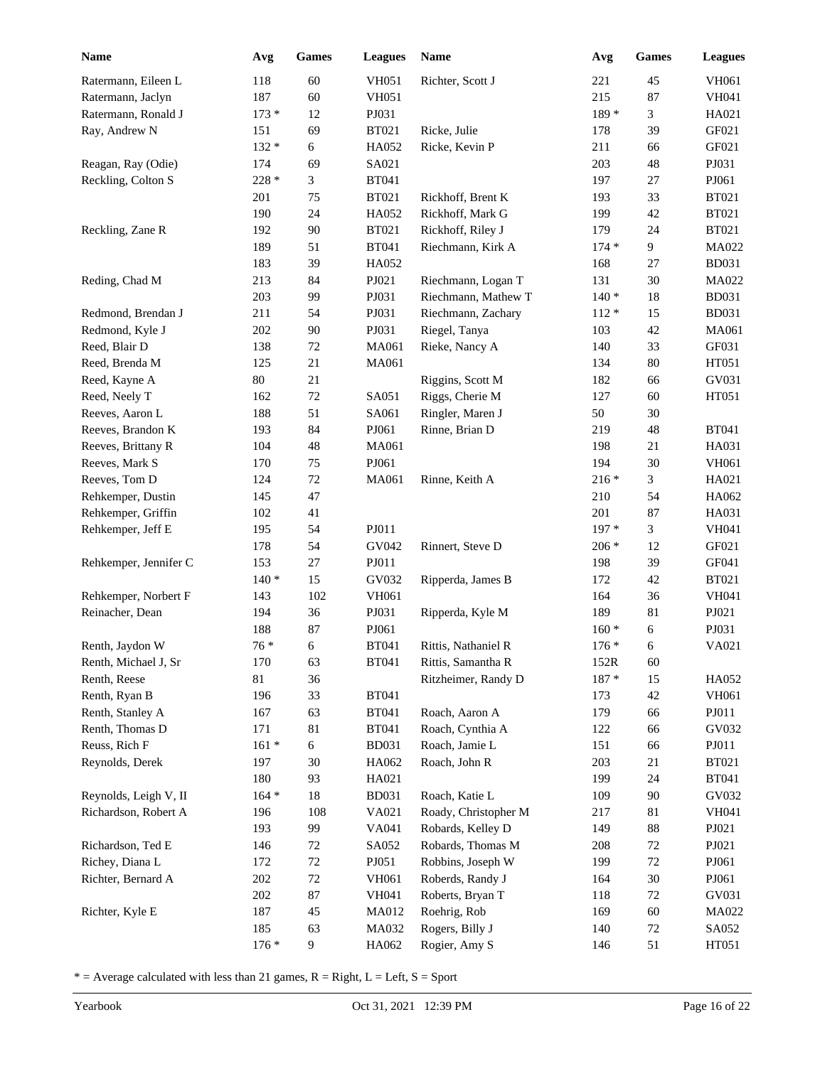| 118<br>60<br><b>VH051</b><br>Richter, Scott J<br>221<br>45<br>Ratermann, Eileen L<br><b>VH051</b><br>215<br>87<br>Ratermann, Jaclyn<br>187<br>60<br>$173 *$<br>12<br>189 *<br>3<br>Ratermann, Ronald J<br>PJ031 | <b>VH061</b><br>VH041<br>HA021<br>GF021<br>GF021 |
|-----------------------------------------------------------------------------------------------------------------------------------------------------------------------------------------------------------------|--------------------------------------------------|
|                                                                                                                                                                                                                 |                                                  |
|                                                                                                                                                                                                                 |                                                  |
|                                                                                                                                                                                                                 |                                                  |
| <b>BT021</b><br>Ricke, Julie<br>39<br>Ray, Andrew N<br>151<br>69<br>178                                                                                                                                         |                                                  |
| $132 *$<br>$\epsilon$<br>HA052<br>Ricke, Kevin P<br>211<br>66                                                                                                                                                   |                                                  |
| SA021<br>203<br>48<br>Reagan, Ray (Odie)<br>174<br>69                                                                                                                                                           | PJ031                                            |
| Reckling, Colton S<br>228 *<br>3<br><b>BT041</b><br>197<br>27                                                                                                                                                   | PJ061                                            |
| <b>BT021</b><br>33<br>201<br>75<br>Rickhoff, Brent K<br>193                                                                                                                                                     | <b>BT021</b>                                     |
| 24<br>HA052<br>42<br>190<br>Rickhoff, Mark G<br>199                                                                                                                                                             | <b>BT021</b>                                     |
| 90<br><b>BT021</b><br>Rickhoff, Riley J<br>24<br>Reckling, Zane R<br>192<br>179                                                                                                                                 | <b>BT021</b>                                     |
| 51<br><b>BT041</b><br>Riechmann, Kirk A<br>9<br>189<br>$174*$                                                                                                                                                   | MA022                                            |
| HA052<br>183<br>39<br>168<br>27                                                                                                                                                                                 | <b>BD031</b>                                     |
| 30<br>Reding, Chad M<br>213<br>84<br>PJ021<br>Riechmann, Logan T<br>131                                                                                                                                         | MA022                                            |
| 203<br>99<br>PJ031<br>Riechmann, Mathew T<br>$140*$<br>18                                                                                                                                                       | <b>BD031</b>                                     |
| 54<br>PJ031<br>Redmond, Brendan J<br>211<br>Riechmann, Zachary<br>$112 *$<br>15                                                                                                                                 | <b>BD031</b>                                     |
| PJ031<br>Riegel, Tanya<br>Redmond, Kyle J<br>202<br>90<br>103<br>42                                                                                                                                             | MA061                                            |
| Reed, Blair D<br>MA061<br>Rieke, Nancy A<br>33<br>138<br>72<br>140                                                                                                                                              | GF031                                            |
| $80\,$<br>Reed, Brenda M<br>125<br>21<br>MA061<br>134                                                                                                                                                           | HT051                                            |
| Reed, Kayne A<br>80<br>21<br>Riggins, Scott M<br>182<br>66                                                                                                                                                      | GV031                                            |
| $72\,$<br>SA051<br>Riggs, Cherie M<br>Reed, Neely T<br>162<br>127<br>60                                                                                                                                         | HT051                                            |
| Ringler, Maren J<br>Reeves, Aaron L<br>188<br>51<br>SA061<br>50<br>30                                                                                                                                           |                                                  |
| PJ061<br>Rinne, Brian D<br>Reeves, Brandon K<br>193<br>84<br>219<br>48                                                                                                                                          | <b>BT041</b>                                     |
| MA061<br>Reeves, Brittany R<br>104<br>48<br>198<br>21                                                                                                                                                           | HA031                                            |
| PJ061<br>30<br>Reeves, Mark S<br>170<br>75<br>194                                                                                                                                                               | VH061                                            |
| $216*$<br>3<br>Reeves, Tom D<br>124<br>72<br>MA061<br>Rinne, Keith A                                                                                                                                            | HA021                                            |
| 47<br>Rehkemper, Dustin<br>145<br>210<br>54                                                                                                                                                                     | HA062                                            |
| 201<br>87<br>Rehkemper, Griffin<br>102<br>41                                                                                                                                                                    | HA031                                            |
| PJ011<br>$197*$<br>3<br>Rehkemper, Jeff E<br>54<br>195                                                                                                                                                          | <b>VH041</b>                                     |
| GV042<br>178<br>54<br>Rinnert, Steve D<br>$206 *$<br>12                                                                                                                                                         | GF021                                            |
| Rehkemper, Jennifer C<br>$27\,$<br>39<br>153<br>PJ011<br>198                                                                                                                                                    | GF041                                            |
| $140*$<br>15<br>GV032<br>42<br>Ripperda, James B<br>172                                                                                                                                                         | <b>BT021</b>                                     |
| Rehkemper, Norbert F<br>102<br>VH061<br>143<br>164<br>36                                                                                                                                                        | <b>VH041</b>                                     |
| Reinacher, Dean<br>194<br>36<br>PJ031<br>Ripperda, Kyle M<br>189<br>81                                                                                                                                          | PJ021                                            |
| 188<br>87<br>PJ061<br>$160*$<br>6                                                                                                                                                                               | PJ031                                            |
| $76*$<br>6<br><b>BT041</b><br>$176 *$<br>6<br>Renth, Jaydon W<br>Rittis, Nathaniel R                                                                                                                            | VA021                                            |
| <b>BT041</b><br>Renth, Michael J, Sr<br>170<br>63<br>Rittis, Samantha R<br>152R<br>60                                                                                                                           |                                                  |
| Renth, Reese<br>$81\,$<br>36<br>$187 *$<br>15<br>Ritzheimer, Randy D                                                                                                                                            | HA052                                            |
| 33<br><b>BT041</b><br>Renth, Ryan B<br>196<br>173<br>42                                                                                                                                                         | VH061                                            |
| 179<br>Renth, Stanley A<br>167<br>63<br><b>BT041</b><br>Roach, Aaron A<br>66                                                                                                                                    | PJ011                                            |
| 81<br>Renth, Thomas D<br>171<br><b>BT041</b><br>Roach, Cynthia A<br>122<br>66                                                                                                                                   | GV032                                            |
| Reuss, Rich F<br>$161 *$<br>6<br><b>BD031</b><br>Roach, Jamie L<br>151<br>66                                                                                                                                    | PJ011                                            |
| Reynolds, Derek<br>197<br>30<br>HA062<br>Roach, John R<br>203<br>21                                                                                                                                             | <b>BT021</b>                                     |
| 93<br>199<br>180<br>HA021<br>24                                                                                                                                                                                 | <b>BT041</b>                                     |
| $164 *$<br>90<br>Reynolds, Leigh V, II<br>18<br><b>BD031</b><br>Roach, Katie L<br>109                                                                                                                           | GV032                                            |
| Richardson, Robert A<br>108<br>VA021<br>Roady, Christopher M<br>81<br>196<br>217                                                                                                                                | VH041                                            |
| 99<br>193<br>VA041<br>Robards, Kelley D<br>88<br>149                                                                                                                                                            | PJ021                                            |
| Robards, Thomas M<br>$72\,$<br>Richardson, Ted E<br>$72\,$<br>SA052<br>208<br>146                                                                                                                               | PJ021                                            |
| Richey, Diana L<br>$72\,$<br>PJ051<br>Robbins, Joseph W<br>$72\,$<br>172<br>199                                                                                                                                 | PJ061                                            |
| $72\,$<br>Roberds, Randy J<br>$30\,$<br>Richter, Bernard A<br>202<br>VH061<br>164                                                                                                                               | PJ061                                            |
| 202<br>87<br>VH041<br>Roberts, Bryan T<br>118<br>$72\,$                                                                                                                                                         | GV031                                            |
| Roehrig, Rob<br>Richter, Kyle E<br>187<br>45<br>MA012<br>169<br>60                                                                                                                                              | MA022                                            |
| Rogers, Billy J<br>185<br>63<br>MA032<br>140<br>$72\,$                                                                                                                                                          | SA052                                            |
| $176*$<br>9<br>HA062<br>Rogier, Amy S<br>146<br>51                                                                                                                                                              | HT051                                            |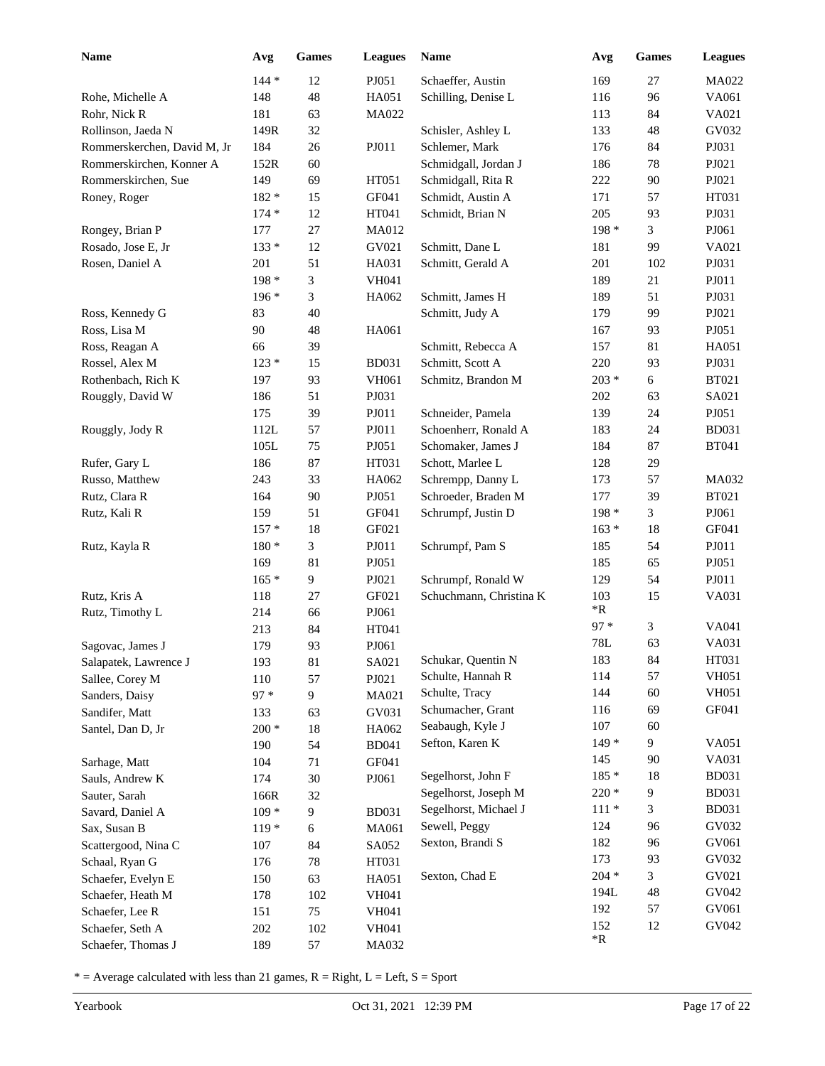| <b>Name</b>                 | Avg     | <b>Games</b>     | <b>Leagues</b> | Name                    | Avg                       | <b>Games</b> | <b>Leagues</b>               |
|-----------------------------|---------|------------------|----------------|-------------------------|---------------------------|--------------|------------------------------|
|                             | $144 *$ | 12               | PJ051          | Schaeffer, Austin       | 169                       | 27           | MA022                        |
| Rohe, Michelle A            | 148     | 48               | HA051          | Schilling, Denise L     | 116                       | 96           | VA061                        |
| Rohr, Nick R                | 181     | 63               | MA022          |                         | 113                       | 84           | VA021                        |
| Rollinson, Jaeda N          | 149R    | 32               |                | Schisler, Ashley L      | 133                       | 48           | GV032                        |
| Rommerskerchen, David M, Jr | 184     | 26               | PJ011          | Schlemer, Mark          | 176                       | 84           | PJ031                        |
| Rommerskirchen, Konner A    | 152R    | 60               |                | Schmidgall, Jordan J    | 186                       | 78           | PJ021                        |
| Rommerskirchen, Sue         | 149     | 69               | HT051          | Schmidgall, Rita R      | 222                       | 90           | PJ021                        |
| Roney, Roger                | 182 *   | 15               | GF041          | Schmidt, Austin A       | 171                       | 57           | HT031                        |
|                             | $174*$  | 12               | HT041          | Schmidt, Brian N        | 205                       | 93           | PJ031                        |
| Rongey, Brian P             | 177     | 27               | MA012          |                         | 198 *                     | 3            | PJ061                        |
| Rosado, Jose E, Jr          | $133*$  | 12               | GV021          | Schmitt, Dane L         | 181                       | 99           | VA021                        |
| Rosen, Daniel A             | 201     | 51               | HA031          | Schmitt, Gerald A       | 201                       | 102          | PJ031                        |
|                             | 198 *   | 3                | <b>VH041</b>   |                         | 189                       | $21\,$       | PJ011                        |
|                             | $196*$  | 3                | HA062          | Schmitt, James H        | 189                       | 51           | PJ031                        |
| Ross, Kennedy G             | 83      | 40               |                | Schmitt, Judy A         | 179                       | 99           | PJ021                        |
| Ross, Lisa M                | 90      | 48               | HA061          |                         | 167                       | 93           | PJ051                        |
| Ross, Reagan A              | 66      | 39               |                | Schmitt, Rebecca A      | 157                       | 81           | HA051                        |
| Rossel, Alex M              | $123*$  | 15               | <b>BD031</b>   | Schmitt, Scott A        | 220                       | 93           | PJ031                        |
| Rothenbach, Rich K          | 197     | 93               | VH061          | Schmitz, Brandon M      | $203 *$                   | 6            | <b>BT021</b>                 |
| Rouggly, David W            | 186     | 51               | PJ031          |                         | 202                       | 63           | SA021                        |
|                             | 175     | 39               | PJ011          | Schneider, Pamela       | 139                       | 24           | PJ051                        |
| Rouggly, Jody R             | 112L    | 57               | PJ011          | Schoenherr, Ronald A    | 183                       | 24           | <b>BD031</b>                 |
|                             | 105L    | 75               | PJ051          | Schomaker, James J      | 184                       | 87           | <b>BT041</b>                 |
| Rufer, Gary L               | 186     | 87               | HT031          | Schott, Marlee L        | 128                       | 29           |                              |
| Russo, Matthew              | 243     | 33               | HA062          | Schrempp, Danny L       | 173                       | 57           | MA032                        |
| Rutz, Clara R               | 164     | 90               | PJ051          | Schroeder, Braden M     | 177                       | 39           | <b>BT021</b>                 |
| Rutz, Kali R                | 159     | 51               | GF041          | Schrumpf, Justin D      | 198 *                     | 3            | PJ061                        |
|                             | $157*$  | 18               | GF021          |                         | $163*$                    | 18           | GF041                        |
| Rutz, Kayla R               | $180*$  | 3                | PJ011          | Schrumpf, Pam S         | 185                       | 54           | PJ011                        |
|                             | 169     | 81               | PJ051          |                         | 185                       | 65           | PJ051                        |
|                             | $165*$  | 9                | PJ021          | Schrumpf, Ronald W      | 129                       | 54           | PJ011                        |
| Rutz, Kris A                | 118     | 27               | GF021          | Schuchmann, Christina K | 103                       | 15           | VA031                        |
| Rutz, Timothy L             | 214     | 66               | PJ061          |                         | *R                        |              |                              |
|                             | 213     | 84               | HT041          |                         | $97 *$                    | 3            | VA041                        |
| Sagovac, James J            | 179     | 93               | PJ061          |                         | 78L                       | 63           | VA031                        |
| Salapatek, Lawrence J       | 193     | $81\,$           | SA021          | Schukar, Quentin N      | 183                       | 84           | HT031                        |
| Sallee, Corey M             | 110     | 57               | PJ021          | Schulte, Hannah R       | 114                       | 57           | <b>VH051</b>                 |
| Sanders, Daisy              | $97 *$  | $\overline{9}$   | MA021          | Schulte, Tracy          | 144                       | 60           | <b>VH051</b>                 |
| Sandifer, Matt              | 133     | 63               | GV031          | Schumacher, Grant       | 116                       | 69           | GF041                        |
| Santel, Dan D, Jr           | $200 *$ | 18               | HA062          | Seabaugh, Kyle J        | 107                       | 60           |                              |
|                             | 190     | 54               | <b>BD041</b>   | Sefton, Karen K         | $149*$                    | 9            | VA051                        |
| Sarhage, Matt               | 104     | $71\,$           | GF041          |                         | 145                       | 90           | VA031                        |
| Sauls, Andrew K             | 174     | 30               | PJ061          | Segelhorst, John F      | $185 *$                   | 18           | <b>BD031</b><br><b>BD031</b> |
| Sauter, Sarah               | 166R    | 32               |                | Segelhorst, Joseph M    | $220*$                    | 9            |                              |
| Savard, Daniel A            | $109 *$ | $\boldsymbol{9}$ | <b>BD031</b>   | Segelhorst, Michael J   | $111*$                    | 3            | <b>BD031</b><br>GV032        |
| Sax, Susan B                | $119*$  | $\sqrt{6}$       | MA061          | Sewell, Peggy           | 124                       | 96           |                              |
| Scattergood, Nina C         | 107     | 84               | SA052          | Sexton, Brandi S        | 182<br>173                | 96<br>93     | GV061<br>GV032               |
| Schaal, Ryan G              | 176     | $78\,$           | HT031          | Sexton, Chad E          | $204 *$                   |              | GV021                        |
| Schaefer, Evelyn E          | 150     | 63               | HA051          |                         | 194L                      | 3<br>48      | GV042                        |
| Schaefer, Heath M           | 178     | 102              | <b>VH041</b>   |                         | 192                       | 57           | GV061                        |
| Schaefer, Lee R             | 151     | 75               | VH041          |                         |                           |              | GV042                        |
| Schaefer, Seth A            | 202     | 102              | <b>VH041</b>   |                         | 152<br>$\,{}^*\mathrm{R}$ | 12           |                              |
| Schaefer, Thomas J          | 189     | 57               | MA032          |                         |                           |              |                              |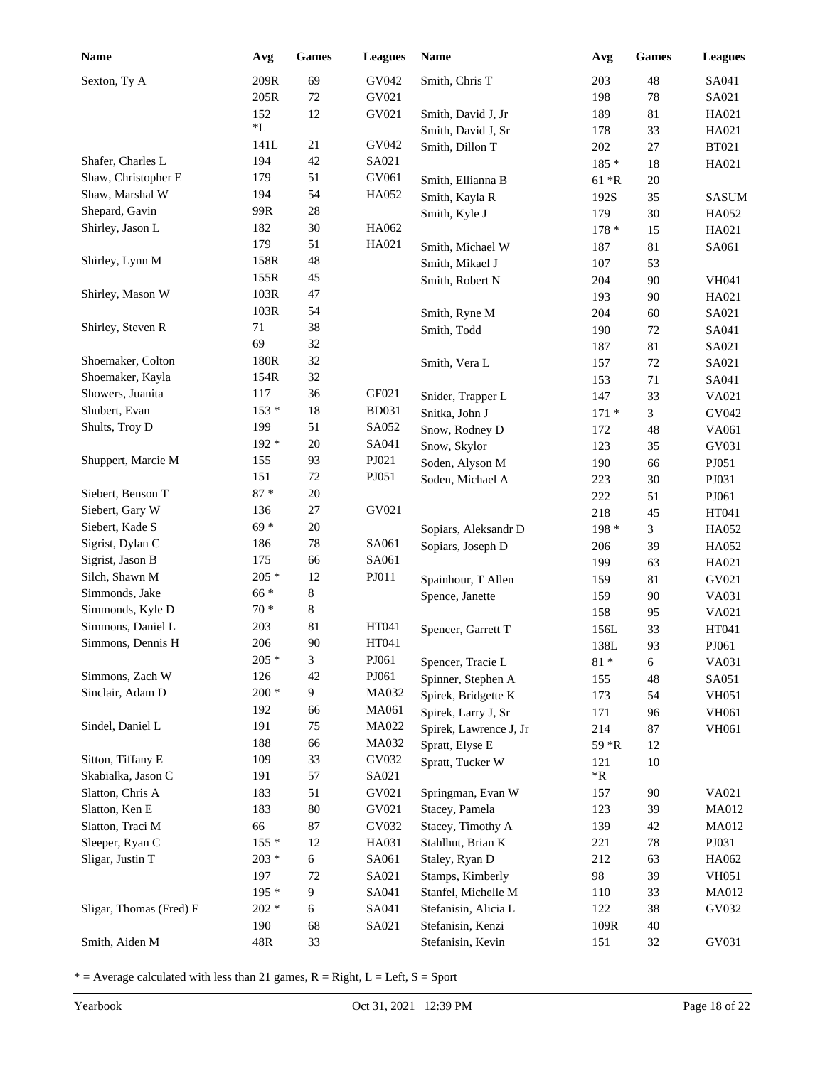| <b>Name</b>             | Avg        | Games            | <b>Leagues</b> | Name                                | Avg               | Games    | <b>Leagues</b> |
|-------------------------|------------|------------------|----------------|-------------------------------------|-------------------|----------|----------------|
| Sexton, Ty A            | 209R       | 69               | GV042          | Smith, Chris T                      | 203               | 48       | SA041          |
|                         | 205R       | 72               | GV021          |                                     | 198               | $78\,$   | SA021          |
|                         | 152        | 12               | GV021          | Smith, David J, Jr                  | 189               | 81       | HA021          |
|                         | *L         |                  |                | Smith, David J, Sr                  | 178               | 33       | HA021          |
|                         | 141L       | 21               | GV042          | Smith, Dillon T                     | 202               | $27\,$   | <b>BT021</b>   |
| Shafer, Charles L       | 194        | 42               | SA021          |                                     | $185 *$           | 18       | HA021          |
| Shaw, Christopher E     | 179        | 51               | GV061          | Smith, Ellianna B                   | $61 * R$          | $20\,$   |                |
| Shaw, Marshal W         | 194        | 54               | HA052          | Smith, Kayla R                      | 192S              | 35       | <b>SASUM</b>   |
| Shepard, Gavin          | 99R        | 28               |                | Smith, Kyle J                       | 179               | 30       | HA052          |
| Shirley, Jason L        | 182        | 30               | HA062          |                                     | $178*$            | 15       | HA021          |
|                         | 179        | 51               | HA021          | Smith, Michael W                    | 187               | 81       | SA061          |
| Shirley, Lynn M         | 158R       | 48               |                | Smith, Mikael J                     | 107               | 53       |                |
|                         | 155R       | 45               |                | Smith, Robert N                     | 204               | 90       | <b>VH041</b>   |
| Shirley, Mason W        | 103R       | 47               |                |                                     | 193               | 90       | HA021          |
|                         | 103R       | 54               |                | Smith, Ryne M                       | 204               | 60       | SA021          |
| Shirley, Steven R       | 71         | 38               |                | Smith, Todd                         | 190               | 72       | SA041          |
|                         | 69         | 32               |                |                                     | 187               | 81       | SA021          |
| Shoemaker, Colton       | 180R       | 32               |                | Smith, Vera L                       | 157               | $72\,$   | SA021          |
| Shoemaker, Kayla        | 154R       | 32               |                |                                     | 153               | 71       | SA041          |
| Showers, Juanita        | 117        | 36               | GF021          | Snider, Trapper L                   | 147               | 33       | VA021          |
| Shubert, Evan           | $153*$     | 18               | <b>BD031</b>   | Snitka, John J                      | $171*$            | 3        | GV042          |
| Shults, Troy D          | 199        | 51               | SA052          | Snow, Rodney D                      | 172               | 48       | VA061          |
|                         | $192*$     | 20               | SA041          | Snow, Skylor                        | 123               | 35       | GV031          |
| Shuppert, Marcie M      | 155        | 93               | PJ021          | Soden, Alyson M                     | 190               | 66       | PJ051          |
|                         | 151        | $72\,$           | PJ051          | Soden, Michael A                    | 223               | 30       | PJ031          |
| Siebert, Benson T       | $87 *$     | 20               |                |                                     | 222               | 51       | PJ061          |
| Siebert, Gary W         | 136        | 27               | GV021          |                                     | 218               | 45       | HT041          |
| Siebert, Kade S         | $69*$      | 20               |                | Sopiars, Aleksandr D                | $198*$            | 3        | HA052          |
| Sigrist, Dylan C        | 186        | 78               | SA061          | Sopiars, Joseph D                   | 206               | 39       | HA052          |
| Sigrist, Jason B        | 175        | 66               | SA061          |                                     | 199               | 63       | HA021          |
| Silch, Shawn M          | $205 *$    | 12               | PJ011          | Spainhour, T Allen                  | 159               | 81       | GV021          |
| Simmonds, Jake          | $66 *$     | 8                |                | Spence, Janette                     | 159               | 90       | VA031          |
| Simmonds, Kyle D        | $70 *$     | 8                |                |                                     | 158               | 95       | VA021          |
| Simmons, Daniel L       | 203        | 81               | HT041          | Spencer, Garrett T                  | 156L              | 33       | HT041          |
| Simmons, Dennis H       | 206        | 90               | HT041          |                                     | 138L              | 93       | PJ061          |
|                         | $205 *$    | 3                | PJ061          | Spencer, Tracie L                   | $81\,$ *          | 6        | VA031          |
| Simmons, Zach W         | 126        | 42               | PJ061          | Spinner, Stephen A                  | 155               | 48       | SA051          |
| Sinclair, Adam D        | $200 *$    | $\overline{9}$   | MA032          | Spirek, Bridgette K                 | 173               | 54       | <b>VH051</b>   |
|                         | 192        | 66               | MA061          | Spirek, Larry J, Sr                 | 171               | 96       | VH061          |
| Sindel, Daniel L        | 191        | 75               | MA022          | Spirek, Lawrence J, Jr              | 214               | 87       | VH061          |
| Sitton, Tiffany E       | 188        | 66               | MA032          | Spratt, Elyse E                     | 59 *R             | 12       |                |
| Skabialka, Jason C      | 109        | 33               | GV032          | Spratt, Tucker W                    | 121<br>$*{\bf R}$ | 10       |                |
| Slatton, Chris A        | 191        | 57<br>51         | SA021<br>GV021 |                                     |                   |          | VA021          |
| Slatton, Ken E          | 183<br>183 | 80               | GV021          | Springman, Evan W<br>Stacey, Pamela | 157<br>123        | 90<br>39 | MA012          |
| Slatton, Traci M        | 66         | $87\,$           | GV032          | Stacey, Timothy A                   | 139               | 42       | MA012          |
| Sleeper, Ryan C         | $155*$     | 12               | HA031          | Stahlhut, Brian K                   | 221               | 78       | PJ031          |
| Sligar, Justin T        | $203 *$    | $\epsilon$       | SA061          | Staley, Ryan D                      | 212               | 63       | HA062          |
|                         | 197        | $72\,$           | SA021          | Stamps, Kimberly                    | 98                | 39       | <b>VH051</b>   |
|                         | 195 *      | $\boldsymbol{9}$ | SA041          | Stanfel, Michelle M                 | 110               | 33       | MA012          |
| Sligar, Thomas (Fred) F | $202 *$    | 6                | SA041          | Stefanisin, Alicia L                | 122               | 38       | GV032          |
|                         | 190        | 68               | SA021          | Stefanisin, Kenzi                   | 109R              | 40       |                |
| Smith, Aiden M          | 48R        | 33               |                | Stefanisin, Kevin                   | 151               | 32       | GV031          |
|                         |            |                  |                |                                     |                   |          |                |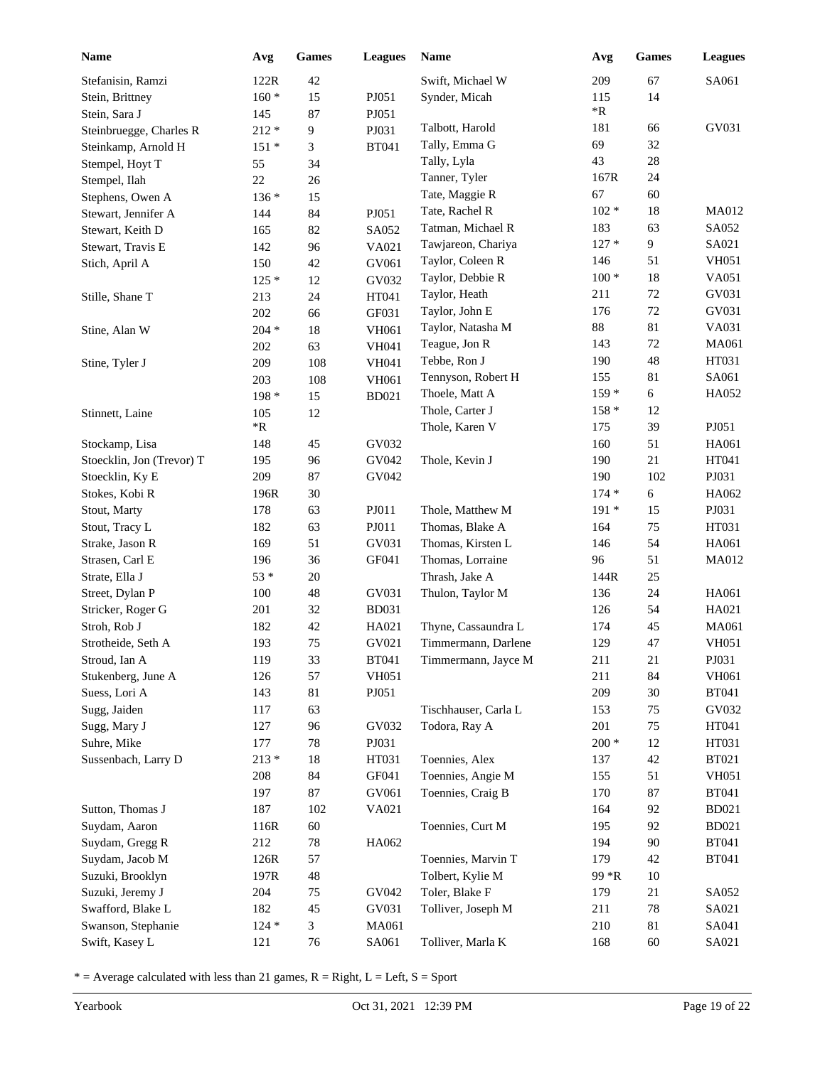| Name                      | Avg        | Games  | <b>Leagues</b> | <b>Name</b>          | Avg                | <b>Games</b> | <b>Leagues</b> |
|---------------------------|------------|--------|----------------|----------------------|--------------------|--------------|----------------|
| Stefanisin, Ramzi         | 122R       | 42     |                | Swift, Michael W     | 209                | 67           | SA061          |
| Stein, Brittney           | $160 *$    | 15     | PJ051          | Synder, Micah        | 115                | 14           |                |
| Stein, Sara J             | 145        | 87     | PJ051          |                      | $\,{}^*\mathrm{R}$ |              |                |
| Steinbruegge, Charles R   | $212 *$    | 9      | PJ031          | Talbott, Harold      | 181                | 66           | GV031          |
| Steinkamp, Arnold H       | $151*$     | 3      | <b>BT041</b>   | Tally, Emma G        | 69                 | 32           |                |
| Stempel, Hoyt T           | 55         | 34     |                | Tally, Lyla          | 43                 | $28\,$       |                |
| Stempel, Ilah             | 22         | 26     |                | Tanner, Tyler        | 167R               | 24           |                |
| Stephens, Owen A          | $136*$     | 15     |                | Tate, Maggie R       | 67                 | 60           |                |
| Stewart, Jennifer A       | 144        | 84     | PJ051          | Tate, Rachel R       | $102 *$            | $18\,$       | <b>MA012</b>   |
| Stewart, Keith D          | 165        | 82     | SA052          | Tatman, Michael R    | 183                | 63           | SA052          |
| Stewart, Travis E         | 142        | 96     | VA021          | Tawjareon, Chariya   | $127*$             | 9            | SA021          |
| Stich, April A            | 150        | 42     | GV061          | Taylor, Coleen R     | 146                | 51           | <b>VH051</b>   |
|                           | $125*$     | 12     | GV032          | Taylor, Debbie R     | $100 *$            | $18\,$       | VA051          |
| Stille, Shane T           | 213        | 24     | HT041          | Taylor, Heath        | 211                | $72\,$       | GV031          |
|                           | 202        | 66     | GF031          | Taylor, John E       | 176                | $72\,$       | GV031          |
| Stine, Alan W             | $204 *$    | $18\,$ | <b>VH061</b>   | Taylor, Natasha M    | 88                 | 81           | VA031          |
|                           | 202        | 63     | VH041          | Teague, Jon R        | 143                | $72\,$       | MA061          |
| Stine, Tyler J            | 209        | 108    | VH041          | Tebbe, Ron J         | 190                | 48           | HT031          |
|                           | 203        | 108    | VH061          | Tennyson, Robert H   | 155                | 81           | SA061          |
|                           | 198 *      | 15     | <b>BD021</b>   | Thoele, Matt A       | $159*$             | 6            | HA052          |
| Stinnett, Laine           | 105        | 12     |                | Thole, Carter J      | $158*$             | 12           |                |
|                           | $*{\bf R}$ |        |                | Thole, Karen V       | 175                | 39           | PJ051          |
| Stockamp, Lisa            | 148        | 45     | GV032          |                      | 160                | 51           | HA061          |
| Stoecklin, Jon (Trevor) T | 195        | 96     | GV042          | Thole, Kevin J       | 190                | 21           | HT041          |
| Stoecklin, Ky E           | 209        | 87     | GV042          |                      | 190                | 102          | PJ031          |
| Stokes, Kobi R            | 196R       | 30     |                |                      | $174*$             | 6            | HA062          |
| Stout, Marty              | 178        | 63     | PJ011          | Thole, Matthew M     | $191*$             | 15           | PJ031          |
| Stout, Tracy L            | 182        | 63     | PJ011          | Thomas, Blake A      | 164                | 75           | HT031          |
| Strake, Jason R           | 169        | 51     | GV031          | Thomas, Kirsten L    | 146                | 54           | HA061          |
| Strasen, Carl E           | 196        | 36     | GF041          | Thomas, Lorraine     | 96                 | 51           | <b>MA012</b>   |
| Strate, Ella J            | $53*$      | 20     |                | Thrash, Jake A       | 144R               | 25           |                |
| Street, Dylan P           | 100        | 48     | GV031          | Thulon, Taylor M     | 136                | 24           | HA061          |
| Stricker, Roger G         | 201        | 32     | <b>BD031</b>   |                      | 126                | 54           | HA021          |
| Stroh, Rob J              | 182        | 42     | HA021          | Thyne, Cassaundra L  | 174                | 45           | MA061          |
| Strotheide, Seth A        | 193        | 75     | GV021          | Timmermann, Darlene  | 129                | 47           | <b>VH051</b>   |
| Stroud, Ian A             | 119        | 33     | <b>BT041</b>   | Timmermann, Jayce M  | 211                | 21           | PJ031          |
| Stukenberg, June A        | 126        | 57     | <b>VH051</b>   |                      | 211                | 84           | VH061          |
| Suess, Lori A             | 143        | 81     | PJ051          |                      | 209                | $30\,$       | <b>BT041</b>   |
| Sugg, Jaiden              | 117        | 63     |                | Tischhauser, Carla L | 153                | 75           | GV032          |
| Sugg, Mary J              | 127        | 96     | GV032          | Todora, Ray A        | 201                | 75           | HT041          |
| Suhre, Mike               | 177        | $78\,$ | PJ031          |                      | $200*$             | 12           | HT031          |
| Sussenbach, Larry D       | $213 *$    | 18     | HT031          | Toennies, Alex       | 137                | 42           | <b>BT021</b>   |
|                           | 208        | 84     | GF041          | Toennies, Angie M    | 155                | 51           | <b>VH051</b>   |
|                           | 197        | 87     | GV061          | Toennies, Craig B    | 170                | 87           | <b>BT041</b>   |
| Sutton, Thomas J          | 187        | 102    | VA021          |                      | 164                | 92           | $\rm BD021$    |
| Suydam, Aaron             | 116R       | 60     |                | Toennies, Curt M     | 195                | 92           | <b>BD021</b>   |
| Suydam, Gregg R           | 212        | 78     | HA062          |                      | 194                | 90           | <b>BT041</b>   |
| Suydam, Jacob M           | 126R       | 57     |                | Toennies, Marvin T   | 179                | 42           | <b>BT041</b>   |
| Suzuki, Brooklyn          | 197R       | 48     |                | Tolbert, Kylie M     | 99 *R              | 10           |                |
| Suzuki, Jeremy J          | 204        | 75     | GV042          | Toler, Blake F       | 179                | 21           | SA052          |
| Swafford, Blake L         | 182        | 45     | GV031          | Tolliver, Joseph M   | 211                | 78           | SA021          |
| Swanson, Stephanie        | $124 *$    | 3      | MA061          |                      | 210                | 81           | SA041          |
| Swift, Kasey L            | 121        | 76     | SA061          | Tolliver, Marla K    | 168                | 60           | SA021          |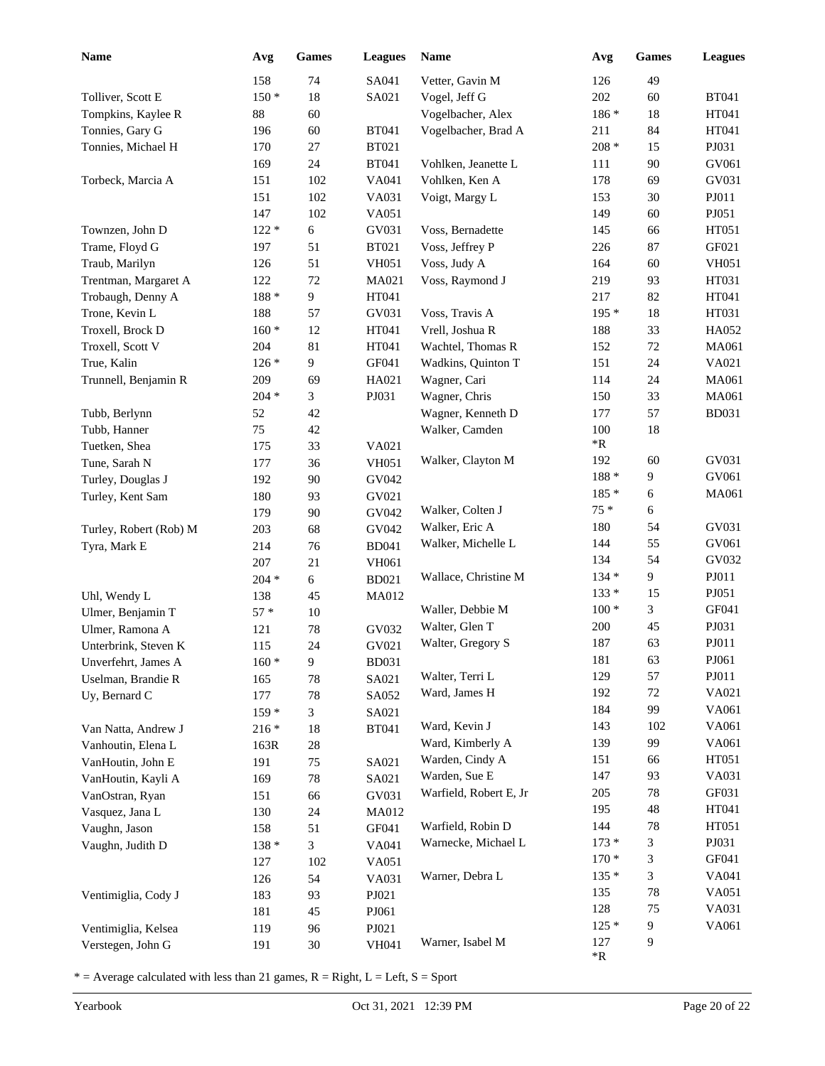| <b>Name</b>                                 | Avg           | Games    | <b>Leagues</b> | Name                                 | Avg             | <b>Games</b> | <b>Leagues</b> |
|---------------------------------------------|---------------|----------|----------------|--------------------------------------|-----------------|--------------|----------------|
|                                             | 158           | 74       | SA041          | Vetter, Gavin M                      | 126             | 49           |                |
| Tolliver, Scott E                           | $150*$        | 18       | SA021          | Vogel, Jeff G                        | 202             | 60           | <b>BT041</b>   |
| Tompkins, Kaylee R                          | 88            | 60       |                | Vogelbacher, Alex                    | 186 *           | 18           | HT041          |
| Tonnies, Gary G                             | 196           | 60       | <b>BT041</b>   | Vogelbacher, Brad A                  | 211             | 84           | HT041          |
| Tonnies, Michael H                          | 170           | 27       | <b>BT021</b>   |                                      | $208 *$         | 15           | PJ031          |
|                                             | 169           | 24       | <b>BT041</b>   | Vohlken, Jeanette L                  | 111             | 90           | GV061          |
| Torbeck, Marcia A                           | 151           | 102      | VA041          | Vohlken, Ken A                       | 178             | 69           | GV031          |
|                                             | 151           | 102      | VA031          | Voigt, Margy L                       | 153             | 30           | PJ011          |
|                                             | 147           | 102      | VA051          |                                      | 149             | 60           | PJ051          |
| Townzen, John D                             | $122 *$       | 6        | GV031          | Voss, Bernadette                     | 145             | 66           | HT051          |
| Trame, Floyd G                              | 197           | 51       | <b>BT021</b>   | Voss, Jeffrey P                      | 226             | 87           | GF021          |
| Traub, Marilyn                              | 126           | 51       | <b>VH051</b>   | Voss, Judy A                         | 164             | 60           | <b>VH051</b>   |
| Trentman, Margaret A                        | 122           | 72       | MA021          | Voss, Raymond J                      | 219             | 93           | HT031          |
| Trobaugh, Denny A                           | $188 *$       | 9        | HT041          |                                      | 217             | 82           | HT041          |
| Trone, Kevin L                              | 188           | 57       | GV031          | Voss, Travis A                       | $195*$          | 18           | HT031          |
| Troxell, Brock D                            | $160*$        | 12       | HT041          | Vrell, Joshua R                      | 188             | 33           | HA052          |
| Troxell, Scott V                            | 204           | 81       | HT041          | Wachtel, Thomas R                    | 152             | $72\,$       | MA061          |
| True, Kalin                                 | $126*$        | 9        | GF041          | Wadkins, Quinton T                   | 151             | 24           | VA021          |
| Trunnell, Benjamin R                        | 209           | 69       | HA021          | Wagner, Cari                         | 114             | 24           | MA061          |
|                                             | $204 *$       | 3        | PJ031          | Wagner, Chris                        | 150             | 33           | MA061          |
| Tubb, Berlynn                               | 52            | 42       |                | Wagner, Kenneth D                    | 177             | 57           | <b>BD031</b>   |
| Tubb, Hanner                                | 75            | 42       |                | Walker, Camden                       | 100             | 18           |                |
| Tuetken, Shea                               | 175           | 33       | VA021          |                                      | $\rm ^{*}R$     |              |                |
| Tune, Sarah N                               | 177           | 36       | <b>VH051</b>   | Walker, Clayton M                    | 192             | 60           | GV031          |
| Turley, Douglas J                           | 192           | 90       | GV042          |                                      | $188 *$         | 9            | GV061          |
| Turley, Kent Sam                            | 180           | 93       | GV021          |                                      | $185*$<br>$75*$ | 6            | MA061          |
|                                             | 179           | 90       | GV042          | Walker, Colten J                     | 180             | 6<br>54      | GV031          |
| Turley, Robert (Rob) M                      | 203           | 68       | GV042          | Walker, Eric A<br>Walker, Michelle L | 144             | 55           | GV061          |
| Tyra, Mark E                                | 214           | 76       | <b>BD041</b>   |                                      | 134             | 54           | GV032          |
|                                             | 207           | 21       | <b>VH061</b>   | Wallace, Christine M                 | $134 *$         | 9            | PJ011          |
|                                             | $204 *$       | 6        | <b>BD021</b>   |                                      | $133*$          | 15           | PJ051          |
| Uhl, Wendy L                                | 138           | 45       | MA012          | Waller, Debbie M                     | $100*$          | 3            | GF041          |
| Ulmer, Benjamin T                           | $57*$         | 10<br>78 | GV032          | Walter, Glen T                       | 200             | 45           | PJ031          |
| Ulmer, Ramona A                             | 121           | 24       | GV021          | Walter, Gregory S                    | 187             | 63           | PJ011          |
| Unterbrink, Steven K<br>Unverfehrt, James A | 115<br>$160*$ | 9        | <b>BD031</b>   |                                      | 181             | 63           | PJ061          |
| Uselman, Brandie R                          | 165           | 78       | SA021          | Walter, Terri L                      | 129             | 57           | ${\bf P}J011$  |
| Uy, Bernard C                               | 177           | 78       | SA052          | Ward, James H                        | 192             | $72\,$       | VA021          |
|                                             | 159 *         | 3        | SA021          |                                      | 184             | 99           | VA061          |
| Van Natta, Andrew J                         | $216 *$       | 18       | <b>BT041</b>   | Ward, Kevin J                        | 143             | 102          | VA061          |
| Vanhoutin, Elena L                          | 163R          | 28       |                | Ward, Kimberly A                     | 139             | 99           | VA061          |
| VanHoutin, John E                           | 191           | 75       | SA021          | Warden, Cindy A                      | 151             | 66           | HT051          |
| VanHoutin, Kayli A                          | 169           | 78       | SA021          | Warden, Sue E                        | 147             | 93           | VA031          |
| VanOstran, Ryan                             | 151           | 66       | GV031          | Warfield, Robert E, Jr               | 205             | 78           | GF031          |
| Vasquez, Jana L                             | 130           | 24       | MA012          |                                      | 195             | 48           | HT041          |
| Vaughn, Jason                               | 158           | 51       | GF041          | Warfield, Robin D                    | 144             | 78           | HT051          |
| Vaughn, Judith D                            | $138 *$       | 3        | VA041          | Warnecke, Michael L                  | $173*$          | 3            | PJ031          |
|                                             | 127           | 102      | VA051          |                                      | $170*$          | 3            | GF041          |
|                                             | 126           | 54       | VA031          | Warner, Debra L                      | $135*$          | 3            | VA041          |
| Ventimiglia, Cody J                         | 183           | 93       | PJ021          |                                      | 135             | 78           | VA051          |
|                                             | 181           | 45       | PJ061          |                                      | 128             | 75           | VA031          |
| Ventimiglia, Kelsea                         | 119           | 96       | PJ021          |                                      | $125*$          | 9            | VA061          |
| Verstegen, John G                           | 191           | $30\,$   | VH041          | Warner, Isabel M                     | 127<br>*R       | 9            |                |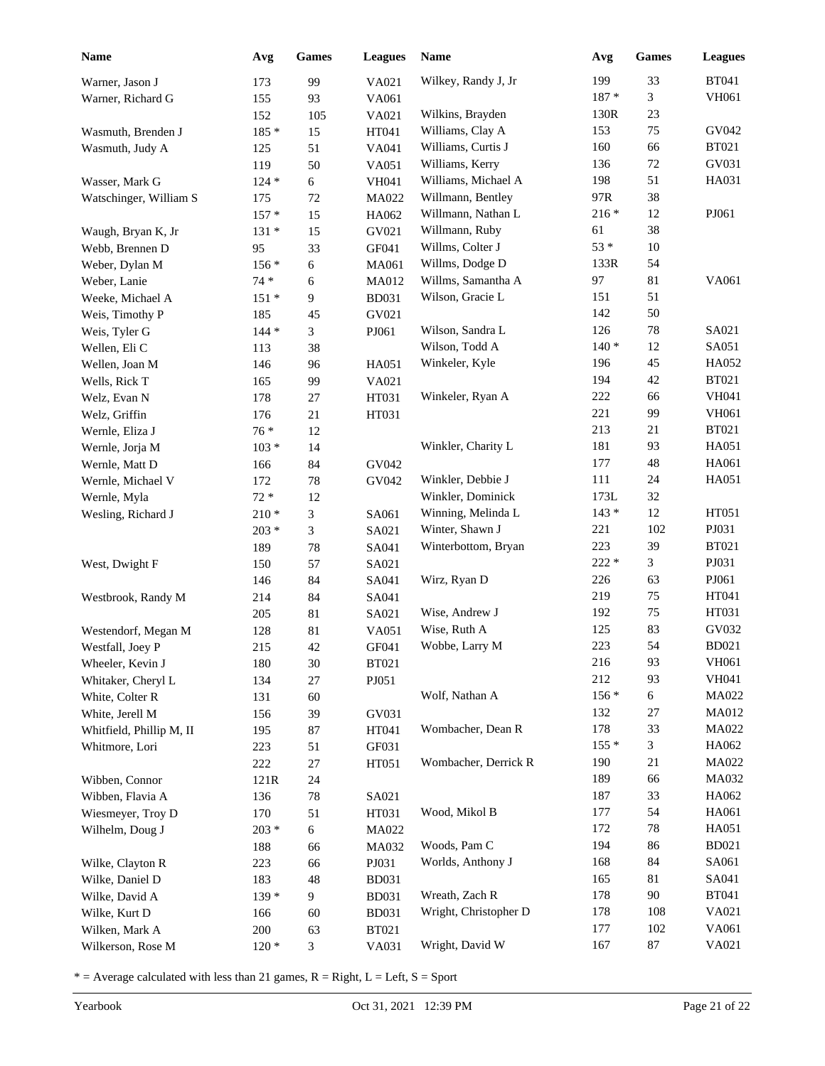| 199<br>33<br><b>BT041</b><br>Wilkey, Randy J, Jr<br>99<br>VA021<br>Warner, Jason J<br>173<br>3<br>VH061<br>$187 *$<br>93<br>VA061<br>Warner, Richard G<br>155<br>23<br>Wilkins, Brayden<br>130R<br>152<br>VA021<br>105<br>75<br>GV042<br>Williams, Clay A<br>153<br>Wasmuth, Brenden J<br>185 *<br>HT041<br>15<br>Williams, Curtis J<br><b>BT021</b><br>160<br>66<br>VA041<br>Wasmuth, Judy A<br>125<br>51<br>Williams, Kerry<br>GV031<br>136<br>72<br>119<br>50<br>VA051<br>Williams, Michael A<br>51<br>HA031<br>198<br>6<br>Wasser, Mark G<br>$124 *$<br><b>VH041</b><br>97R<br>38<br>Willmann, Bentley<br>Watschinger, William S<br>175<br>72<br>MA022<br>PJ061<br>$216\; *$<br>Willmann, Nathan L<br>12<br>$157 *$<br>15<br>HA062<br>38<br>Willmann, Ruby<br>61<br>15<br>GV021<br>$131 *$<br>Waugh, Bryan K, Jr<br>$53 *$<br>Willms, Colter J<br>10<br>Webb, Brennen D<br>95<br>33<br>GF041<br>54<br>Willms, Dodge D<br>133R<br>Weber, Dylan M<br>6<br>MA061<br>$156*$<br>Willms, Samantha A<br>97<br>81<br>VA061<br>Weber, Lanie<br>$74*$<br>MA012<br>6<br>Wilson, Gracie L<br>51<br>151<br>9<br><b>BD031</b><br>Weeke, Michael A<br>$151*$<br>50<br>142<br>GV021<br>Weis, Timothy P<br>185<br>45<br>126<br>Wilson, Sandra L<br>78<br>SA021<br>$144 *$<br>3<br>PJ061<br>Weis, Tyler G<br>Wilson, Todd A<br>$140*$<br>SA051<br>12<br>38<br>Wellen, Eli C<br>113<br>45<br>Winkeler, Kyle<br>196<br>HA052<br>HA051<br>Wellen, Joan M<br>146<br>96<br><b>BT021</b><br>194<br>42<br>Wells, Rick T<br>165<br>99<br>VA021<br><b>VH041</b><br>222<br>66<br>HT031<br>Winkeler, Ryan A<br>Welz, Evan N<br>178<br>27<br>221<br>99<br>VH061<br>HT031<br>Welz, Griffin<br>176<br>21<br>213<br><b>BT021</b><br>21<br>$76*$<br>Wernle, Eliza J<br>12<br>HA051<br>Winkler, Charity L<br>181<br>93<br>$103 *$<br>14<br>Wernle, Jorja M<br>HA061<br>177<br>48<br>84<br>Wernle, Matt D<br>166<br>GV042<br>Winkler, Debbie J<br>111<br>24<br>HA051<br>78<br>GV042<br>Wernle, Michael V<br>172<br>32<br>Winkler, Dominick<br>173L<br>$72\,^*$<br>12<br>Wernle, Myla<br>HT051<br>Winning, Melinda L<br>$143*$<br>12<br>3<br>SA061<br>Wesling, Richard J<br>$210 *$<br>Winter, Shawn J<br>221<br>102<br>PJ031<br>3<br>$203 *$<br>SA021<br>39<br>Winterbottom, Bryan<br>223<br><b>BT021</b><br>189<br>78<br>SA041<br>$222 *$<br>3<br>PJ031<br>West, Dwight F<br>57<br>SA021<br>150<br>PJ061<br>Wirz, Ryan D<br>226<br>63<br>84<br>SA041<br>146<br>219<br>75<br>HT041<br>SA041<br>Westbrook, Randy M<br>214<br>84<br>Wise, Andrew J<br>192<br>75<br>HT031<br>205<br>81<br>SA021<br>Wise, Ruth A<br>125<br>83<br>GV032<br>Westendorf, Megan M<br>81<br>VA051<br>128<br>223<br>54<br><b>BD021</b><br>42<br>Wobbe, Larry M<br>215<br>GF041<br>Westfall, Joey P<br>216<br>93<br>VH061<br>30<br>Wheeler, Kevin J<br>180<br><b>BT021</b><br>212<br>93<br><b>VH041</b><br>$27\,$<br>PJ051<br>Whitaker, Cheryl L<br>134<br>$156*$<br>Wolf, Nathan A<br>6<br>MA022<br>White, Colter R<br>131<br>60<br>132<br>27<br>MA012<br>39<br>White, Jerell M<br>156<br>GV031<br>178<br>33<br>MA022<br>Wombacher, Dean R<br>Whitfield, Phillip M, II<br>195<br>87<br>HT041<br>$155*$<br>3<br>HA062<br>Whitmore, Lori<br>223<br>51<br>GF031<br>Wombacher, Derrick R<br>190<br>21<br>MA022<br>222<br>$27\,$<br>HT051<br>189<br>66<br>MA032<br>Wibben, Connor<br>121R<br>24<br>187<br>33<br>HA062<br>Wibben, Flavia A<br>78<br>136<br>SA021<br>54<br>Wood, Mikol B<br>177<br>HA061<br>170<br>51<br>Wiesmeyer, Troy D<br>HT031<br>$78\,$<br>172<br>HA051<br>$203 *$<br>$\sqrt{6}$<br>Wilhelm, Doug J<br>MA022<br>Woods, Pam C<br>194<br>86<br><b>BD021</b><br>188<br>66<br>MA032<br>84<br>Worlds, Anthony J<br>168<br>SA061<br>Wilke, Clayton R<br>223<br>66<br>PJ031<br>165<br>81<br>SA041<br><b>BD031</b><br>Wilke, Daniel D<br>183<br>48<br>Wreath, Zach R<br>178<br>90<br><b>BT041</b><br>139 *<br>$\overline{9}$<br>Wilke, David A<br><b>BD031</b><br>Wright, Christopher D<br>178<br>108<br>VA021<br>Wilke, Kurt D<br>60<br><b>BD031</b><br>166<br>177<br>102<br>VA061<br>200<br>63<br><b>BT021</b><br>Wilken, Mark A<br>Wright, David W<br>87<br>VA021<br>167<br>$120*$<br>3<br>VA031<br>Wilkerson, Rose M | <b>Name</b> | Avg | Games | <b>Leagues</b> | Name | Avg | <b>Games</b> | <b>Leagues</b> |
|-----------------------------------------------------------------------------------------------------------------------------------------------------------------------------------------------------------------------------------------------------------------------------------------------------------------------------------------------------------------------------------------------------------------------------------------------------------------------------------------------------------------------------------------------------------------------------------------------------------------------------------------------------------------------------------------------------------------------------------------------------------------------------------------------------------------------------------------------------------------------------------------------------------------------------------------------------------------------------------------------------------------------------------------------------------------------------------------------------------------------------------------------------------------------------------------------------------------------------------------------------------------------------------------------------------------------------------------------------------------------------------------------------------------------------------------------------------------------------------------------------------------------------------------------------------------------------------------------------------------------------------------------------------------------------------------------------------------------------------------------------------------------------------------------------------------------------------------------------------------------------------------------------------------------------------------------------------------------------------------------------------------------------------------------------------------------------------------------------------------------------------------------------------------------------------------------------------------------------------------------------------------------------------------------------------------------------------------------------------------------------------------------------------------------------------------------------------------------------------------------------------------------------------------------------------------------------------------------------------------------------------------------------------------------------------------------------------------------------------------------------------------------------------------------------------------------------------------------------------------------------------------------------------------------------------------------------------------------------------------------------------------------------------------------------------------------------------------------------------------------------------------------------------------------------------------------------------------------------------------------------------------------------------------------------------------------------------------------------------------------------------------------------------------------------------------------------------------------------------------------------------------------------------------------------------------------------------------------------------------------------------------------------------------------------------------------------------------------------------------------------------------------------------------------------------------------------------------------------------------------------------------------------------------------------------------------------------------------------------------------------------------------------------------------------------------------------------------------------------------------------------------------------------------------|-------------|-----|-------|----------------|------|-----|--------------|----------------|
|                                                                                                                                                                                                                                                                                                                                                                                                                                                                                                                                                                                                                                                                                                                                                                                                                                                                                                                                                                                                                                                                                                                                                                                                                                                                                                                                                                                                                                                                                                                                                                                                                                                                                                                                                                                                                                                                                                                                                                                                                                                                                                                                                                                                                                                                                                                                                                                                                                                                                                                                                                                                                                                                                                                                                                                                                                                                                                                                                                                                                                                                                                                                                                                                                                                                                                                                                                                                                                                                                                                                                                                                                                                                                                                                                                                                                                                                                                                                                                                                                                                                                                                                                                       |             |     |       |                |      |     |              |                |
|                                                                                                                                                                                                                                                                                                                                                                                                                                                                                                                                                                                                                                                                                                                                                                                                                                                                                                                                                                                                                                                                                                                                                                                                                                                                                                                                                                                                                                                                                                                                                                                                                                                                                                                                                                                                                                                                                                                                                                                                                                                                                                                                                                                                                                                                                                                                                                                                                                                                                                                                                                                                                                                                                                                                                                                                                                                                                                                                                                                                                                                                                                                                                                                                                                                                                                                                                                                                                                                                                                                                                                                                                                                                                                                                                                                                                                                                                                                                                                                                                                                                                                                                                                       |             |     |       |                |      |     |              |                |
|                                                                                                                                                                                                                                                                                                                                                                                                                                                                                                                                                                                                                                                                                                                                                                                                                                                                                                                                                                                                                                                                                                                                                                                                                                                                                                                                                                                                                                                                                                                                                                                                                                                                                                                                                                                                                                                                                                                                                                                                                                                                                                                                                                                                                                                                                                                                                                                                                                                                                                                                                                                                                                                                                                                                                                                                                                                                                                                                                                                                                                                                                                                                                                                                                                                                                                                                                                                                                                                                                                                                                                                                                                                                                                                                                                                                                                                                                                                                                                                                                                                                                                                                                                       |             |     |       |                |      |     |              |                |
|                                                                                                                                                                                                                                                                                                                                                                                                                                                                                                                                                                                                                                                                                                                                                                                                                                                                                                                                                                                                                                                                                                                                                                                                                                                                                                                                                                                                                                                                                                                                                                                                                                                                                                                                                                                                                                                                                                                                                                                                                                                                                                                                                                                                                                                                                                                                                                                                                                                                                                                                                                                                                                                                                                                                                                                                                                                                                                                                                                                                                                                                                                                                                                                                                                                                                                                                                                                                                                                                                                                                                                                                                                                                                                                                                                                                                                                                                                                                                                                                                                                                                                                                                                       |             |     |       |                |      |     |              |                |
|                                                                                                                                                                                                                                                                                                                                                                                                                                                                                                                                                                                                                                                                                                                                                                                                                                                                                                                                                                                                                                                                                                                                                                                                                                                                                                                                                                                                                                                                                                                                                                                                                                                                                                                                                                                                                                                                                                                                                                                                                                                                                                                                                                                                                                                                                                                                                                                                                                                                                                                                                                                                                                                                                                                                                                                                                                                                                                                                                                                                                                                                                                                                                                                                                                                                                                                                                                                                                                                                                                                                                                                                                                                                                                                                                                                                                                                                                                                                                                                                                                                                                                                                                                       |             |     |       |                |      |     |              |                |
|                                                                                                                                                                                                                                                                                                                                                                                                                                                                                                                                                                                                                                                                                                                                                                                                                                                                                                                                                                                                                                                                                                                                                                                                                                                                                                                                                                                                                                                                                                                                                                                                                                                                                                                                                                                                                                                                                                                                                                                                                                                                                                                                                                                                                                                                                                                                                                                                                                                                                                                                                                                                                                                                                                                                                                                                                                                                                                                                                                                                                                                                                                                                                                                                                                                                                                                                                                                                                                                                                                                                                                                                                                                                                                                                                                                                                                                                                                                                                                                                                                                                                                                                                                       |             |     |       |                |      |     |              |                |
|                                                                                                                                                                                                                                                                                                                                                                                                                                                                                                                                                                                                                                                                                                                                                                                                                                                                                                                                                                                                                                                                                                                                                                                                                                                                                                                                                                                                                                                                                                                                                                                                                                                                                                                                                                                                                                                                                                                                                                                                                                                                                                                                                                                                                                                                                                                                                                                                                                                                                                                                                                                                                                                                                                                                                                                                                                                                                                                                                                                                                                                                                                                                                                                                                                                                                                                                                                                                                                                                                                                                                                                                                                                                                                                                                                                                                                                                                                                                                                                                                                                                                                                                                                       |             |     |       |                |      |     |              |                |
|                                                                                                                                                                                                                                                                                                                                                                                                                                                                                                                                                                                                                                                                                                                                                                                                                                                                                                                                                                                                                                                                                                                                                                                                                                                                                                                                                                                                                                                                                                                                                                                                                                                                                                                                                                                                                                                                                                                                                                                                                                                                                                                                                                                                                                                                                                                                                                                                                                                                                                                                                                                                                                                                                                                                                                                                                                                                                                                                                                                                                                                                                                                                                                                                                                                                                                                                                                                                                                                                                                                                                                                                                                                                                                                                                                                                                                                                                                                                                                                                                                                                                                                                                                       |             |     |       |                |      |     |              |                |
|                                                                                                                                                                                                                                                                                                                                                                                                                                                                                                                                                                                                                                                                                                                                                                                                                                                                                                                                                                                                                                                                                                                                                                                                                                                                                                                                                                                                                                                                                                                                                                                                                                                                                                                                                                                                                                                                                                                                                                                                                                                                                                                                                                                                                                                                                                                                                                                                                                                                                                                                                                                                                                                                                                                                                                                                                                                                                                                                                                                                                                                                                                                                                                                                                                                                                                                                                                                                                                                                                                                                                                                                                                                                                                                                                                                                                                                                                                                                                                                                                                                                                                                                                                       |             |     |       |                |      |     |              |                |
|                                                                                                                                                                                                                                                                                                                                                                                                                                                                                                                                                                                                                                                                                                                                                                                                                                                                                                                                                                                                                                                                                                                                                                                                                                                                                                                                                                                                                                                                                                                                                                                                                                                                                                                                                                                                                                                                                                                                                                                                                                                                                                                                                                                                                                                                                                                                                                                                                                                                                                                                                                                                                                                                                                                                                                                                                                                                                                                                                                                                                                                                                                                                                                                                                                                                                                                                                                                                                                                                                                                                                                                                                                                                                                                                                                                                                                                                                                                                                                                                                                                                                                                                                                       |             |     |       |                |      |     |              |                |
|                                                                                                                                                                                                                                                                                                                                                                                                                                                                                                                                                                                                                                                                                                                                                                                                                                                                                                                                                                                                                                                                                                                                                                                                                                                                                                                                                                                                                                                                                                                                                                                                                                                                                                                                                                                                                                                                                                                                                                                                                                                                                                                                                                                                                                                                                                                                                                                                                                                                                                                                                                                                                                                                                                                                                                                                                                                                                                                                                                                                                                                                                                                                                                                                                                                                                                                                                                                                                                                                                                                                                                                                                                                                                                                                                                                                                                                                                                                                                                                                                                                                                                                                                                       |             |     |       |                |      |     |              |                |
|                                                                                                                                                                                                                                                                                                                                                                                                                                                                                                                                                                                                                                                                                                                                                                                                                                                                                                                                                                                                                                                                                                                                                                                                                                                                                                                                                                                                                                                                                                                                                                                                                                                                                                                                                                                                                                                                                                                                                                                                                                                                                                                                                                                                                                                                                                                                                                                                                                                                                                                                                                                                                                                                                                                                                                                                                                                                                                                                                                                                                                                                                                                                                                                                                                                                                                                                                                                                                                                                                                                                                                                                                                                                                                                                                                                                                                                                                                                                                                                                                                                                                                                                                                       |             |     |       |                |      |     |              |                |
|                                                                                                                                                                                                                                                                                                                                                                                                                                                                                                                                                                                                                                                                                                                                                                                                                                                                                                                                                                                                                                                                                                                                                                                                                                                                                                                                                                                                                                                                                                                                                                                                                                                                                                                                                                                                                                                                                                                                                                                                                                                                                                                                                                                                                                                                                                                                                                                                                                                                                                                                                                                                                                                                                                                                                                                                                                                                                                                                                                                                                                                                                                                                                                                                                                                                                                                                                                                                                                                                                                                                                                                                                                                                                                                                                                                                                                                                                                                                                                                                                                                                                                                                                                       |             |     |       |                |      |     |              |                |
|                                                                                                                                                                                                                                                                                                                                                                                                                                                                                                                                                                                                                                                                                                                                                                                                                                                                                                                                                                                                                                                                                                                                                                                                                                                                                                                                                                                                                                                                                                                                                                                                                                                                                                                                                                                                                                                                                                                                                                                                                                                                                                                                                                                                                                                                                                                                                                                                                                                                                                                                                                                                                                                                                                                                                                                                                                                                                                                                                                                                                                                                                                                                                                                                                                                                                                                                                                                                                                                                                                                                                                                                                                                                                                                                                                                                                                                                                                                                                                                                                                                                                                                                                                       |             |     |       |                |      |     |              |                |
|                                                                                                                                                                                                                                                                                                                                                                                                                                                                                                                                                                                                                                                                                                                                                                                                                                                                                                                                                                                                                                                                                                                                                                                                                                                                                                                                                                                                                                                                                                                                                                                                                                                                                                                                                                                                                                                                                                                                                                                                                                                                                                                                                                                                                                                                                                                                                                                                                                                                                                                                                                                                                                                                                                                                                                                                                                                                                                                                                                                                                                                                                                                                                                                                                                                                                                                                                                                                                                                                                                                                                                                                                                                                                                                                                                                                                                                                                                                                                                                                                                                                                                                                                                       |             |     |       |                |      |     |              |                |
|                                                                                                                                                                                                                                                                                                                                                                                                                                                                                                                                                                                                                                                                                                                                                                                                                                                                                                                                                                                                                                                                                                                                                                                                                                                                                                                                                                                                                                                                                                                                                                                                                                                                                                                                                                                                                                                                                                                                                                                                                                                                                                                                                                                                                                                                                                                                                                                                                                                                                                                                                                                                                                                                                                                                                                                                                                                                                                                                                                                                                                                                                                                                                                                                                                                                                                                                                                                                                                                                                                                                                                                                                                                                                                                                                                                                                                                                                                                                                                                                                                                                                                                                                                       |             |     |       |                |      |     |              |                |
|                                                                                                                                                                                                                                                                                                                                                                                                                                                                                                                                                                                                                                                                                                                                                                                                                                                                                                                                                                                                                                                                                                                                                                                                                                                                                                                                                                                                                                                                                                                                                                                                                                                                                                                                                                                                                                                                                                                                                                                                                                                                                                                                                                                                                                                                                                                                                                                                                                                                                                                                                                                                                                                                                                                                                                                                                                                                                                                                                                                                                                                                                                                                                                                                                                                                                                                                                                                                                                                                                                                                                                                                                                                                                                                                                                                                                                                                                                                                                                                                                                                                                                                                                                       |             |     |       |                |      |     |              |                |
|                                                                                                                                                                                                                                                                                                                                                                                                                                                                                                                                                                                                                                                                                                                                                                                                                                                                                                                                                                                                                                                                                                                                                                                                                                                                                                                                                                                                                                                                                                                                                                                                                                                                                                                                                                                                                                                                                                                                                                                                                                                                                                                                                                                                                                                                                                                                                                                                                                                                                                                                                                                                                                                                                                                                                                                                                                                                                                                                                                                                                                                                                                                                                                                                                                                                                                                                                                                                                                                                                                                                                                                                                                                                                                                                                                                                                                                                                                                                                                                                                                                                                                                                                                       |             |     |       |                |      |     |              |                |
|                                                                                                                                                                                                                                                                                                                                                                                                                                                                                                                                                                                                                                                                                                                                                                                                                                                                                                                                                                                                                                                                                                                                                                                                                                                                                                                                                                                                                                                                                                                                                                                                                                                                                                                                                                                                                                                                                                                                                                                                                                                                                                                                                                                                                                                                                                                                                                                                                                                                                                                                                                                                                                                                                                                                                                                                                                                                                                                                                                                                                                                                                                                                                                                                                                                                                                                                                                                                                                                                                                                                                                                                                                                                                                                                                                                                                                                                                                                                                                                                                                                                                                                                                                       |             |     |       |                |      |     |              |                |
|                                                                                                                                                                                                                                                                                                                                                                                                                                                                                                                                                                                                                                                                                                                                                                                                                                                                                                                                                                                                                                                                                                                                                                                                                                                                                                                                                                                                                                                                                                                                                                                                                                                                                                                                                                                                                                                                                                                                                                                                                                                                                                                                                                                                                                                                                                                                                                                                                                                                                                                                                                                                                                                                                                                                                                                                                                                                                                                                                                                                                                                                                                                                                                                                                                                                                                                                                                                                                                                                                                                                                                                                                                                                                                                                                                                                                                                                                                                                                                                                                                                                                                                                                                       |             |     |       |                |      |     |              |                |
|                                                                                                                                                                                                                                                                                                                                                                                                                                                                                                                                                                                                                                                                                                                                                                                                                                                                                                                                                                                                                                                                                                                                                                                                                                                                                                                                                                                                                                                                                                                                                                                                                                                                                                                                                                                                                                                                                                                                                                                                                                                                                                                                                                                                                                                                                                                                                                                                                                                                                                                                                                                                                                                                                                                                                                                                                                                                                                                                                                                                                                                                                                                                                                                                                                                                                                                                                                                                                                                                                                                                                                                                                                                                                                                                                                                                                                                                                                                                                                                                                                                                                                                                                                       |             |     |       |                |      |     |              |                |
|                                                                                                                                                                                                                                                                                                                                                                                                                                                                                                                                                                                                                                                                                                                                                                                                                                                                                                                                                                                                                                                                                                                                                                                                                                                                                                                                                                                                                                                                                                                                                                                                                                                                                                                                                                                                                                                                                                                                                                                                                                                                                                                                                                                                                                                                                                                                                                                                                                                                                                                                                                                                                                                                                                                                                                                                                                                                                                                                                                                                                                                                                                                                                                                                                                                                                                                                                                                                                                                                                                                                                                                                                                                                                                                                                                                                                                                                                                                                                                                                                                                                                                                                                                       |             |     |       |                |      |     |              |                |
|                                                                                                                                                                                                                                                                                                                                                                                                                                                                                                                                                                                                                                                                                                                                                                                                                                                                                                                                                                                                                                                                                                                                                                                                                                                                                                                                                                                                                                                                                                                                                                                                                                                                                                                                                                                                                                                                                                                                                                                                                                                                                                                                                                                                                                                                                                                                                                                                                                                                                                                                                                                                                                                                                                                                                                                                                                                                                                                                                                                                                                                                                                                                                                                                                                                                                                                                                                                                                                                                                                                                                                                                                                                                                                                                                                                                                                                                                                                                                                                                                                                                                                                                                                       |             |     |       |                |      |     |              |                |
|                                                                                                                                                                                                                                                                                                                                                                                                                                                                                                                                                                                                                                                                                                                                                                                                                                                                                                                                                                                                                                                                                                                                                                                                                                                                                                                                                                                                                                                                                                                                                                                                                                                                                                                                                                                                                                                                                                                                                                                                                                                                                                                                                                                                                                                                                                                                                                                                                                                                                                                                                                                                                                                                                                                                                                                                                                                                                                                                                                                                                                                                                                                                                                                                                                                                                                                                                                                                                                                                                                                                                                                                                                                                                                                                                                                                                                                                                                                                                                                                                                                                                                                                                                       |             |     |       |                |      |     |              |                |
|                                                                                                                                                                                                                                                                                                                                                                                                                                                                                                                                                                                                                                                                                                                                                                                                                                                                                                                                                                                                                                                                                                                                                                                                                                                                                                                                                                                                                                                                                                                                                                                                                                                                                                                                                                                                                                                                                                                                                                                                                                                                                                                                                                                                                                                                                                                                                                                                                                                                                                                                                                                                                                                                                                                                                                                                                                                                                                                                                                                                                                                                                                                                                                                                                                                                                                                                                                                                                                                                                                                                                                                                                                                                                                                                                                                                                                                                                                                                                                                                                                                                                                                                                                       |             |     |       |                |      |     |              |                |
|                                                                                                                                                                                                                                                                                                                                                                                                                                                                                                                                                                                                                                                                                                                                                                                                                                                                                                                                                                                                                                                                                                                                                                                                                                                                                                                                                                                                                                                                                                                                                                                                                                                                                                                                                                                                                                                                                                                                                                                                                                                                                                                                                                                                                                                                                                                                                                                                                                                                                                                                                                                                                                                                                                                                                                                                                                                                                                                                                                                                                                                                                                                                                                                                                                                                                                                                                                                                                                                                                                                                                                                                                                                                                                                                                                                                                                                                                                                                                                                                                                                                                                                                                                       |             |     |       |                |      |     |              |                |
|                                                                                                                                                                                                                                                                                                                                                                                                                                                                                                                                                                                                                                                                                                                                                                                                                                                                                                                                                                                                                                                                                                                                                                                                                                                                                                                                                                                                                                                                                                                                                                                                                                                                                                                                                                                                                                                                                                                                                                                                                                                                                                                                                                                                                                                                                                                                                                                                                                                                                                                                                                                                                                                                                                                                                                                                                                                                                                                                                                                                                                                                                                                                                                                                                                                                                                                                                                                                                                                                                                                                                                                                                                                                                                                                                                                                                                                                                                                                                                                                                                                                                                                                                                       |             |     |       |                |      |     |              |                |
|                                                                                                                                                                                                                                                                                                                                                                                                                                                                                                                                                                                                                                                                                                                                                                                                                                                                                                                                                                                                                                                                                                                                                                                                                                                                                                                                                                                                                                                                                                                                                                                                                                                                                                                                                                                                                                                                                                                                                                                                                                                                                                                                                                                                                                                                                                                                                                                                                                                                                                                                                                                                                                                                                                                                                                                                                                                                                                                                                                                                                                                                                                                                                                                                                                                                                                                                                                                                                                                                                                                                                                                                                                                                                                                                                                                                                                                                                                                                                                                                                                                                                                                                                                       |             |     |       |                |      |     |              |                |
|                                                                                                                                                                                                                                                                                                                                                                                                                                                                                                                                                                                                                                                                                                                                                                                                                                                                                                                                                                                                                                                                                                                                                                                                                                                                                                                                                                                                                                                                                                                                                                                                                                                                                                                                                                                                                                                                                                                                                                                                                                                                                                                                                                                                                                                                                                                                                                                                                                                                                                                                                                                                                                                                                                                                                                                                                                                                                                                                                                                                                                                                                                                                                                                                                                                                                                                                                                                                                                                                                                                                                                                                                                                                                                                                                                                                                                                                                                                                                                                                                                                                                                                                                                       |             |     |       |                |      |     |              |                |
|                                                                                                                                                                                                                                                                                                                                                                                                                                                                                                                                                                                                                                                                                                                                                                                                                                                                                                                                                                                                                                                                                                                                                                                                                                                                                                                                                                                                                                                                                                                                                                                                                                                                                                                                                                                                                                                                                                                                                                                                                                                                                                                                                                                                                                                                                                                                                                                                                                                                                                                                                                                                                                                                                                                                                                                                                                                                                                                                                                                                                                                                                                                                                                                                                                                                                                                                                                                                                                                                                                                                                                                                                                                                                                                                                                                                                                                                                                                                                                                                                                                                                                                                                                       |             |     |       |                |      |     |              |                |
|                                                                                                                                                                                                                                                                                                                                                                                                                                                                                                                                                                                                                                                                                                                                                                                                                                                                                                                                                                                                                                                                                                                                                                                                                                                                                                                                                                                                                                                                                                                                                                                                                                                                                                                                                                                                                                                                                                                                                                                                                                                                                                                                                                                                                                                                                                                                                                                                                                                                                                                                                                                                                                                                                                                                                                                                                                                                                                                                                                                                                                                                                                                                                                                                                                                                                                                                                                                                                                                                                                                                                                                                                                                                                                                                                                                                                                                                                                                                                                                                                                                                                                                                                                       |             |     |       |                |      |     |              |                |
|                                                                                                                                                                                                                                                                                                                                                                                                                                                                                                                                                                                                                                                                                                                                                                                                                                                                                                                                                                                                                                                                                                                                                                                                                                                                                                                                                                                                                                                                                                                                                                                                                                                                                                                                                                                                                                                                                                                                                                                                                                                                                                                                                                                                                                                                                                                                                                                                                                                                                                                                                                                                                                                                                                                                                                                                                                                                                                                                                                                                                                                                                                                                                                                                                                                                                                                                                                                                                                                                                                                                                                                                                                                                                                                                                                                                                                                                                                                                                                                                                                                                                                                                                                       |             |     |       |                |      |     |              |                |
|                                                                                                                                                                                                                                                                                                                                                                                                                                                                                                                                                                                                                                                                                                                                                                                                                                                                                                                                                                                                                                                                                                                                                                                                                                                                                                                                                                                                                                                                                                                                                                                                                                                                                                                                                                                                                                                                                                                                                                                                                                                                                                                                                                                                                                                                                                                                                                                                                                                                                                                                                                                                                                                                                                                                                                                                                                                                                                                                                                                                                                                                                                                                                                                                                                                                                                                                                                                                                                                                                                                                                                                                                                                                                                                                                                                                                                                                                                                                                                                                                                                                                                                                                                       |             |     |       |                |      |     |              |                |
|                                                                                                                                                                                                                                                                                                                                                                                                                                                                                                                                                                                                                                                                                                                                                                                                                                                                                                                                                                                                                                                                                                                                                                                                                                                                                                                                                                                                                                                                                                                                                                                                                                                                                                                                                                                                                                                                                                                                                                                                                                                                                                                                                                                                                                                                                                                                                                                                                                                                                                                                                                                                                                                                                                                                                                                                                                                                                                                                                                                                                                                                                                                                                                                                                                                                                                                                                                                                                                                                                                                                                                                                                                                                                                                                                                                                                                                                                                                                                                                                                                                                                                                                                                       |             |     |       |                |      |     |              |                |
|                                                                                                                                                                                                                                                                                                                                                                                                                                                                                                                                                                                                                                                                                                                                                                                                                                                                                                                                                                                                                                                                                                                                                                                                                                                                                                                                                                                                                                                                                                                                                                                                                                                                                                                                                                                                                                                                                                                                                                                                                                                                                                                                                                                                                                                                                                                                                                                                                                                                                                                                                                                                                                                                                                                                                                                                                                                                                                                                                                                                                                                                                                                                                                                                                                                                                                                                                                                                                                                                                                                                                                                                                                                                                                                                                                                                                                                                                                                                                                                                                                                                                                                                                                       |             |     |       |                |      |     |              |                |
|                                                                                                                                                                                                                                                                                                                                                                                                                                                                                                                                                                                                                                                                                                                                                                                                                                                                                                                                                                                                                                                                                                                                                                                                                                                                                                                                                                                                                                                                                                                                                                                                                                                                                                                                                                                                                                                                                                                                                                                                                                                                                                                                                                                                                                                                                                                                                                                                                                                                                                                                                                                                                                                                                                                                                                                                                                                                                                                                                                                                                                                                                                                                                                                                                                                                                                                                                                                                                                                                                                                                                                                                                                                                                                                                                                                                                                                                                                                                                                                                                                                                                                                                                                       |             |     |       |                |      |     |              |                |
|                                                                                                                                                                                                                                                                                                                                                                                                                                                                                                                                                                                                                                                                                                                                                                                                                                                                                                                                                                                                                                                                                                                                                                                                                                                                                                                                                                                                                                                                                                                                                                                                                                                                                                                                                                                                                                                                                                                                                                                                                                                                                                                                                                                                                                                                                                                                                                                                                                                                                                                                                                                                                                                                                                                                                                                                                                                                                                                                                                                                                                                                                                                                                                                                                                                                                                                                                                                                                                                                                                                                                                                                                                                                                                                                                                                                                                                                                                                                                                                                                                                                                                                                                                       |             |     |       |                |      |     |              |                |
|                                                                                                                                                                                                                                                                                                                                                                                                                                                                                                                                                                                                                                                                                                                                                                                                                                                                                                                                                                                                                                                                                                                                                                                                                                                                                                                                                                                                                                                                                                                                                                                                                                                                                                                                                                                                                                                                                                                                                                                                                                                                                                                                                                                                                                                                                                                                                                                                                                                                                                                                                                                                                                                                                                                                                                                                                                                                                                                                                                                                                                                                                                                                                                                                                                                                                                                                                                                                                                                                                                                                                                                                                                                                                                                                                                                                                                                                                                                                                                                                                                                                                                                                                                       |             |     |       |                |      |     |              |                |
|                                                                                                                                                                                                                                                                                                                                                                                                                                                                                                                                                                                                                                                                                                                                                                                                                                                                                                                                                                                                                                                                                                                                                                                                                                                                                                                                                                                                                                                                                                                                                                                                                                                                                                                                                                                                                                                                                                                                                                                                                                                                                                                                                                                                                                                                                                                                                                                                                                                                                                                                                                                                                                                                                                                                                                                                                                                                                                                                                                                                                                                                                                                                                                                                                                                                                                                                                                                                                                                                                                                                                                                                                                                                                                                                                                                                                                                                                                                                                                                                                                                                                                                                                                       |             |     |       |                |      |     |              |                |
|                                                                                                                                                                                                                                                                                                                                                                                                                                                                                                                                                                                                                                                                                                                                                                                                                                                                                                                                                                                                                                                                                                                                                                                                                                                                                                                                                                                                                                                                                                                                                                                                                                                                                                                                                                                                                                                                                                                                                                                                                                                                                                                                                                                                                                                                                                                                                                                                                                                                                                                                                                                                                                                                                                                                                                                                                                                                                                                                                                                                                                                                                                                                                                                                                                                                                                                                                                                                                                                                                                                                                                                                                                                                                                                                                                                                                                                                                                                                                                                                                                                                                                                                                                       |             |     |       |                |      |     |              |                |
|                                                                                                                                                                                                                                                                                                                                                                                                                                                                                                                                                                                                                                                                                                                                                                                                                                                                                                                                                                                                                                                                                                                                                                                                                                                                                                                                                                                                                                                                                                                                                                                                                                                                                                                                                                                                                                                                                                                                                                                                                                                                                                                                                                                                                                                                                                                                                                                                                                                                                                                                                                                                                                                                                                                                                                                                                                                                                                                                                                                                                                                                                                                                                                                                                                                                                                                                                                                                                                                                                                                                                                                                                                                                                                                                                                                                                                                                                                                                                                                                                                                                                                                                                                       |             |     |       |                |      |     |              |                |
|                                                                                                                                                                                                                                                                                                                                                                                                                                                                                                                                                                                                                                                                                                                                                                                                                                                                                                                                                                                                                                                                                                                                                                                                                                                                                                                                                                                                                                                                                                                                                                                                                                                                                                                                                                                                                                                                                                                                                                                                                                                                                                                                                                                                                                                                                                                                                                                                                                                                                                                                                                                                                                                                                                                                                                                                                                                                                                                                                                                                                                                                                                                                                                                                                                                                                                                                                                                                                                                                                                                                                                                                                                                                                                                                                                                                                                                                                                                                                                                                                                                                                                                                                                       |             |     |       |                |      |     |              |                |
|                                                                                                                                                                                                                                                                                                                                                                                                                                                                                                                                                                                                                                                                                                                                                                                                                                                                                                                                                                                                                                                                                                                                                                                                                                                                                                                                                                                                                                                                                                                                                                                                                                                                                                                                                                                                                                                                                                                                                                                                                                                                                                                                                                                                                                                                                                                                                                                                                                                                                                                                                                                                                                                                                                                                                                                                                                                                                                                                                                                                                                                                                                                                                                                                                                                                                                                                                                                                                                                                                                                                                                                                                                                                                                                                                                                                                                                                                                                                                                                                                                                                                                                                                                       |             |     |       |                |      |     |              |                |
|                                                                                                                                                                                                                                                                                                                                                                                                                                                                                                                                                                                                                                                                                                                                                                                                                                                                                                                                                                                                                                                                                                                                                                                                                                                                                                                                                                                                                                                                                                                                                                                                                                                                                                                                                                                                                                                                                                                                                                                                                                                                                                                                                                                                                                                                                                                                                                                                                                                                                                                                                                                                                                                                                                                                                                                                                                                                                                                                                                                                                                                                                                                                                                                                                                                                                                                                                                                                                                                                                                                                                                                                                                                                                                                                                                                                                                                                                                                                                                                                                                                                                                                                                                       |             |     |       |                |      |     |              |                |
|                                                                                                                                                                                                                                                                                                                                                                                                                                                                                                                                                                                                                                                                                                                                                                                                                                                                                                                                                                                                                                                                                                                                                                                                                                                                                                                                                                                                                                                                                                                                                                                                                                                                                                                                                                                                                                                                                                                                                                                                                                                                                                                                                                                                                                                                                                                                                                                                                                                                                                                                                                                                                                                                                                                                                                                                                                                                                                                                                                                                                                                                                                                                                                                                                                                                                                                                                                                                                                                                                                                                                                                                                                                                                                                                                                                                                                                                                                                                                                                                                                                                                                                                                                       |             |     |       |                |      |     |              |                |
|                                                                                                                                                                                                                                                                                                                                                                                                                                                                                                                                                                                                                                                                                                                                                                                                                                                                                                                                                                                                                                                                                                                                                                                                                                                                                                                                                                                                                                                                                                                                                                                                                                                                                                                                                                                                                                                                                                                                                                                                                                                                                                                                                                                                                                                                                                                                                                                                                                                                                                                                                                                                                                                                                                                                                                                                                                                                                                                                                                                                                                                                                                                                                                                                                                                                                                                                                                                                                                                                                                                                                                                                                                                                                                                                                                                                                                                                                                                                                                                                                                                                                                                                                                       |             |     |       |                |      |     |              |                |
|                                                                                                                                                                                                                                                                                                                                                                                                                                                                                                                                                                                                                                                                                                                                                                                                                                                                                                                                                                                                                                                                                                                                                                                                                                                                                                                                                                                                                                                                                                                                                                                                                                                                                                                                                                                                                                                                                                                                                                                                                                                                                                                                                                                                                                                                                                                                                                                                                                                                                                                                                                                                                                                                                                                                                                                                                                                                                                                                                                                                                                                                                                                                                                                                                                                                                                                                                                                                                                                                                                                                                                                                                                                                                                                                                                                                                                                                                                                                                                                                                                                                                                                                                                       |             |     |       |                |      |     |              |                |
|                                                                                                                                                                                                                                                                                                                                                                                                                                                                                                                                                                                                                                                                                                                                                                                                                                                                                                                                                                                                                                                                                                                                                                                                                                                                                                                                                                                                                                                                                                                                                                                                                                                                                                                                                                                                                                                                                                                                                                                                                                                                                                                                                                                                                                                                                                                                                                                                                                                                                                                                                                                                                                                                                                                                                                                                                                                                                                                                                                                                                                                                                                                                                                                                                                                                                                                                                                                                                                                                                                                                                                                                                                                                                                                                                                                                                                                                                                                                                                                                                                                                                                                                                                       |             |     |       |                |      |     |              |                |
|                                                                                                                                                                                                                                                                                                                                                                                                                                                                                                                                                                                                                                                                                                                                                                                                                                                                                                                                                                                                                                                                                                                                                                                                                                                                                                                                                                                                                                                                                                                                                                                                                                                                                                                                                                                                                                                                                                                                                                                                                                                                                                                                                                                                                                                                                                                                                                                                                                                                                                                                                                                                                                                                                                                                                                                                                                                                                                                                                                                                                                                                                                                                                                                                                                                                                                                                                                                                                                                                                                                                                                                                                                                                                                                                                                                                                                                                                                                                                                                                                                                                                                                                                                       |             |     |       |                |      |     |              |                |
|                                                                                                                                                                                                                                                                                                                                                                                                                                                                                                                                                                                                                                                                                                                                                                                                                                                                                                                                                                                                                                                                                                                                                                                                                                                                                                                                                                                                                                                                                                                                                                                                                                                                                                                                                                                                                                                                                                                                                                                                                                                                                                                                                                                                                                                                                                                                                                                                                                                                                                                                                                                                                                                                                                                                                                                                                                                                                                                                                                                                                                                                                                                                                                                                                                                                                                                                                                                                                                                                                                                                                                                                                                                                                                                                                                                                                                                                                                                                                                                                                                                                                                                                                                       |             |     |       |                |      |     |              |                |
|                                                                                                                                                                                                                                                                                                                                                                                                                                                                                                                                                                                                                                                                                                                                                                                                                                                                                                                                                                                                                                                                                                                                                                                                                                                                                                                                                                                                                                                                                                                                                                                                                                                                                                                                                                                                                                                                                                                                                                                                                                                                                                                                                                                                                                                                                                                                                                                                                                                                                                                                                                                                                                                                                                                                                                                                                                                                                                                                                                                                                                                                                                                                                                                                                                                                                                                                                                                                                                                                                                                                                                                                                                                                                                                                                                                                                                                                                                                                                                                                                                                                                                                                                                       |             |     |       |                |      |     |              |                |
|                                                                                                                                                                                                                                                                                                                                                                                                                                                                                                                                                                                                                                                                                                                                                                                                                                                                                                                                                                                                                                                                                                                                                                                                                                                                                                                                                                                                                                                                                                                                                                                                                                                                                                                                                                                                                                                                                                                                                                                                                                                                                                                                                                                                                                                                                                                                                                                                                                                                                                                                                                                                                                                                                                                                                                                                                                                                                                                                                                                                                                                                                                                                                                                                                                                                                                                                                                                                                                                                                                                                                                                                                                                                                                                                                                                                                                                                                                                                                                                                                                                                                                                                                                       |             |     |       |                |      |     |              |                |
|                                                                                                                                                                                                                                                                                                                                                                                                                                                                                                                                                                                                                                                                                                                                                                                                                                                                                                                                                                                                                                                                                                                                                                                                                                                                                                                                                                                                                                                                                                                                                                                                                                                                                                                                                                                                                                                                                                                                                                                                                                                                                                                                                                                                                                                                                                                                                                                                                                                                                                                                                                                                                                                                                                                                                                                                                                                                                                                                                                                                                                                                                                                                                                                                                                                                                                                                                                                                                                                                                                                                                                                                                                                                                                                                                                                                                                                                                                                                                                                                                                                                                                                                                                       |             |     |       |                |      |     |              |                |